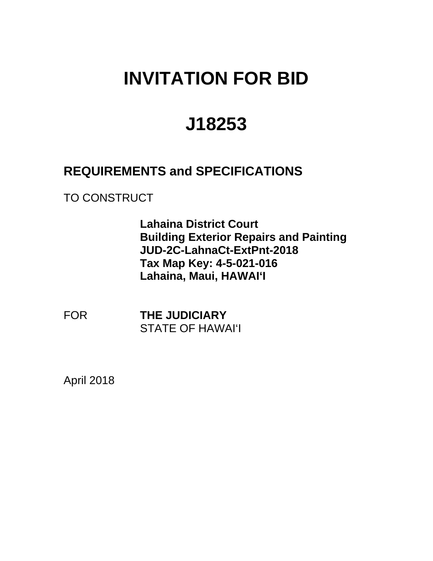## **INVITATION FOR BID**

# **J18253**

## **REQUIREMENTS and SPECIFICATIONS**

TO CONSTRUCT

**Lahaina District Court Building Exterior Repairs and Painting JUD-2C-LahnaCt-ExtPnt-2018 Tax Map Key: 4-5-021-016 Lahaina, Maui, HAWAI'I** 

**FOR THE JUDICIARY** STATE OF HAWAI'I

April 2018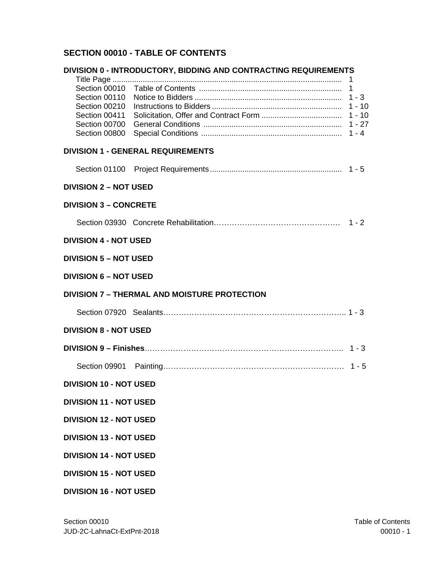## **SECTION 00010 - TABLE OF CONTENTS**

|                               | DIVISION 0 - INTRODUCTORY, BIDDING AND CONTRACTING REQUIREMENTS |  |
|-------------------------------|-----------------------------------------------------------------|--|
|                               |                                                                 |  |
|                               | 1                                                               |  |
|                               | $1 - 3$                                                         |  |
| Section 00210                 | $1 - 10$                                                        |  |
| Section 00411                 |                                                                 |  |
|                               |                                                                 |  |
| Section 00800                 |                                                                 |  |
|                               | <b>DIVISION 1 - GENERAL REQUIREMENTS</b>                        |  |
|                               |                                                                 |  |
| <b>DIVISION 2 - NOT USED</b>  |                                                                 |  |
| <b>DIVISION 3 - CONCRETE</b>  |                                                                 |  |
|                               |                                                                 |  |
| <b>DIVISION 4 - NOT USED</b>  |                                                                 |  |
| <b>DIVISION 5 – NOT USED</b>  |                                                                 |  |
| <b>DIVISION 6 - NOT USED</b>  |                                                                 |  |
|                               | <b>DIVISION 7 - THERMAL AND MOISTURE PROTECTION</b>             |  |
|                               |                                                                 |  |
| <b>DIVISION 8 - NOT USED</b>  |                                                                 |  |
|                               |                                                                 |  |
|                               |                                                                 |  |
| <b>DIVISION 10 - NOT USED</b> |                                                                 |  |
| <b>DIVISION 11 - NOT USED</b> |                                                                 |  |
| <b>DIVISION 12 - NOT USED</b> |                                                                 |  |
| <b>DIVISION 13 - NOT USED</b> |                                                                 |  |
| <b>DIVISION 14 - NOT USED</b> |                                                                 |  |
| <b>DIVISION 15 - NOT USED</b> |                                                                 |  |
| <b>DIVISION 16 - NOT USED</b> |                                                                 |  |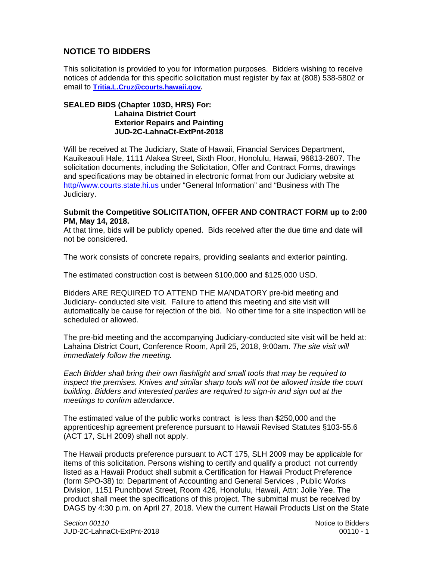## **NOTICE TO BIDDERS**

This solicitation is provided to you for information purposes. Bidders wishing to receive notices of addenda for this specific solicitation must register by fax at (808) 538-5802 or email to **Tritia.L.Cruz@courts.hawaii.gov.** 

#### **SEALED BIDS (Chapter 103D, HRS) For: Lahaina District Court Exterior Repairs and Painting JUD-2C-LahnaCt-ExtPnt-2018**

Will be received at The Judiciary, State of Hawaii, Financial Services Department, Kauikeaouli Hale, 1111 Alakea Street, Sixth Floor, Honolulu, Hawaii, 96813-2807. The solicitation documents, including the Solicitation, Offer and Contract Forms, drawings and specifications may be obtained in electronic format from our Judiciary website at http//www.courts.state.hi.us under "General Information" and "Business with The Judiciary.

#### **Submit the Competitive SOLICITATION, OFFER AND CONTRACT FORM up to 2:00 PM, May 14, 2018.**

At that time, bids will be publicly opened. Bids received after the due time and date will not be considered.

The work consists of concrete repairs, providing sealants and exterior painting.

The estimated construction cost is between \$100,000 and \$125,000 USD.

Bidders ARE REQUIRED TO ATTEND THE MANDATORY pre-bid meeting and Judiciary- conducted site visit. Failure to attend this meeting and site visit will automatically be cause for rejection of the bid. No other time for a site inspection will be scheduled or allowed.

The pre-bid meeting and the accompanying Judiciary-conducted site visit will be held at: Lahaina District Court, Conference Room, April 25, 2018, 9:00am. *The site visit will immediately follow the meeting.* 

*Each Bidder shall bring their own flashlight and small tools that may be required to inspect the premises. Knives and similar sharp tools will not be allowed inside the court building. Bidders and interested parties are required to sign-in and sign out at the meetings to confirm attendance*.

The estimated value of the public works contract is less than \$250,000 and the apprenticeship agreement preference pursuant to Hawaii Revised Statutes §103-55.6 (ACT 17, SLH 2009) shall not apply.

The Hawaii products preference pursuant to ACT 175, SLH 2009 may be applicable for items of this solicitation. Persons wishing to certify and qualify a product not currently listed as a Hawaii Product shall submit a Certification for Hawaii Product Preference (form SPO-38) to: Department of Accounting and General Services , Public Works Division, 1151 Punchbowl Street, Room 426, Honolulu, Hawaii, Attn: Jolie Yee. The product shall meet the specifications of this project. The submittal must be received by DAGS by 4:30 p.m. on April 27, 2018. View the current Hawaii Products List on the State

**Section 00110 Notice to Bidders Notice to Bidders** JUD-2C-LahnaCt-ExtPnt-2018 00110 - 1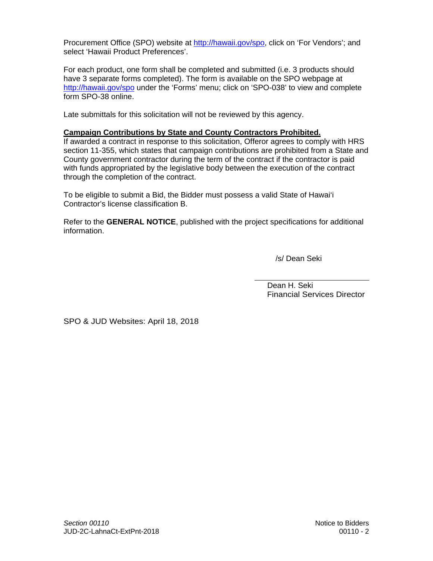Procurement Office (SPO) website at http://hawaii.gov/spo, click on 'For Vendors'; and select 'Hawaii Product Preferences'.

For each product, one form shall be completed and submitted (i.e. 3 products should have 3 separate forms completed). The form is available on the SPO webpage at http://hawaii.gov/spo under the 'Forms' menu; click on 'SPO-038' to view and complete form SPO-38 online.

Late submittals for this solicitation will not be reviewed by this agency.

#### **Campaign Contributions by State and County Contractors Prohibited.**

If awarded a contract in response to this solicitation, Offeror agrees to comply with HRS section 11-355, which states that campaign contributions are prohibited from a State and County government contractor during the term of the contract if the contractor is paid with funds appropriated by the legislative body between the execution of the contract through the completion of the contract.

To be eligible to submit a Bid, the Bidder must possess a valid State of Hawai'i Contractor's license classification B.

Refer to the **GENERAL NOTICE**, published with the project specifications for additional information.

/s/ Dean Seki

Dean H. Seki Financial Services Director

SPO & JUD Websites: April 18, 2018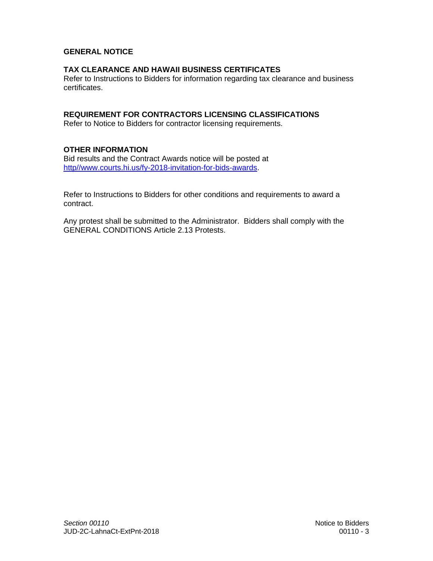### **GENERAL NOTICE**

#### **TAX CLEARANCE AND HAWAII BUSINESS CERTIFICATES**

Refer to Instructions to Bidders for information regarding tax clearance and business certificates.

#### **REQUIREMENT FOR CONTRACTORS LICENSING CLASSIFICATIONS**

Refer to Notice to Bidders for contractor licensing requirements.

#### **OTHER INFORMATION**

Bid results and the Contract Awards notice will be posted at http//www.courts.hi.us/fy-2018-invitation-for-bids-awards.

Refer to Instructions to Bidders for other conditions and requirements to award a contract.

Any protest shall be submitted to the Administrator. Bidders shall comply with the GENERAL CONDITIONS Article 2.13 Protests.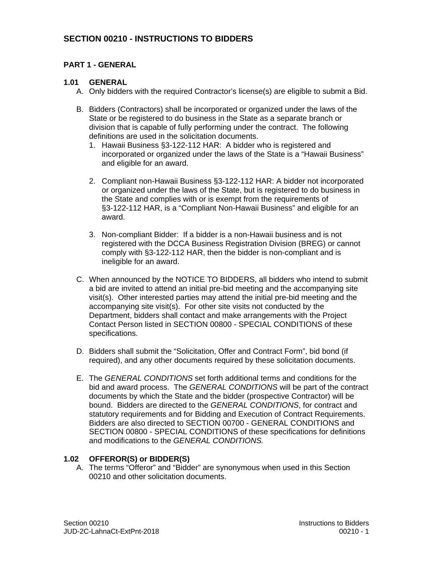## **SECTION 00210 - INSTRUCTIONS TO BIDDERS**

## **PART 1 - GENERAL**

## **1.01 GENERAL**

- A. Only bidders with the required Contractor's license(s) are eligible to submit a Bid.
- B. Bidders (Contractors) shall be incorporated or organized under the laws of the State or be registered to do business in the State as a separate branch or division that is capable of fully performing under the contract. The following definitions are used in the solicitation documents.
	- 1. Hawaii Business §3-122-112 HAR: A bidder who is registered and incorporated or organized under the laws of the State is a "Hawaii Business" and eligible for an award.
	- 2. Compliant non-Hawaii Business §3-122-112 HAR: A bidder not incorporated or organized under the laws of the State, but is registered to do business in the State and complies with or is exempt from the requirements of §3-122-112 HAR, is a "Compliant Non-Hawaii Business" and eligible for an award.
	- 3. Non-compliant Bidder: If a bidder is a non-Hawaii business and is not registered with the DCCA Business Registration Division (BREG) or cannot comply with §3-122-112 HAR, then the bidder is non-compliant and is ineligible for an award.
- C. When announced by the NOTICE TO BIDDERS, all bidders who intend to submit a bid are invited to attend an initial pre-bid meeting and the accompanying site visit(s). Other interested parties may attend the initial pre-bid meeting and the accompanying site visit(s). For other site visits not conducted by the Department, bidders shall contact and make arrangements with the Project Contact Person listed in SECTION 00800 - SPECIAL CONDITIONS of these specifications.
- D. Bidders shall submit the "Solicitation, Offer and Contract Form", bid bond (if required), and any other documents required by these solicitation documents.
- E. The *GENERAL CONDITIONS* set forth additional terms and conditions for the bid and award process. The *GENERAL CONDITIONS* will be part of the contract documents by which the State and the bidder (prospective Contractor) will be bound. Bidders are directed to the *GENERAL CONDITIONS*, for contract and statutory requirements and for Bidding and Execution of Contract Requirements. Bidders are also directed to SECTION 00700 - GENERAL CONDITIONS and SECTION 00800 - SPECIAL CONDITIONS of these specifications for definitions and modifications to the *GENERAL CONDITIONS.*

## **1.02 OFFEROR(S) or BIDDER(S)**

A. The terms "Offeror" and "Bidder" are synonymous when used in this Section 00210 and other solicitation documents.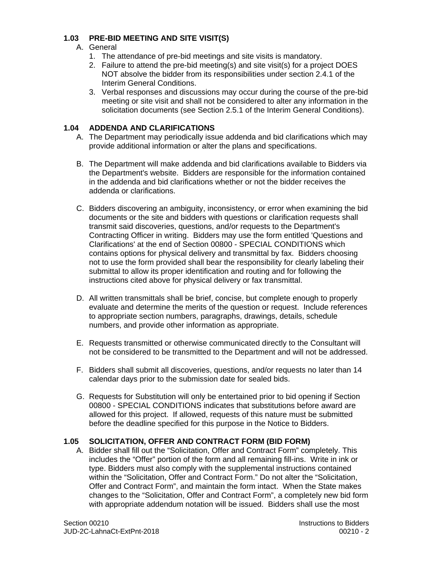## **1.03 PRE-BID MEETING AND SITE VISIT(S)**

- A. General
	- 1. The attendance of pre-bid meetings and site visits is mandatory.
	- 2. Failure to attend the pre-bid meeting(s) and site visit(s) for a project DOES NOT absolve the bidder from its responsibilities under section 2.4.1 of the Interim General Conditions.
	- 3. Verbal responses and discussions may occur during the course of the pre-bid meeting or site visit and shall not be considered to alter any information in the solicitation documents (see Section 2.5.1 of the Interim General Conditions).

## **1.04 ADDENDA AND CLARIFICATIONS**

- A. The Department may periodically issue addenda and bid clarifications which may provide additional information or alter the plans and specifications.
- B. The Department will make addenda and bid clarifications available to Bidders via the Department's website. Bidders are responsible for the information contained in the addenda and bid clarifications whether or not the bidder receives the addenda or clarifications.
- C. Bidders discovering an ambiguity, inconsistency, or error when examining the bid documents or the site and bidders with questions or clarification requests shall transmit said discoveries, questions, and/or requests to the Department's Contracting Officer in writing. Bidders may use the form entitled 'Questions and Clarifications' at the end of Section 00800 - SPECIAL CONDITIONS which contains options for physical delivery and transmittal by fax. Bidders choosing not to use the form provided shall bear the responsibility for clearly labeling their submittal to allow its proper identification and routing and for following the instructions cited above for physical delivery or fax transmittal.
- D. All written transmittals shall be brief, concise, but complete enough to properly evaluate and determine the merits of the question or request. Include references to appropriate section numbers, paragraphs, drawings, details, schedule numbers, and provide other information as appropriate.
- E. Requests transmitted or otherwise communicated directly to the Consultant will not be considered to be transmitted to the Department and will not be addressed.
- F. Bidders shall submit all discoveries, questions, and/or requests no later than 14 calendar days prior to the submission date for sealed bids.
- G. Requests for Substitution will only be entertained prior to bid opening if Section 00800 - SPECIAL CONDITIONS indicates that substitutions before award are allowed for this project. If allowed, requests of this nature must be submitted before the deadline specified for this purpose in the Notice to Bidders.

#### **1.05 SOLICITATION, OFFER AND CONTRACT FORM (BID FORM)**

A. Bidder shall fill out the "Solicitation, Offer and Contract Form" completely. This includes the "Offer" portion of the form and all remaining fill-ins. Write in ink or type. Bidders must also comply with the supplemental instructions contained within the "Solicitation, Offer and Contract Form." Do not alter the "Solicitation, Offer and Contract Form", and maintain the form intact. When the State makes changes to the "Solicitation, Offer and Contract Form", a completely new bid form with appropriate addendum notation will be issued. Bidders shall use the most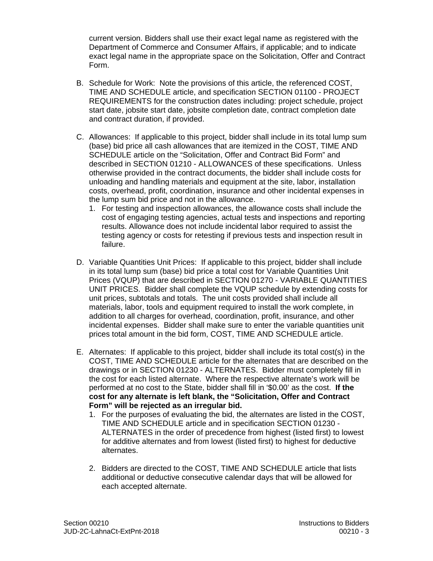current version. Bidders shall use their exact legal name as registered with the Department of Commerce and Consumer Affairs, if applicable; and to indicate exact legal name in the appropriate space on the Solicitation, Offer and Contract Form.

- B. Schedule for Work: Note the provisions of this article, the referenced COST, TIME AND SCHEDULE article, and specification SECTION 01100 - PROJECT REQUIREMENTS for the construction dates including: project schedule, project start date, jobsite start date, jobsite completion date, contract completion date and contract duration, if provided.
- C. Allowances: If applicable to this project, bidder shall include in its total lump sum (base) bid price all cash allowances that are itemized in the COST, TIME AND SCHEDULE article on the "Solicitation, Offer and Contract Bid Form" and described in SECTION 01210 - ALLOWANCES of these specifications. Unless otherwise provided in the contract documents, the bidder shall include costs for unloading and handling materials and equipment at the site, labor, installation costs, overhead, profit, coordination, insurance and other incidental expenses in the lump sum bid price and not in the allowance.
	- 1. For testing and inspection allowances, the allowance costs shall include the cost of engaging testing agencies, actual tests and inspections and reporting results. Allowance does not include incidental labor required to assist the testing agency or costs for retesting if previous tests and inspection result in failure.
- D. Variable Quantities Unit Prices: If applicable to this project, bidder shall include in its total lump sum (base) bid price a total cost for Variable Quantities Unit Prices (VQUP) that are described in SECTION 01270 - VARIABLE QUANTITIES UNIT PRICES. Bidder shall complete the VQUP schedule by extending costs for unit prices, subtotals and totals. The unit costs provided shall include all materials, labor, tools and equipment required to install the work complete, in addition to all charges for overhead, coordination, profit, insurance, and other incidental expenses. Bidder shall make sure to enter the variable quantities unit prices total amount in the bid form, COST, TIME AND SCHEDULE article.
- performed at no cost to the State, bidder shall fill in '\$0.00' as the cost. **If the**  E. Alternates: If applicable to this project, bidder shall include its total cost(s) in the COST, TIME AND SCHEDULE article for the alternates that are described on the drawings or in SECTION 01230 - ALTERNATES. Bidder must completely fill in the cost for each listed alternate. Where the respective alternate's work will be **cost for any alternate is left blank, the "Solicitation, Offer and Contract Form" will be rejected as an irregular bid.** 
	- 1. For the purposes of evaluating the bid, the alternates are listed in the COST, TIME AND SCHEDULE article and in specification SECTION 01230 - ALTERNATES in the order of precedence from highest (listed first) to lowest for additive alternates and from lowest (listed first) to highest for deductive alternates.
	- 2. Bidders are directed to the COST, TIME AND SCHEDULE article that lists additional or deductive consecutive calendar days that will be allowed for each accepted alternate.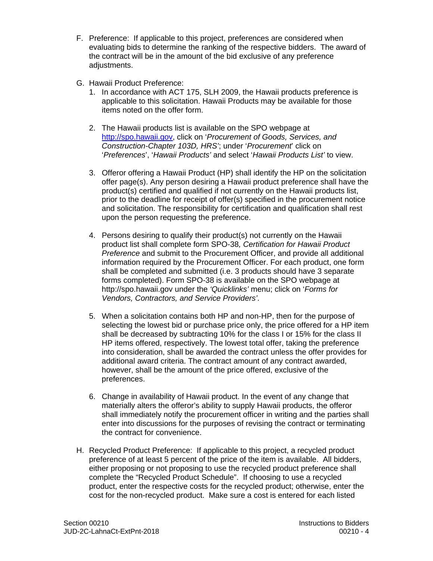- F. Preference: If applicable to this project, preferences are considered when evaluating bids to determine the ranking of the respective bidders. The award of the contract will be in the amount of the bid exclusive of any preference adiustments.
- G. Hawaii Product Preference:
	- 1. In accordance with ACT 175, SLH 2009, the Hawaii products preference is applicable to this solicitation. Hawaii Products may be available for those items noted on the offer form.
	- 2. The Hawaii products list is available on the SPO webpage at http://spo.hawaii.gov, click on '*Procurement of Goods, Services, and Construction-Chapter 103D, HRS'*; under '*Procurement*' click on '*Preferences*', '*Hawaii Products'* and select '*Hawaii Products List'* to view.
	- 3. Offeror offering a Hawaii Product (HP) shall identify the HP on the solicitation offer page(s). Any person desiring a Hawaii product preference shall have the product(s) certified and qualified if not currently on the Hawaii products list, prior to the deadline for receipt of offer(s) specified in the procurement notice and solicitation. The responsibility for certification and qualification shall rest upon the person requesting the preference.
	- 4. Persons desiring to qualify their product(s) not currently on the Hawaii product list shall complete form SPO-38*, Certification for Hawaii Product Preference* and submit to the Procurement Officer, and provide all additional information required by the Procurement Officer. For each product, one form shall be completed and submitted (i.e. 3 products should have 3 separate forms completed). Form SPO-38 is available on the SPO webpage at http://spo.hawaii.gov under the *'Quicklinks'* menu; click on '*Forms for Vendors, Contractors, and Service Providers'*.
	- 5. When a solicitation contains both HP and non-HP, then for the purpose of selecting the lowest bid or purchase price only, the price offered for a HP item shall be decreased by subtracting 10% for the class I or 15% for the class II HP items offered, respectively. The lowest total offer, taking the preference into consideration, shall be awarded the contract unless the offer provides for additional award criteria. The contract amount of any contract awarded, however, shall be the amount of the price offered, exclusive of the preferences.
	- 6. Change in availability of Hawaii product. In the event of any change that materially alters the offeror's ability to supply Hawaii products, the offeror shall immediately notify the procurement officer in writing and the parties shall enter into discussions for the purposes of revising the contract or terminating the contract for convenience.
- H. Recycled Product Preference: If applicable to this project, a recycled product preference of at least 5 percent of the price of the item is available. All bidders, either proposing or not proposing to use the recycled product preference shall complete the "Recycled Product Schedule". If choosing to use a recycled product, enter the respective costs for the recycled product; otherwise, enter the cost for the non-recycled product. Make sure a cost is entered for each listed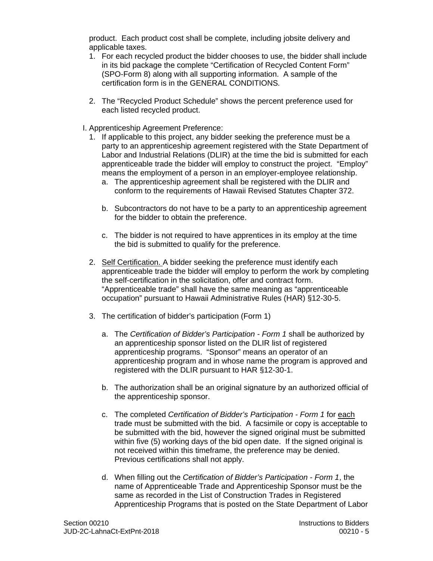product. Each product cost shall be complete, including jobsite delivery and applicable taxes.

- 1. For each recycled product the bidder chooses to use, the bidder shall include in its bid package the complete "Certification of Recycled Content Form" (SPO-Form 8) along with all supporting information. A sample of the certification form is in the GENERAL CONDITIONS*.*
- 2. The "Recycled Product Schedule" shows the percent preference used for each listed recycled product.
- I. Apprenticeship Agreement Preference:
	- 1. If applicable to this project, any bidder seeking the preference must be a party to an apprenticeship agreement registered with the State Department of Labor and Industrial Relations (DLIR) at the time the bid is submitted for each apprenticeable trade the bidder will employ to construct the project. "Employ" means the employment of a person in an employer-employee relationship.
		- a. The apprenticeship agreement shall be registered with the DLIR and conform to the requirements of Hawaii Revised Statutes Chapter 372.
		- b. Subcontractors do not have to be a party to an apprenticeship agreement for the bidder to obtain the preference.
		- c. The bidder is not required to have apprentices in its employ at the time the bid is submitted to qualify for the preference.
	- 2. Self Certification. A bidder seeking the preference must identify each apprenticeable trade the bidder will employ to perform the work by completing the self-certification in the solicitation, offer and contract form. "Apprenticeable trade" shall have the same meaning as "apprenticeable occupation" pursuant to Hawaii Administrative Rules (HAR) §12-30-5.
	- 3. The certification of bidder's participation (Form 1)
		- a. The *Certification of Bidder's Participation Form 1* shall be authorized by an apprenticeship sponsor listed on the DLIR list of registered apprenticeship programs. "Sponsor" means an operator of an apprenticeship program and in whose name the program is approved and registered with the DLIR pursuant to HAR §12-30-1.
		- b. The authorization shall be an original signature by an authorized official of the apprenticeship sponsor.
		- c. The completed *Certification of Bidder's Participation Form 1* for each trade must be submitted with the bid. A facsimile or copy is acceptable to be submitted with the bid, however the signed original must be submitted within five (5) working days of the bid open date. If the signed original is not received within this timeframe, the preference may be denied. Previous certifications shall not apply.
		- d. When filling out the *Certification of Bidder's Participation Form 1*, the name of Apprenticeable Trade and Apprenticeship Sponsor must be the same as recorded in the List of Construction Trades in Registered Apprenticeship Programs that is posted on the State Department of Labor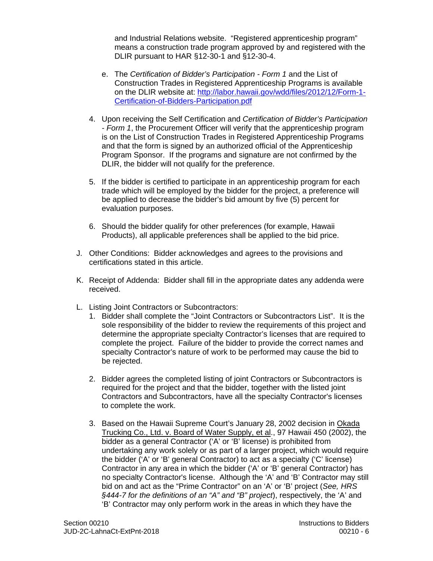and Industrial Relations website. "Registered apprenticeship program" means a construction trade program approved by and registered with the DLIR pursuant to HAR §12-30-1 and §12-30-4.

- Certification-of-Bidders-Participation.pdf e. The *Certification of Bidder's Participation - Form 1* and the List of Construction Trades in Registered Apprenticeship Programs is available on the DLIR website at: http://labor.hawaii.gov/wdd/files/2012/12/Form-1-
- Certification-of-Bidders-Participation.pdf 4. Upon receiving the Self Certification and *Certification of Bidder's Participation - Form 1*, the Procurement Officer will verify that the apprenticeship program is on the List of Construction Trades in Registered Apprenticeship Programs and that the form is signed by an authorized official of the Apprenticeship Program Sponsor. If the programs and signature are not confirmed by the DLIR, the bidder will not qualify for the preference.
- 5. If the bidder is certified to participate in an apprenticeship program for each trade which will be employed by the bidder for the project, a preference will be applied to decrease the bidder's bid amount by five (5) percent for evaluation purposes.
- 6. Should the bidder qualify for other preferences (for example, Hawaii Products), all applicable preferences shall be applied to the bid price.
- J. Other Conditions: Bidder acknowledges and agrees to the provisions and certifications stated in this article.
- K. Receipt of Addenda: Bidder shall fill in the appropriate dates any addenda were received.
- L. Listing Joint Contractors or Subcontractors:
	- 1. Bidder shall complete the "Joint Contractors or Subcontractors List". It is the sole responsibility of the bidder to review the requirements of this project and determine the appropriate specialty Contractor's licenses that are required to complete the project. Failure of the bidder to provide the correct names and specialty Contractor's nature of work to be performed may cause the bid to be rejected.
	- 2. Bidder agrees the completed listing of joint Contractors or Subcontractors is required for the project and that the bidder, together with the listed joint Contractors and Subcontractors, have all the specialty Contractor's licenses to complete the work.
	- 3. Based on the Hawaii Supreme Court's January 28, 2002 decision in Okada Trucking Co., Ltd. v. Board of Water Supply, et al., 97 Hawaii 450 (2002), the bidder as a general Contractor ('A' or 'B' license) is prohibited from undertaking any work solely or as part of a larger project, which would require the bidder ('A' or 'B' general Contractor) to act as a specialty ('C' license) Contractor in any area in which the bidder ('A' or 'B' general Contractor) has no specialty Contractor's license. Although the 'A' and 'B' Contractor may still bid on and act as the "Prime Contractor" on an 'A' or 'B' project (*See, HRS §444-7 for the definitions of an "A" and "B" project*), respectively, the 'A' and 'B' Contractor may only perform work in the areas in which they have the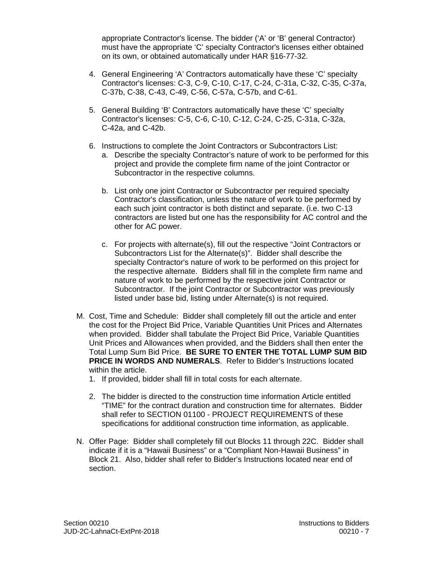appropriate Contractor's license. The bidder ('A' or 'B' general Contractor) must have the appropriate 'C' specialty Contractor's licenses either obtained on its own, or obtained automatically under HAR §16-77-32.

- 4. General Engineering 'A' Contractors automatically have these 'C' specialty Contractor's licenses: C-3, C-9, C-10, C-17, C-24, C-31a, C-32, C-35, C-37a, C-37b, C-38, C-43, C-49, C-56, C-57a, C-57b, and C-61.
- 5. General Building 'B' Contractors automatically have these 'C' specialty Contractor's licenses: C-5, C-6, C-10, C-12, C-24, C-25, C-31a, C-32a, C-42a, and C-42b.
- 6. Instructions to complete the Joint Contractors or Subcontractors List:
	- a. Describe the specialty Contractor's nature of work to be performed for this project and provide the complete firm name of the joint Contractor or Subcontractor in the respective columns.
	- b. List only one joint Contractor or Subcontractor per required specialty Contractor's classification, unless the nature of work to be performed by each such joint contractor is both distinct and separate. (i.e. two C-13 contractors are listed but one has the responsibility for AC control and the other for AC power.
	- c. For projects with alternate(s), fill out the respective "Joint Contractors or Subcontractors List for the Alternate(s)". Bidder shall describe the specialty Contractor's nature of work to be performed on this project for the respective alternate. Bidders shall fill in the complete firm name and nature of work to be performed by the respective joint Contractor or Subcontractor. If the joint Contractor or Subcontractor was previously listed under base bid, listing under Alternate(s) is not required.
- M. Cost, Time and Schedule: Bidder shall completely fill out the article and enter the cost for the Project Bid Price, Variable Quantities Unit Prices and Alternates when provided. Bidder shall tabulate the Project Bid Price, Variable Quantities Unit Prices and Allowances when provided, and the Bidders shall then enter the Total Lump Sum Bid Price. **BE SURE TO ENTER THE TOTAL LUMP SUM BID PRICE IN WORDS AND NUMERALS.** Refer to Bidder's Instructions located within the article.
	- 1. If provided, bidder shall fill in total costs for each alternate.
	- 2. The bidder is directed to the construction time information Article entitled "TIME" for the contract duration and construction time for alternates. Bidder shall refer to SECTION 01100 - PROJECT REQUIREMENTS of these specifications for additional construction time information, as applicable.
- N. Offer Page: Bidder shall completely fill out Blocks 11 through 22C. Bidder shall indicate if it is a "Hawaii Business" or a "Compliant Non-Hawaii Business" in Block 21. Also, bidder shall refer to Bidder's Instructions located near end of section.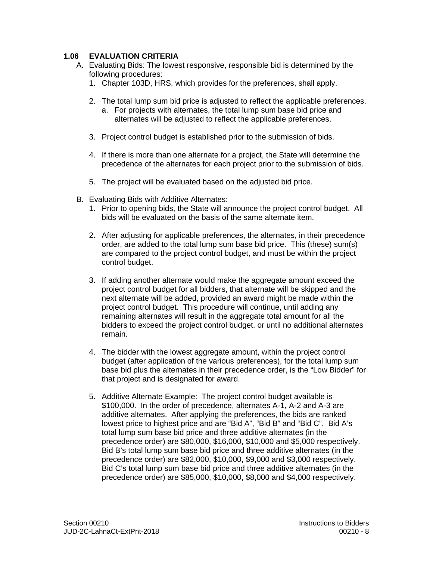## **1.06 EVALUATION CRITERIA**

- A. Evaluating Bids: The lowest responsive, responsible bid is determined by the following procedures:
	- 1. Chapter 103D, HRS, which provides for the preferences, shall apply.
	- 2. The total lump sum bid price is adjusted to reflect the applicable preferences.
		- a. For projects with alternates, the total lump sum base bid price and alternates will be adjusted to reflect the applicable preferences.
	- 3. Project control budget is established prior to the submission of bids.
	- 4. If there is more than one alternate for a project, the State will determine the precedence of the alternates for each project prior to the submission of bids.
	- 5. The project will be evaluated based on the adjusted bid price.
- B. Evaluating Bids with Additive Alternates:
	- 1. Prior to opening bids, the State will announce the project control budget. All bids will be evaluated on the basis of the same alternate item.
	- 2. After adjusting for applicable preferences, the alternates, in their precedence order, are added to the total lump sum base bid price. This (these) sum(s) are compared to the project control budget, and must be within the project control budget.
	- 3. If adding another alternate would make the aggregate amount exceed the project control budget for all bidders, that alternate will be skipped and the next alternate will be added, provided an award might be made within the project control budget. This procedure will continue, until adding any remaining alternates will result in the aggregate total amount for all the bidders to exceed the project control budget, or until no additional alternates remain.
	- 4. The bidder with the lowest aggregate amount, within the project control budget (after application of the various preferences), for the total lump sum base bid plus the alternates in their precedence order, is the "Low Bidder" for that project and is designated for award.
	- 5. Additive Alternate Example: The project control budget available is \$100,000. In the order of precedence, alternates A-1, A-2 and A-3 are additive alternates. After applying the preferences, the bids are ranked lowest price to highest price and are "Bid A", "Bid B" and "Bid C". Bid A's total lump sum base bid price and three additive alternates (in the precedence order) are \$80,000, \$16,000, \$10,000 and \$5,000 respectively. Bid B's total lump sum base bid price and three additive alternates (in the precedence order) are \$82,000, \$10,000, \$9,000 and \$3,000 respectively. Bid C's total lump sum base bid price and three additive alternates (in the precedence order) are \$85,000, \$10,000, \$8,000 and \$4,000 respectively.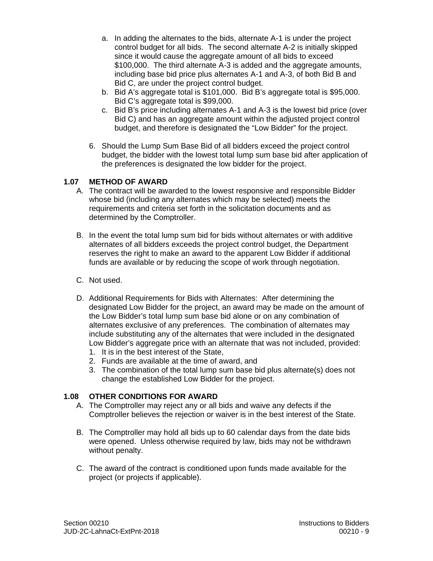- a. In adding the alternates to the bids, alternate A-1 is under the project control budget for all bids. The second alternate A-2 is initially skipped since it would cause the aggregate amount of all bids to exceed \$100,000. The third alternate A-3 is added and the aggregate amounts, including base bid price plus alternates A-1 and A-3, of both Bid B and Bid C, are under the project control budget.
- b. Bid A's aggregate total is \$101,000. Bid B's aggregate total is \$95,000. Bid C's aggregate total is \$99,000.
- c. Bid B's price including alternates A-1 and A-3 is the lowest bid price (over Bid C) and has an aggregate amount within the adjusted project control budget, and therefore is designated the "Low Bidder" for the project.
- 6. Should the Lump Sum Base Bid of all bidders exceed the project control budget, the bidder with the lowest total lump sum base bid after application of the preferences is designated the low bidder for the project.

## **1.07 METHOD OF AWARD**

- A. The contract will be awarded to the lowest responsive and responsible Bidder whose bid (including any alternates which may be selected) meets the requirements and criteria set forth in the solicitation documents and as determined by the Comptroller.
- B. In the event the total lump sum bid for bids without alternates or with additive alternates of all bidders exceeds the project control budget, the Department reserves the right to make an award to the apparent Low Bidder if additional funds are available or by reducing the scope of work through negotiation.
- C. Not used.
- D. Additional Requirements for Bids with Alternates: After determining the designated Low Bidder for the project, an award may be made on the amount of the Low Bidder's total lump sum base bid alone or on any combination of alternates exclusive of any preferences. The combination of alternates may include substituting any of the alternates that were included in the designated Low Bidder's aggregate price with an alternate that was not included, provided:
	- 1. It is in the best interest of the State,
	- 2. Funds are available at the time of award, and
	- 3. The combination of the total lump sum base bid plus alternate(s) does not change the established Low Bidder for the project.

## **1.08 OTHER CONDITIONS FOR AWARD**

- A. The Comptroller may reject any or all bids and waive any defects if the Comptroller believes the rejection or waiver is in the best interest of the State.
- B. The Comptroller may hold all bids up to 60 calendar days from the date bids were opened. Unless otherwise required by law, bids may not be withdrawn without penalty.
- C. The award of the contract is conditioned upon funds made available for the project (or projects if applicable).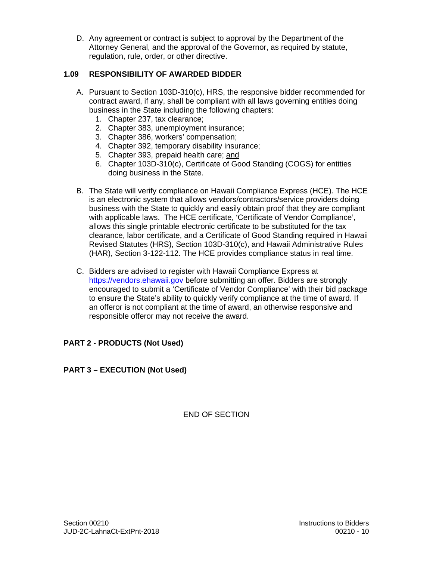D. Any agreement or contract is subject to approval by the Department of the Attorney General, and the approval of the Governor, as required by statute, regulation, rule, order, or other directive.

## **1.09 RESPONSIBILITY OF AWARDED BIDDER**

- A. Pursuant to Section 103D-310(c), HRS, the responsive bidder recommended for contract award, if any, shall be compliant with all laws governing entities doing business in the State including the following chapters:
	- 1. Chapter 237, tax clearance;
	- 2. Chapter 383, unemployment insurance;
	- 3. Chapter 386, workers' compensation;
	- 4. Chapter 392, temporary disability insurance;
	- 5. Chapter 393, prepaid health care; and
	- 6. Chapter 103D-310(c), Certificate of Good Standing (COGS) for entities doing business in the State.
- B. The State will verify compliance on Hawaii Compliance Express (HCE). The HCE is an electronic system that allows vendors/contractors/service providers doing business with the State to quickly and easily obtain proof that they are compliant with applicable laws. The HCE certificate, 'Certificate of Vendor Compliance', allows this single printable electronic certificate to be substituted for the tax clearance, labor certificate, and a Certificate of Good Standing required in Hawaii Revised Statutes (HRS), Section 103D-310(c), and Hawaii Administrative Rules (HAR), Section 3-122-112. The HCE provides compliance status in real time.
- C. Bidders are advised to register with Hawaii Compliance Express at https://vendors.ehawaii.gov before submitting an offer. Bidders are strongly encouraged to submit a 'Certificate of Vendor Compliance' with their bid package to ensure the State's ability to quickly verify compliance at the time of award. If an offeror is not compliant at the time of award, an otherwise responsive and responsible offeror may not receive the award.

## **PART 2 - PRODUCTS (Not Used)**

## **PART 3 – EXECUTION (Not Used)**

END OF SECTION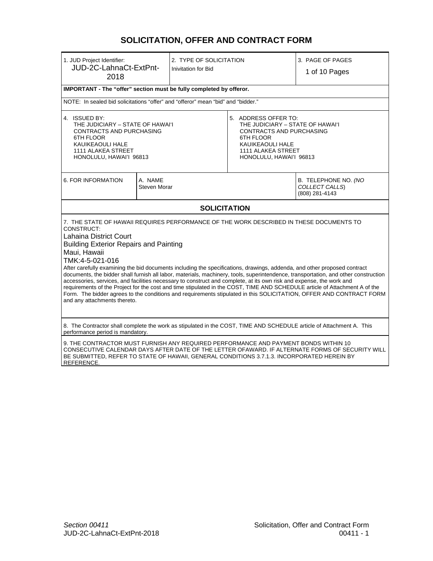## **SOLICITATION, OFFER AND CONTRACT FORM**

| 1. JUD Project Identifier:<br>JUD-2C-LahnaCt-ExtPnt-<br>2018                                                                                                                                                                                                                                                                                                                                                                                                                                                                                                                                                                                                                                                                                                                                                                                                                                        |                         | 2. TYPE OF SOLICITATION<br><b>Inivitation for Bid</b>                                                                                                                                |                                                          | 3. PAGE OF PAGES<br>1 of 10 Pages |
|-----------------------------------------------------------------------------------------------------------------------------------------------------------------------------------------------------------------------------------------------------------------------------------------------------------------------------------------------------------------------------------------------------------------------------------------------------------------------------------------------------------------------------------------------------------------------------------------------------------------------------------------------------------------------------------------------------------------------------------------------------------------------------------------------------------------------------------------------------------------------------------------------------|-------------------------|--------------------------------------------------------------------------------------------------------------------------------------------------------------------------------------|----------------------------------------------------------|-----------------------------------|
| IMPORTANT - The "offer" section must be fully completed by offeror.                                                                                                                                                                                                                                                                                                                                                                                                                                                                                                                                                                                                                                                                                                                                                                                                                                 |                         |                                                                                                                                                                                      |                                                          |                                   |
| NOTE: In sealed bid solicitations "offer" and "offeror" mean "bid" and "bidder."                                                                                                                                                                                                                                                                                                                                                                                                                                                                                                                                                                                                                                                                                                                                                                                                                    |                         |                                                                                                                                                                                      |                                                          |                                   |
| 4. ISSUED BY:<br>THE JUDICIARY - STATE OF HAWAI'I<br>CONTRACTS AND PURCHASING<br>6TH FLOOR<br>KAUIKEAOULI HALE<br>1111 ALAKEA STREET<br>HONOLULU, HAWAI'I 96813                                                                                                                                                                                                                                                                                                                                                                                                                                                                                                                                                                                                                                                                                                                                     |                         | 5. ADDRESS OFFER TO:<br>THE JUDICIARY - STATE OF HAWAI'I<br><b>CONTRACTS AND PURCHASING</b><br>6TH FLOOR<br><b>KAUIKEAOULI HALE</b><br>1111 ALAKEA STREET<br>HONOLULU, HAWAI'I 96813 |                                                          |                                   |
| 6. FOR INFORMATION                                                                                                                                                                                                                                                                                                                                                                                                                                                                                                                                                                                                                                                                                                                                                                                                                                                                                  | A. NAME<br>Steven Morar |                                                                                                                                                                                      | B. TELEPHONE NO. (NO<br>COLLECT CALLS)<br>(808) 281-4143 |                                   |
| <b>SOLICITATION</b>                                                                                                                                                                                                                                                                                                                                                                                                                                                                                                                                                                                                                                                                                                                                                                                                                                                                                 |                         |                                                                                                                                                                                      |                                                          |                                   |
| 7. THE STATE OF HAWAII REQUIRES PERFORMANCE OF THE WORK DESCRIBED IN THESE DOCUMENTS TO<br>CONSTRUCT:<br>Lahaina District Court<br><b>Building Exterior Repairs and Painting</b><br>Maui, Hawaii<br>TMK:4-5-021-016<br>After carefully examining the bid documents including the specifications, drawings, addenda, and other proposed contract<br>documents, the bidder shall furnish all labor, materials, machinery, tools, superintendence, transportation, and other construction<br>accessories, services, and facilities necessary to construct and complete, at its own risk and expense, the work and<br>requirements of the Project for the cost and time stipulated in the COST, TIME AND SCHEDULE article of Attachment A of the<br>Form. The bidder agrees to the conditions and requirements stipulated in this SOLICITATION, OFFER AND CONTRACT FORM<br>and any attachments thereto. |                         |                                                                                                                                                                                      |                                                          |                                   |
| 8. The Contractor shall complete the work as stipulated in the COST, TIME AND SCHEDULE article of Attachment A. This<br>performance period is mandatory.                                                                                                                                                                                                                                                                                                                                                                                                                                                                                                                                                                                                                                                                                                                                            |                         |                                                                                                                                                                                      |                                                          |                                   |
| 9. THE CONTRACTOR MUST FURNISH ANY REQUIRED PERFORMANCE AND PAYMENT BONDS WITHIN 10<br>CONSECUTIVE CALENDAR DAYS AFTER DATE OF THE LETTER OFAWARD. IF ALTERNATE FORMS OF SECURITY WILL<br>BE SUBMITTED, REFER TO STATE OF HAWAII, GENERAL CONDITIONS 3.7.1.3. INCORPORATED HEREIN BY<br>REFERENCE.                                                                                                                                                                                                                                                                                                                                                                                                                                                                                                                                                                                                  |                         |                                                                                                                                                                                      |                                                          |                                   |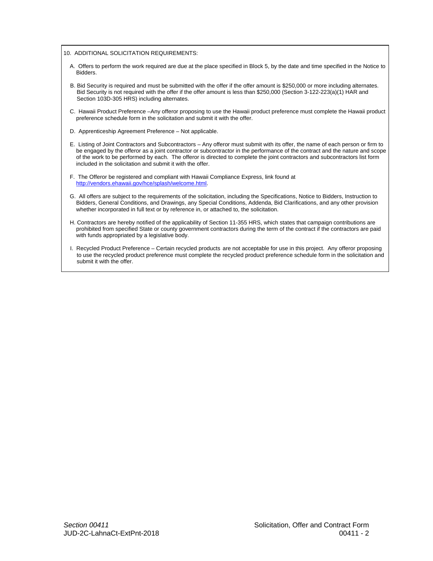10. ADDITIONAL SOLICITATION REQUIREMENTS:

- A. Offers to perform the work required are due at the place specified in Block 5, by the date and time specified in the Notice to Bidders.
- B. Bid Security is required and must be submitted with the offer if the offer amount is \$250,000 or more including alternates. Bid Security is not required with the offer if the offer amount is less than \$250,000 (Section 3-122-223(a)(1) HAR and Section 103D-305 HRS) including alternates.
- C. Hawaii Product Preference –Any offeror proposing to use the Hawaii product preference must complete the Hawaii product preference schedule form in the solicitation and submit it with the offer.
- D. Apprenticeship Agreement Preference Not applicable.
- E. Listing of Joint Contractors and Subcontractors Any offeror must submit with its offer, the name of each person or firm to be engaged by the offeror as a joint contractor or subcontractor in the performance of the contract and the nature and scope of the work to be performed by each. The offeror is directed to complete the joint contractors and subcontractors list form included in the solicitation and submit it with the offer.
- F. The Offeror be registered and compliant with Hawaii Compliance Express, link found at http://vendors.ehawaii.gov/hce/splash/welcome.html.
- G. All offers are subject to the requirements of the solicitation, including the Specifications, Notice to Bidders, Instruction to Bidders, General Conditions, and Drawings, any Special Conditions, Addenda, Bid Clarifications, and any other provision whether incorporated in full text or by reference in, or attached to, the solicitation.
- H. Contractors are hereby notified of the applicability of Section 11-355 HRS, which states that campaign contributions are prohibited from specified State or county government contractors during the term of the contract if the contractors are paid with funds appropriated by a legislative body.
- I. Recycled Product Preference Certain recycled products are not acceptable for use in this project. Any offeror proposing to use the recycled product preference must complete the recycled product preference schedule form in the solicitation and submit it with the offer.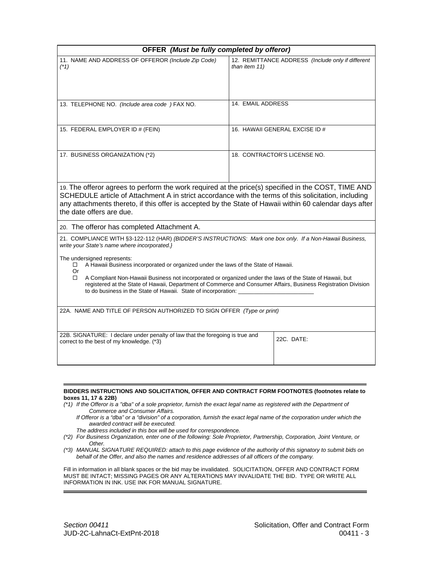| OFFER (Must be fully completed by offeror)                                                                                                                                                                                                                                                                                                         |                                                                    |  |
|----------------------------------------------------------------------------------------------------------------------------------------------------------------------------------------------------------------------------------------------------------------------------------------------------------------------------------------------------|--------------------------------------------------------------------|--|
| 11. NAME AND ADDRESS OF OFFEROR (Include Zip Code)<br>$(*1)$                                                                                                                                                                                                                                                                                       | 12. REMITTANCE ADDRESS (Include only if different<br>than item 11) |  |
| 13. TELEPHONE NO. (Include area code) FAX NO.                                                                                                                                                                                                                                                                                                      | 14. EMAIL ADDRESS                                                  |  |
| 15. FEDERAL EMPLOYER ID # (FEIN)                                                                                                                                                                                                                                                                                                                   | 16. HAWAII GENERAL EXCISE ID #                                     |  |
| 17. BUSINESS ORGANIZATION (*2)                                                                                                                                                                                                                                                                                                                     | 18. CONTRACTOR'S LICENSE NO.                                       |  |
| 19. The offeror agrees to perform the work required at the price(s) specified in the COST, TIME AND<br>SCHEDULE article of Attachment A in strict accordance with the terms of this solicitation, including<br>any attachments thereto, if this offer is accepted by the State of Hawaii within 60 calendar days after<br>the date offers are due. |                                                                    |  |
| 20. The offeror has completed Attachment A.                                                                                                                                                                                                                                                                                                        |                                                                    |  |
| 21. COMPLIANCE WITH §3-122-112 (HAR) {BIDDER'S INSTRUCTIONS: Mark one box only. If a Non-Hawaii Business,<br>write your State's name where incorporated.}<br>The undersigned represents:<br>A Hawaii Business incorporated or organized under the laws of the State of Hawaii.<br>□                                                                |                                                                    |  |
| Or<br>A Compliant Non-Hawaii Business not incorporated or organized under the laws of the State of Hawaii, but<br>□<br>registered at the State of Hawaii, Department of Commerce and Consumer Affairs, Business Registration Division<br>to do business in the State of Hawaii. State of incorporation: ____                                       |                                                                    |  |
| 22A. NAME AND TITLE OF PERSON AUTHORIZED TO SIGN OFFER (Type or print)                                                                                                                                                                                                                                                                             |                                                                    |  |
| 22B. SIGNATURE: I declare under penalty of law that the foregoing is true and<br>correct to the best of my knowledge. (*3)                                                                                                                                                                                                                         | 22C. DATE:                                                         |  |

#### **BIDDERS INSTRUCTIONS AND SOLICITATION, OFFER AND CONTRACT FORM FOOTNOTES (footnotes relate to boxes 11, 17 & 22B)**

- *(\*1) If the Offeror is a "dba" of a sole proprietor, furnish the exact legal name as registered with the Department of Commerce and Consumer Affairs.* 
	- *If Offeror is a "dba" or a "division" of a corporation, furnish the exact legal name of the corporation under which the awarded contract will be executed.*
	- *The address included in this box will be used for correspondence.*
- Other. *(\*2) For Business Organization, enter one of the following: Sole Proprietor, Partnership, Corporation, Joint Venture, or*
- *Other. (\*3) MANUAL SIGNATURE REQUIRED: attach to this page evidence of the authority of this signatory to submit bids on behalf of the Offer, and also the names and residence addresses of all officers of the company.*

Fill in information in all blank spaces or the bid may be invalidated. SOLICITATION, OFFER AND CONTRACT FORM MUST BE INTACT; MISSING PAGES OR ANY ALTERATIONS MAY INVALIDATE THE BID. TYPE OR WRITE ALL INFORMATION IN INK. USE INK FOR MANUAL SIGNATURE.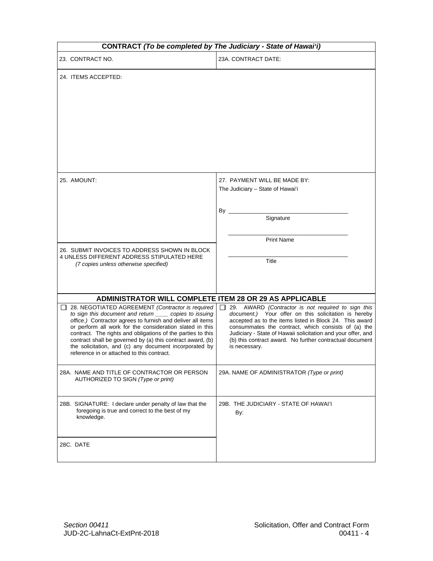| <b>CONTRACT (To be completed by The Judiciary - State of Hawai'i)</b>                                                                                                                                                                                                                                                                                                                                                                                                         |                                                                                                                                                                                                                                                                                                                                                                                     |  |  |
|-------------------------------------------------------------------------------------------------------------------------------------------------------------------------------------------------------------------------------------------------------------------------------------------------------------------------------------------------------------------------------------------------------------------------------------------------------------------------------|-------------------------------------------------------------------------------------------------------------------------------------------------------------------------------------------------------------------------------------------------------------------------------------------------------------------------------------------------------------------------------------|--|--|
| 23. CONTRACT NO.                                                                                                                                                                                                                                                                                                                                                                                                                                                              | 23A. CONTRACT DATE:                                                                                                                                                                                                                                                                                                                                                                 |  |  |
| 24. ITEMS ACCEPTED:                                                                                                                                                                                                                                                                                                                                                                                                                                                           |                                                                                                                                                                                                                                                                                                                                                                                     |  |  |
| 25. AMOUNT:                                                                                                                                                                                                                                                                                                                                                                                                                                                                   | 27. PAYMENT WILL BE MADE BY:<br>The Judiciary - State of Hawai'i<br>By ____<br>Signature<br><b>Print Name</b>                                                                                                                                                                                                                                                                       |  |  |
| 26. SUBMIT INVOICES TO ADDRESS SHOWN IN BLOCK<br>4 UNLESS DIFFERENT ADDRESS STIPULATED HERE<br>(7 copies unless otherwise specified)                                                                                                                                                                                                                                                                                                                                          | Title                                                                                                                                                                                                                                                                                                                                                                               |  |  |
| ADMINISTRATOR WILL COMPLETE ITEM 28 OR 29 AS APPLICABLE                                                                                                                                                                                                                                                                                                                                                                                                                       |                                                                                                                                                                                                                                                                                                                                                                                     |  |  |
| 28. NEGOTIATED AGREEMENT (Contractor is required<br>to sign this document and return ______ copies to issuing<br>office.) Contractor agrees to furnish and deliver all items<br>or perform all work for the consideration slated in this<br>contract. The rights and obligations of the parties to this<br>contract shall be governed by (a) this contract award, (b)<br>the solicitation, and (c) any document incorporated by<br>reference in or attached to this contract. | 29. AWARD (Contractor is not required to sign this<br>$\Box$<br>document.) Your offer on this solicitation is hereby<br>accepted as to the items listed in Block 24. This award<br>consummates the contract, which consists of (a) the<br>Judiciary - State of Hawaii solicitation and your offer, and<br>(b) this contract award. No further contractual document<br>is necessary. |  |  |
| 28A. NAME AND TITLE OF CONTRACTOR OR PERSON<br>AUTHORIZED TO SIGN (Type or print)                                                                                                                                                                                                                                                                                                                                                                                             | 29A. NAME OF ADMINISTRATOR (Type or print)                                                                                                                                                                                                                                                                                                                                          |  |  |
| 28B. SIGNATURE: I declare under penalty of law that the<br>foregoing is true and correct to the best of my<br>knowledge.                                                                                                                                                                                                                                                                                                                                                      | 29B. THE JUDICIARY - STATE OF HAWAI'I<br>By:                                                                                                                                                                                                                                                                                                                                        |  |  |
| 28C. DATE                                                                                                                                                                                                                                                                                                                                                                                                                                                                     |                                                                                                                                                                                                                                                                                                                                                                                     |  |  |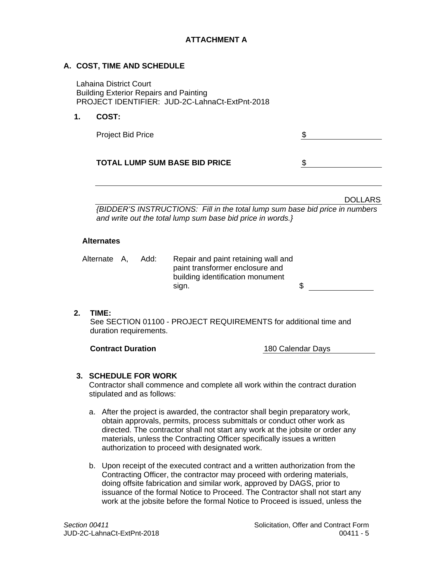## **ATTACHMENT A**

#### **A. COST, TIME AND SCHEDULE**

Lahaina District Court Building Exterior Repairs and Painting PROJECT IDENTIFIER: JUD-2C-LahnaCt-ExtPnt-2018

#### **1. COST:**

| <b>Project Bid Price</b>             |  |
|--------------------------------------|--|
| <b>TOTAL LUMP SUM BASE BID PRICE</b> |  |

DOLLARS

*{BIDDER'S INSTRUCTIONS: Fill in the total lump sum base bid price in numbers and write out the total lump sum base bid price in words.}* 

#### **Alternates**

Alternate A, Add: Repair and paint retaining wall and paint transformer enclosure and building identification monument  $sign.$  \$

**2. TIME:** 

See SECTION 01100 - PROJECT REQUIREMENTS for additional time and duration requirements.

**Contract Duration**  180 Calendar Days

#### **3. SCHEDULE FOR WORK**

Contractor shall commence and complete all work within the contract duration stipulated and as follows:

- a. After the project is awarded, the contractor shall begin preparatory work, obtain approvals, permits, process submittals or conduct other work as directed. The contractor shall not start any work at the jobsite or order any materials, unless the Contracting Officer specifically issues a written authorization to proceed with designated work.
- b. Upon receipt of the executed contract and a written authorization from the Contracting Officer, the contractor may proceed with ordering materials, doing offsite fabrication and similar work, approved by DAGS, prior to issuance of the formal Notice to Proceed. The Contractor shall not start any work at the jobsite before the formal Notice to Proceed is issued, unless the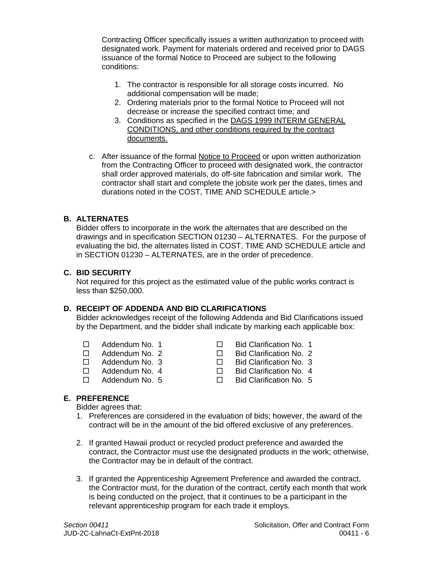Contracting Officer specifically issues a written authorization to proceed with designated work. Payment for materials ordered and received prior to DAGS issuance of the formal Notice to Proceed are subject to the following conditions:

- 1. The contractor is responsible for all storage costs incurred. No additional compensation will be made;
- 2. Ordering materials prior to the formal Notice to Proceed will not decrease or increase the specified contract time; and
- 3. Conditions as specified in the DAGS 1999 INTERIM GENERAL CONDITIONS, and other conditions required by the contract documents.
- c. After issuance of the formal Notice to Proceed or upon written authorization from the Contracting Officer to proceed with designated work, the contractor shall order approved materials, do off-site fabrication and similar work. The contractor shall start and complete the jobsite work per the dates, times and durations noted in the COST, TIME AND SCHEDULE article.>

## **B. ALTERNATES**

Bidder offers to incorporate in the work the alternates that are described on the drawings and in specification SECTION 01230 – ALTERNATES. For the purpose of evaluating the bid, the alternates listed in COST, TIME AND SCHEDULE article and in SECTION 01230 – ALTERNATES, are in the order of precedence.

#### **C. BID SECURITY**

Not required for this project as the estimated value of the public works contract is less than \$250,000.

### **D. RECEIPT OF ADDENDA AND BID CLARIFICATIONS**

Bidder acknowledges receipt of the following Addenda and Bid Clarifications issued by the Department, and the bidder shall indicate by marking each applicable box:

- 
- 
- 
- 
- 
- Addendum No. 1 Bid Clarification No. 1
- □ Addendum No. 2 □ Bid Clarification No. 2<br>□ Addendum No. 3 □ Bid Clarification No. 3
	- □ Bid Clarification No. 3
- □ Addendum No. 4 □ Bid Clarification No. 4
- $\Box$  Addendum No. 5  $\Box$  Bid Clarification No. 5

#### **E. PREFERENCE**

Bidder agrees that:

- 1. Preferences are considered in the evaluation of bids; however, the award of the contract will be in the amount of the bid offered exclusive of any preferences.
- 2. If granted Hawaii product or recycled product preference and awarded the contract, the Contractor must use the designated products in the work; otherwise, the Contractor may be in default of the contract.
- 3. If granted the Apprenticeship Agreement Preference and awarded the contract, the Contractor must, for the duration of the contract, certify each month that work is being conducted on the project, that it continues to be a participant in the relevant apprenticeship program for each trade it employs.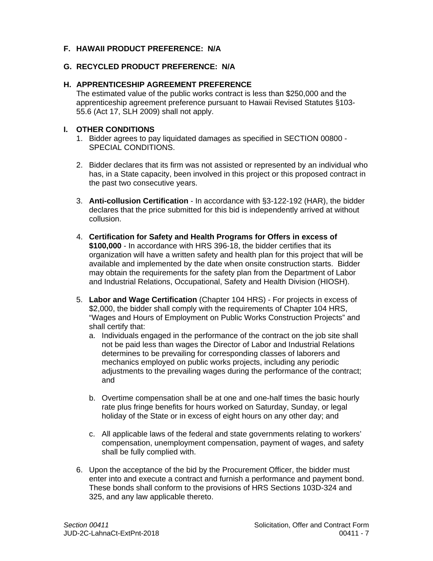## **F. HAWAII PRODUCT PREFERENCE: N/A**

#### **G. RECYCLED PRODUCT PREFERENCE: N/A**

#### **H. APPRENTICESHIP AGREEMENT PREFERENCE**

The estimated value of the public works contract is less than \$250,000 and the apprenticeship agreement preference pursuant to Hawaii Revised Statutes §103- 55.6 (Act 17, SLH 2009) shall not apply.

#### **I. OTHER CONDITIONS**

- 1. Bidder agrees to pay liquidated damages as specified in SECTION 00800 SPECIAL CONDITIONS.
- 2. Bidder declares that its firm was not assisted or represented by an individual who has, in a State capacity, been involved in this project or this proposed contract in the past two consecutive years.
- 3. **Anti-collusion Certification** In accordance with §3-122-192 (HAR), the bidder declares that the price submitted for this bid is independently arrived at without collusion.
- 4. **Certification for Safety and Health Programs for Offers in excess of \$100,000** - In accordance with HRS 396-18, the bidder certifies that its organization will have a written safety and health plan for this project that will be available and implemented by the date when onsite construction starts. Bidder may obtain the requirements for the safety plan from the Department of Labor and Industrial Relations, Occupational, Safety and Health Division (HIOSH).
- 5. **Labor and Wage Certification** (Chapter 104 HRS) For projects in excess of \$2,000, the bidder shall comply with the requirements of Chapter 104 HRS, "Wages and Hours of Employment on Public Works Construction Projects" and shall certify that:
	- a. Individuals engaged in the performance of the contract on the job site shall not be paid less than wages the Director of Labor and Industrial Relations determines to be prevailing for corresponding classes of laborers and mechanics employed on public works projects, including any periodic adjustments to the prevailing wages during the performance of the contract; and
	- b. Overtime compensation shall be at one and one-half times the basic hourly rate plus fringe benefits for hours worked on Saturday, Sunday, or legal holiday of the State or in excess of eight hours on any other day; and
	- c. All applicable laws of the federal and state governments relating to workers' compensation, unemployment compensation, payment of wages, and safety shall be fully complied with.
- 6. Upon the acceptance of the bid by the Procurement Officer, the bidder must enter into and execute a contract and furnish a performance and payment bond. These bonds shall conform to the provisions of HRS Sections 103D-324 and 325, and any law applicable thereto.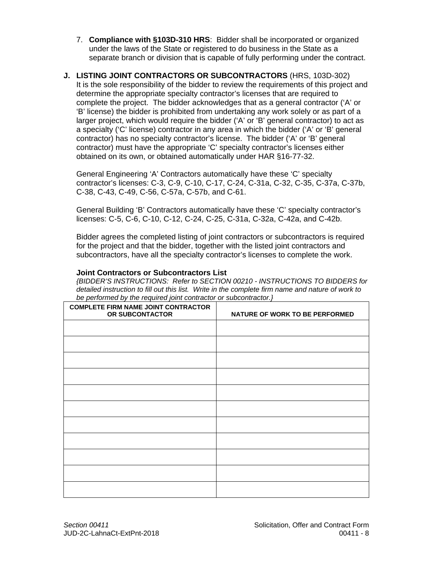- 7. **Compliance with §103D-310 HRS**: Bidder shall be incorporated or organized under the laws of the State or registered to do business in the State as a separate branch or division that is capable of fully performing under the contract.
- **J. LISTING JOINT CONTRACTORS OR SUBCONTRACTORS** (HRS, 103D-302) It is the sole responsibility of the bidder to review the requirements of this project and determine the appropriate specialty contractor's licenses that are required to complete the project. The bidder acknowledges that as a general contractor ('A' or 'B' license) the bidder is prohibited from undertaking any work solely or as part of a larger project, which would require the bidder ('A' or 'B' general contractor) to act as a specialty ('C' license) contractor in any area in which the bidder ('A' or 'B' general contractor) has no specialty contractor's license. The bidder ('A' or 'B' general contractor) must have the appropriate 'C' specialty contractor's licenses either obtained on its own, or obtained automatically under HAR §16-77-32.

General Engineering 'A' Contractors automatically have these 'C' specialty contractor's licenses: C-3, C-9, C-10, C-17, C-24, C-31a, C-32, C-35, C-37a, C-37b, C-38, C-43, C-49, C-56, C-57a, C-57b, and C-61.

General Building 'B' Contractors automatically have these 'C' specialty contractor's licenses: C-5, C-6, C-10, C-12, C-24, C-25, C-31a, C-32a, C-42a, and C-42b.

Bidder agrees the completed listing of joint contractors or subcontractors is required for the project and that the bidder, together with the listed joint contractors and subcontractors, have all the specialty contractor's licenses to complete the work.

#### **Joint Contractors or Subcontractors List**

*{BIDDER'S INSTRUCTIONS: Refer to SECTION 00210 - INSTRUCTIONS TO BIDDERS for detailed instruction to fill out this list. Write in the complete firm name and nature of work to be performed by the required joint contractor or subcontractor.}* 

| <b>COMPLETE FIRM NAME JOINT CONTRACTOR</b><br>OR SUBCONTACTOR | NATURE OF WORK TO BE PERFORMED |
|---------------------------------------------------------------|--------------------------------|
|                                                               |                                |
|                                                               |                                |
|                                                               |                                |
|                                                               |                                |
|                                                               |                                |
|                                                               |                                |
|                                                               |                                |
|                                                               |                                |
|                                                               |                                |
|                                                               |                                |
|                                                               |                                |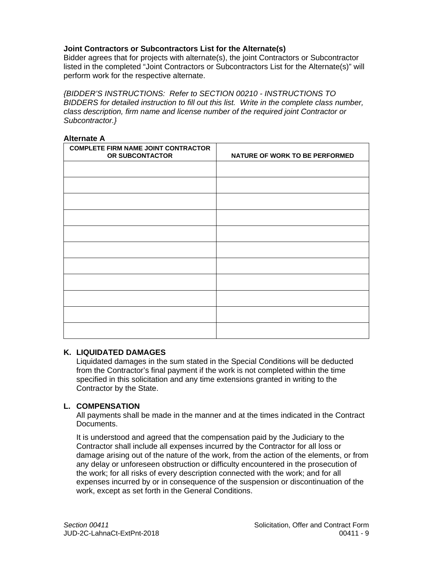## **Joint Contractors or Subcontractors List for the Alternate(s)**

Bidder agrees that for projects with alternate(s), the joint Contractors or Subcontractor listed in the completed "Joint Contractors or Subcontractors List for the Alternate(s)" will perform work for the respective alternate.

*{BIDDER'S INSTRUCTIONS: Refer to SECTION 00210 - INSTRUCTIONS TO BIDDERS for detailed instruction to fill out this list. Write in the complete class number, class description, firm name and license number of the required joint Contractor or Subcontractor.}* 

#### **Alternate A**

| <b>COMPLETE FIRM NAME JOINT CONTRACTOR</b><br>OR SUBCONTACTOR | NATURE OF WORK TO BE PERFORMED |
|---------------------------------------------------------------|--------------------------------|
|                                                               |                                |
|                                                               |                                |
|                                                               |                                |
|                                                               |                                |
|                                                               |                                |
|                                                               |                                |
|                                                               |                                |
|                                                               |                                |
|                                                               |                                |
|                                                               |                                |
|                                                               |                                |

#### **K. LIQUIDATED DAMAGES**

Liquidated damages in the sum stated in the Special Conditions will be deducted from the Contractor's final payment if the work is not completed within the time specified in this solicitation and any time extensions granted in writing to the Contractor by the State.

#### **L. COMPENSATION**

All payments shall be made in the manner and at the times indicated in the Contract Documents.

It is understood and agreed that the compensation paid by the Judiciary to the Contractor shall include all expenses incurred by the Contractor for all loss or damage arising out of the nature of the work, from the action of the elements, or from any delay or unforeseen obstruction or difficulty encountered in the prosecution of the work; for all risks of every description connected with the work; and for all expenses incurred by or in consequence of the suspension or discontinuation of the work, except as set forth in the General Conditions.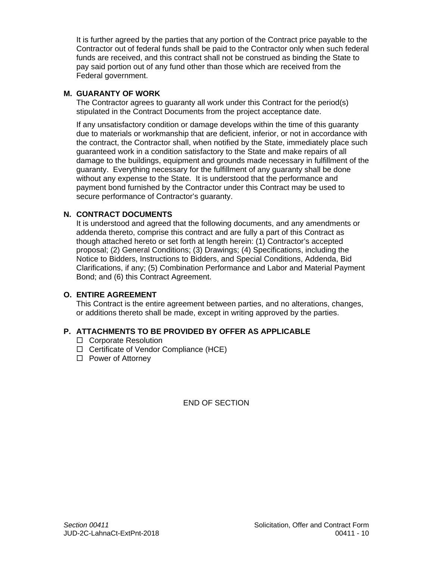It is further agreed by the parties that any portion of the Contract price payable to the Contractor out of federal funds shall be paid to the Contractor only when such federal funds are received, and this contract shall not be construed as binding the State to pay said portion out of any fund other than those which are received from the Federal government.

## **M. GUARANTY OF WORK**

The Contractor agrees to guaranty all work under this Contract for the period(s) stipulated in the Contract Documents from the project acceptance date.

If any unsatisfactory condition or damage develops within the time of this guaranty due to materials or workmanship that are deficient, inferior, or not in accordance with the contract, the Contractor shall, when notified by the State, immediately place such guaranteed work in a condition satisfactory to the State and make repairs of all damage to the buildings, equipment and grounds made necessary in fulfillment of the guaranty. Everything necessary for the fulfillment of any guaranty shall be done without any expense to the State. It is understood that the performance and payment bond furnished by the Contractor under this Contract may be used to secure performance of Contractor's guaranty.

## **N. CONTRACT DOCUMENTS**

It is understood and agreed that the following documents, and any amendments or addenda thereto, comprise this contract and are fully a part of this Contract as though attached hereto or set forth at length herein: (1) Contractor's accepted proposal; (2) General Conditions; (3) Drawings; (4) Specifications, including the Notice to Bidders, Instructions to Bidders, and Special Conditions, Addenda, Bid Clarifications, if any; (5) Combination Performance and Labor and Material Payment Bond; and (6) this Contract Agreement.

#### **O. ENTIRE AGREEMENT**

This Contract is the entire agreement between parties, and no alterations, changes, or additions thereto shall be made, except in writing approved by the parties.

## **P. ATTACHMENTS TO BE PROVIDED BY OFFER AS APPLICABLE**

- □ Corporate Resolution
- $\Box$  Certificate of Vendor Compliance (HCE)
- $\Box$  Power of Attorney

END OF SECTION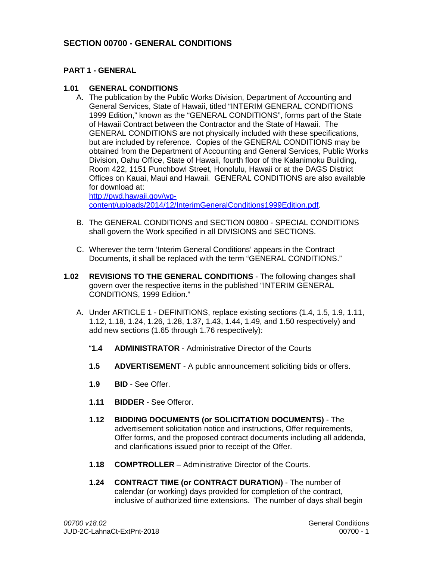## **SECTION 00700 - GENERAL CONDITIONS**

#### **PART 1 - GENERAL**

#### **1.01 GENERAL CONDITIONS**

A. The publication by the Public Works Division, Department of Accounting and General Services, State of Hawaii, titled "INTERIM GENERAL CONDITIONS 1999 Edition," known as the "GENERAL CONDITIONS", forms part of the State of Hawaii Contract between the Contractor and the State of Hawaii. The GENERAL CONDITIONS are not physically included with these specifications, but are included by reference. Copies of the GENERAL CONDITIONS may be obtained from the Department of Accounting and General Services, Public Works Division, Oahu Office, State of Hawaii, fourth floor of the Kalanimoku Building, Room 422, 1151 Punchbowl Street, Honolulu, Hawaii or at the DAGS District Offices on Kauai, Maui and Hawaii. GENERAL CONDITIONS are also available for download at:

http://pwd.hawaii.gov/wpcontent/uploads/2014/12/InterimGeneralConditions1999Edition.pdf.

- B. The GENERAL CONDITIONS and SECTION 00800 SPECIAL CONDITIONS shall govern the Work specified in all DIVISIONS and SECTIONS.
- C. Wherever the term 'Interim General Conditions' appears in the Contract Documents, it shall be replaced with the term "GENERAL CONDITIONS."
- **1.02 REVISIONS TO THE GENERAL CONDITIONS** The following changes shall govern over the respective items in the published "INTERIM GENERAL CONDITIONS, 1999 Edition."
	- A. Under ARTICLE 1 DEFINITIONS, replace existing sections (1.4, 1.5, 1.9, 1.11, 1.12, 1.18, 1.24, 1.26, 1.28, 1.37, 1.43, 1.44, 1.49, and 1.50 respectively) and add new sections (1.65 through 1.76 respectively):
		- "**1.4 ADMINISTRATOR** Administrative Director of the Courts
		- **1.5 ADVERTISEMENT** A public announcement soliciting bids or offers.
		- **1.9 BID** See Offer.
		- **1.11 BIDDER** See Offeror.
		- **1.12 BIDDING DOCUMENTS (or SOLICITATION DOCUMENTS)** The advertisement solicitation notice and instructions, Offer requirements, Offer forms, and the proposed contract documents including all addenda, and clarifications issued prior to receipt of the Offer.
		- **1.18 COMPTROLLER** Administrative Director of the Courts.
		- **1.24 CONTRACT TIME (or CONTRACT DURATION)** The number of calendar (or working) days provided for completion of the contract, inclusive of authorized time extensions. The number of days shall begin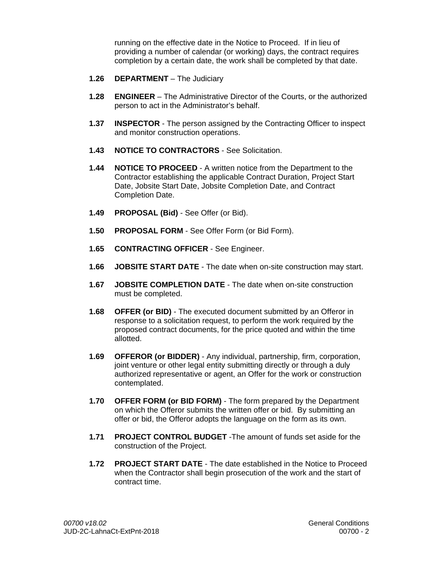running on the effective date in the Notice to Proceed. If in lieu of providing a number of calendar (or working) days, the contract requires completion by a certain date, the work shall be completed by that date.

- **1.26 DEPARTMENT** The Judiciary
- **1.28 ENGINEER** The Administrative Director of the Courts, or the authorized person to act in the Administrator's behalf.
- **1.37 INSPECTOR** The person assigned by the Contracting Officer to inspect and monitor construction operations.
- **1.43 NOTICE TO CONTRACTORS** See Solicitation.
- **1.44 NOTICE TO PROCEED** A written notice from the Department to the Contractor establishing the applicable Contract Duration, Project Start Date, Jobsite Start Date, Jobsite Completion Date, and Contract Completion Date.
- **1.49 PROPOSAL (Bid)** See Offer (or Bid).
- **1.50 PROPOSAL FORM** See Offer Form (or Bid Form).
- **1.65 CONTRACTING OFFICER** See Engineer.
- **1.66 JOBSITE START DATE** The date when on-site construction may start.
- **1.67 JOBSITE COMPLETION DATE** The date when on-site construction must be completed.
- **1.68 OFFER (or BID)** The executed document submitted by an Offeror in response to a solicitation request, to perform the work required by the proposed contract documents, for the price quoted and within the time allotted.
- **1.69 OFFEROR (or BIDDER)**  Any individual, partnership, firm, corporation, joint venture or other legal entity submitting directly or through a duly authorized representative or agent, an Offer for the work or construction contemplated.
- **1.70 OFFER FORM (or BID FORM)** The form prepared by the Department on which the Offeror submits the written offer or bid. By submitting an offer or bid, the Offeror adopts the language on the form as its own.
- **1.71 PROJECT CONTROL BUDGET** -The amount of funds set aside for the construction of the Project.
- **1.72 PROJECT START DATE** The date established in the Notice to Proceed when the Contractor shall begin prosecution of the work and the start of contract time.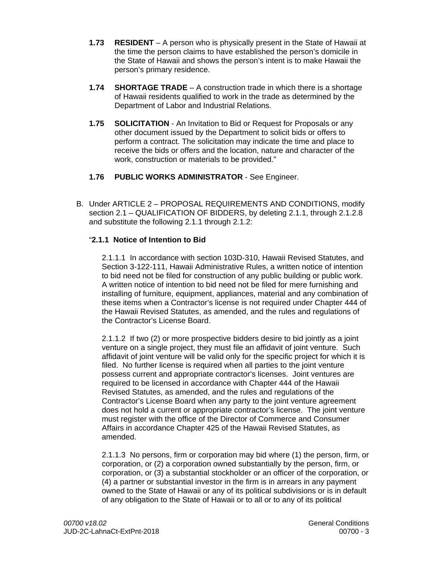- **1.73 RESIDENT**  A person who is physically present in the State of Hawaii at the time the person claims to have established the person's domicile in the State of Hawaii and shows the person's intent is to make Hawaii the person's primary residence.
- **1.74 SHORTAGE TRADE** A construction trade in which there is a shortage of Hawaii residents qualified to work in the trade as determined by the Department of Labor and Industrial Relations.
- **1.75 SOLICITATION** An Invitation to Bid or Request for Proposals or any other document issued by the Department to solicit bids or offers to perform a contract. The solicitation may indicate the time and place to receive the bids or offers and the location, nature and character of the work, construction or materials to be provided."
- **1.76 PUBLIC WORKS ADMINISTRATOR** See Engineer.
- B. Under ARTICLE 2 PROPOSAL REQUIREMENTS AND CONDITIONS, modify section 2.1 – QUALIFICATION OF BIDDERS, by deleting 2.1.1, through 2.1.2.8 and substitute the following 2.1.1 through 2.1.2:

## "**2.1.1 Notice of Intention to Bid**

2.1.1.1 In accordance with section 103D-310, Hawaii Revised Statutes, and Section 3-122-111, Hawaii Administrative Rules, a written notice of intention to bid need not be filed for construction of any public building or public work. A written notice of intention to bid need not be filed for mere furnishing and installing of furniture, equipment, appliances, material and any combination of these items when a Contractor's license is not required under Chapter 444 of the Hawaii Revised Statutes, as amended, and the rules and regulations of the Contractor's License Board.

2.1.1.2 If two (2) or more prospective bidders desire to bid jointly as a joint venture on a single project, they must file an affidavit of joint venture. Such affidavit of joint venture will be valid only for the specific project for which it is filed. No further license is required when all parties to the joint venture possess current and appropriate contractor's licenses. Joint ventures are required to be licensed in accordance with Chapter 444 of the Hawaii Revised Statutes, as amended, and the rules and regulations of the Contractor's License Board when any party to the joint venture agreement does not hold a current or appropriate contractor's license. The joint venture must register with the office of the Director of Commerce and Consumer Affairs in accordance Chapter 425 of the Hawaii Revised Statutes, as amended.

2.1.1.3 No persons, firm or corporation may bid where (1) the person, firm, or corporation, or (2) a corporation owned substantially by the person, firm, or corporation, or (3) a substantial stockholder or an officer of the corporation, or (4) a partner or substantial investor in the firm is in arrears in any payment owned to the State of Hawaii or any of its political subdivisions or is in default of any obligation to the State of Hawaii or to all or to any of its political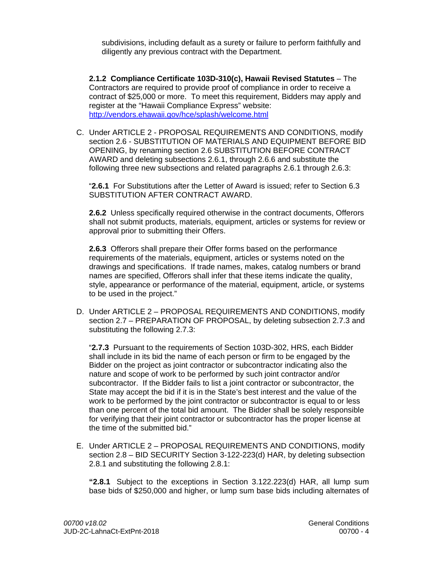subdivisions, including default as a surety or failure to perform faithfully and diligently any previous contract with the Department.

**2.1.2 Compliance Certificate 103D-310(c), Hawaii Revised Statutes** – The Contractors are required to provide proof of compliance in order to receive a contract of \$25,000 or more. To meet this requirement, Bidders may apply and register at the "Hawaii Compliance Express" website: http://vendors.ehawaii.gov/hce/splash/welcome.html

C. Under ARTICLE 2 - PROPOSAL REQUIREMENTS AND CONDITIONS, modify section 2.6 - SUBSTITUTION OF MATERIALS AND EQUIPMENT BEFORE BID OPENING, by renaming section 2.6 SUBSTITUTION BEFORE CONTRACT AWARD and deleting subsections 2.6.1, through 2.6.6 and substitute the following three new subsections and related paragraphs 2.6.1 through 2.6.3:

"**2.6.1** For Substitutions after the Letter of Award is issued; refer to Section 6.3 SUBSTITUTION AFTER CONTRACT AWARD.

**2.6.2** Unless specifically required otherwise in the contract documents, Offerors shall not submit products, materials, equipment, articles or systems for review or approval prior to submitting their Offers.

**2.6.3** Offerors shall prepare their Offer forms based on the performance requirements of the materials, equipment, articles or systems noted on the drawings and specifications. If trade names, makes, catalog numbers or brand names are specified, Offerors shall infer that these items indicate the quality, style, appearance or performance of the material, equipment, article, or systems to be used in the project."

D. Under ARTICLE 2 – PROPOSAL REQUIREMENTS AND CONDITIONS, modify section 2.7 – PREPARATION OF PROPOSAL, by deleting subsection 2.7.3 and substituting the following 2.7.3:

"**2.7.3** Pursuant to the requirements of Section 103D-302, HRS, each Bidder shall include in its bid the name of each person or firm to be engaged by the Bidder on the project as joint contractor or subcontractor indicating also the nature and scope of work to be performed by such joint contractor and/or subcontractor. If the Bidder fails to list a joint contractor or subcontractor, the State may accept the bid if it is in the State's best interest and the value of the work to be performed by the joint contractor or subcontractor is equal to or less than one percent of the total bid amount. The Bidder shall be solely responsible for verifying that their joint contractor or subcontractor has the proper license at the time of the submitted bid."

E. Under ARTICLE 2 – PROPOSAL REQUIREMENTS AND CONDITIONS, modify section 2.8 – BID SECURITY Section 3-122-223(d) HAR, by deleting subsection 2.8.1 and substituting the following 2.8.1:

 **"2.8.1** Subject to the exceptions in Section 3.122.223(d) HAR, all lump sum base bids of \$250,000 and higher, or lump sum base bids including alternates of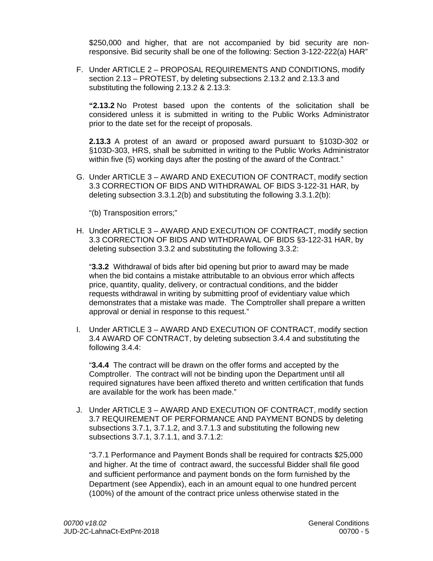\$250,000 and higher, that are not accompanied by bid security are nonresponsive. Bid security shall be one of the following: Section 3-122-222(a) HAR"

F. Under ARTICLE 2 – PROPOSAL REQUIREMENTS AND CONDITIONS, modify section 2.13 – PROTEST, by deleting subsections 2.13.2 and 2.13.3 and substituting the following 2.13.2 & 2.13.3:

**"2.13.2** No Protest based upon the contents of the solicitation shall be considered unless it is submitted in writing to the Public Works Administrator prior to the date set for the receipt of proposals.

**2.13.3** A protest of an award or proposed award pursuant to §103D-302 or §103D-303, HRS, shall be submitted in writing to the Public Works Administrator within five (5) working days after the posting of the award of the Contract."

G. Under ARTICLE 3 – AWARD AND EXECUTION OF CONTRACT, modify section 3.3 CORRECTION OF BIDS AND WITHDRAWAL OF BIDS 3-122-31 HAR, by deleting subsection 3.3.1.2(b) and substituting the following 3.3.1.2(b):

"(b) Transposition errors;"

H. Under ARTICLE 3 – AWARD AND EXECUTION OF CONTRACT, modify section 3.3 CORRECTION OF BIDS AND WITHDRAWAL OF BIDS §3-122-31 HAR, by deleting subsection 3.3.2 and substituting the following 3.3.2:

"**3.3.2** Withdrawal of bids after bid opening but prior to award may be made when the bid contains a mistake attributable to an obvious error which affects price, quantity, quality, delivery, or contractual conditions, and the bidder requests withdrawal in writing by submitting proof of evidentiary value which demonstrates that a mistake was made. The Comptroller shall prepare a written approval or denial in response to this request."

I. Under ARTICLE 3 – AWARD AND EXECUTION OF CONTRACT, modify section 3.4 AWARD OF CONTRACT, by deleting subsection 3.4.4 and substituting the following 3.4.4:

"**3.4.4** The contract will be drawn on the offer forms and accepted by the Comptroller. The contract will not be binding upon the Department until all required signatures have been affixed thereto and written certification that funds are available for the work has been made."

J. Under ARTICLE 3 – AWARD AND EXECUTION OF CONTRACT, modify section 3.7 REQUIREMENT OF PERFORMANCE AND PAYMENT BONDS by deleting subsections 3.7.1, 3.7.1.2, and 3.7.1.3 and substituting the following new subsections 3.7.1, 3.7.1.1, and 3.7.1.2:

"3.7.1 Performance and Payment Bonds shall be required for contracts \$25,000 and higher. At the time of contract award, the successful Bidder shall file good and sufficient performance and payment bonds on the form furnished by the Department (see Appendix), each in an amount equal to one hundred percent (100%) of the amount of the contract price unless otherwise stated in the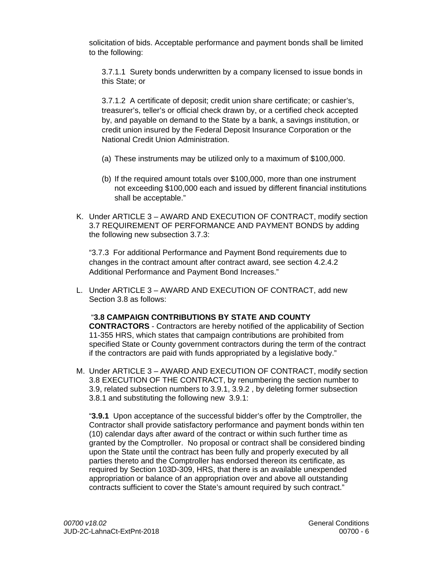solicitation of bids. Acceptable performance and payment bonds shall be limited to the following:

3.7.1.1 Surety bonds underwritten by a company licensed to issue bonds in this State; or

3.7.1.2 A certificate of deposit; credit union share certificate; or cashier's, treasurer's, teller's or official check drawn by, or a certified check accepted by, and payable on demand to the State by a bank, a savings institution, or credit union insured by the Federal Deposit Insurance Corporation or the National Credit Union Administration.

- (a) These instruments may be utilized only to a maximum of \$100,000.
- (b) If the required amount totals over \$100,000, more than one instrument not exceeding \$100,000 each and issued by different financial institutions shall be acceptable."
- K. Under ARTICLE 3 AWARD AND EXECUTION OF CONTRACT, modify section 3.7 REQUIREMENT OF PERFORMANCE AND PAYMENT BONDS by adding the following new subsection 3.7.3:

"3.7.3 For additional Performance and Payment Bond requirements due to changes in the contract amount after contract award, see section 4.2.4.2 Additional Performance and Payment Bond Increases."

L. Under ARTICLE 3 – AWARD AND EXECUTION OF CONTRACT, add new Section 3.8 as follows:

#### "**3.8 CAMPAIGN CONTRIBUTIONS BY STATE AND COUNTY**

**CONTRACTORS** - Contractors are hereby notified of the applicability of Section 11-355 HRS, which states that campaign contributions are prohibited from specified State or County government contractors during the term of the contract if the contractors are paid with funds appropriated by a legislative body."

M. Under ARTICLE 3 – AWARD AND EXECUTION OF CONTRACT, modify section 3.8 EXECUTION OF THE CONTRACT, by renumbering the section number to 3.9, related subsection numbers to 3.9.1, 3.9.2 , by deleting former subsection 3.8.1 and substituting the following new 3.9.1:

"**3.9.1** Upon acceptance of the successful bidder's offer by the Comptroller, the Contractor shall provide satisfactory performance and payment bonds within ten (10) calendar days after award of the contract or within such further time as granted by the Comptroller. No proposal or contract shall be considered binding upon the State until the contract has been fully and properly executed by all parties thereto and the Comptroller has endorsed thereon its certificate, as required by Section 103D-309, HRS, that there is an available unexpended appropriation or balance of an appropriation over and above all outstanding contracts sufficient to cover the State's amount required by such contract."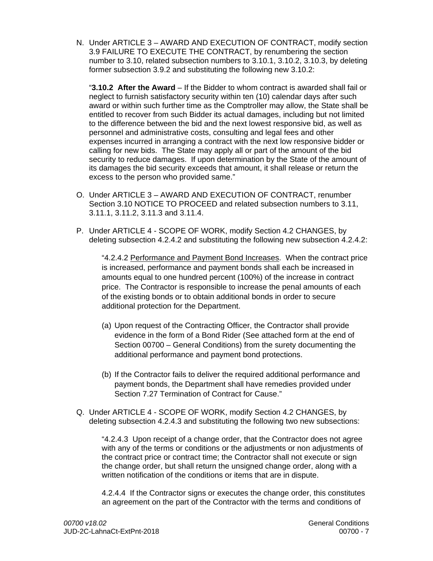N. Under ARTICLE 3 – AWARD AND EXECUTION OF CONTRACT, modify section 3.9 FAILURE TO EXECUTE THE CONTRACT, by renumbering the section number to 3.10, related subsection numbers to 3.10.1, 3.10.2, 3.10.3, by deleting former subsection 3.9.2 and substituting the following new 3.10.2:

"**3.10.2 After the Award** – If the Bidder to whom contract is awarded shall fail or neglect to furnish satisfactory security within ten (10) calendar days after such award or within such further time as the Comptroller may allow, the State shall be entitled to recover from such Bidder its actual damages, including but not limited to the difference between the bid and the next lowest responsive bid, as well as personnel and administrative costs, consulting and legal fees and other expenses incurred in arranging a contract with the next low responsive bidder or calling for new bids. The State may apply all or part of the amount of the bid security to reduce damages. If upon determination by the State of the amount of its damages the bid security exceeds that amount, it shall release or return the excess to the person who provided same."

- O. Under ARTICLE 3 AWARD AND EXECUTION OF CONTRACT, renumber Section 3.10 NOTICE TO PROCEED and related subsection numbers to 3.11, 3.11.1, 3.11.2, 3.11.3 and 3.11.4.
- P. Under ARTICLE 4 SCOPE OF WORK, modify Section 4.2 CHANGES, by deleting subsection 4.2.4.2 and substituting the following new subsection 4.2.4.2:

"4.2.4.2 Performance and Payment Bond Increases. When the contract price is increased, performance and payment bonds shall each be increased in amounts equal to one hundred percent (100%) of the increase in contract price. The Contractor is responsible to increase the penal amounts of each of the existing bonds or to obtain additional bonds in order to secure additional protection for the Department.

- (a) Upon request of the Contracting Officer, the Contractor shall provide evidence in the form of a Bond Rider (See attached form at the end of Section 00700 – General Conditions) from the surety documenting the additional performance and payment bond protections.
- (b) If the Contractor fails to deliver the required additional performance and payment bonds, the Department shall have remedies provided under Section 7.27 Termination of Contract for Cause."
- Q. Under ARTICLE 4 SCOPE OF WORK, modify Section 4.2 CHANGES, by deleting subsection 4.2.4.3 and substituting the following two new subsections:

"4.2.4.3 Upon receipt of a change order, that the Contractor does not agree with any of the terms or conditions or the adjustments or non adjustments of the contract price or contract time; the Contractor shall not execute or sign the change order, but shall return the unsigned change order, along with a written notification of the conditions or items that are in dispute.

4.2.4.4 If the Contractor signs or executes the change order, this constitutes an agreement on the part of the Contractor with the terms and conditions of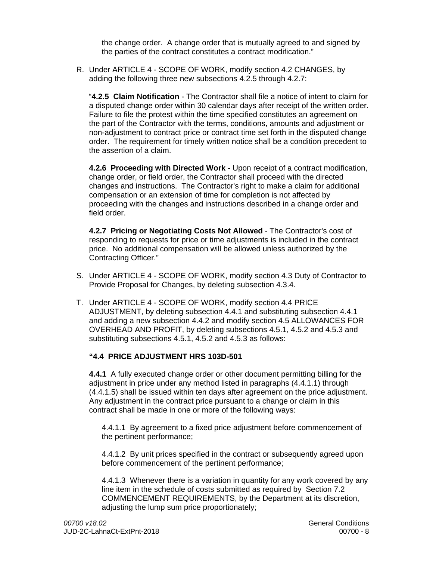the change order. A change order that is mutually agreed to and signed by the parties of the contract constitutes a contract modification."

R. Under ARTICLE 4 - SCOPE OF WORK, modify section 4.2 CHANGES, by adding the following three new subsections 4.2.5 through 4.2.7:

"**4.2.5 Claim Notification** - The Contractor shall file a notice of intent to claim for a disputed change order within 30 calendar days after receipt of the written order. Failure to file the protest within the time specified constitutes an agreement on the part of the Contractor with the terms, conditions, amounts and adjustment or non-adjustment to contract price or contract time set forth in the disputed change order. The requirement for timely written notice shall be a condition precedent to the assertion of a claim.

**4.2.6 Proceeding with Directed Work** - Upon receipt of a contract modification, change order, or field order, the Contractor shall proceed with the directed changes and instructions. The Contractor's right to make a claim for additional compensation or an extension of time for completion is not affected by proceeding with the changes and instructions described in a change order and field order.

**4.2.7 Pricing or Negotiating Costs Not Allowed** - The Contractor's cost of responding to requests for price or time adjustments is included in the contract price. No additional compensation will be allowed unless authorized by the Contracting Officer."

- S. Under ARTICLE 4 SCOPE OF WORK, modify section 4.3 Duty of Contractor to Provide Proposal for Changes, by deleting subsection 4.3.4.
- T. Under ARTICLE 4 SCOPE OF WORK, modify section 4.4 PRICE ADJUSTMENT, by deleting subsection 4.4.1 and substituting subsection 4.4.1 and adding a new subsection 4.4.2 and modify section 4.5 ALLOWANCES FOR OVERHEAD AND PROFIT, by deleting subsections 4.5.1, 4.5.2 and 4.5.3 and substituting subsections 4.5.1, 4.5.2 and 4.5.3 as follows:

## **"4.4 PRICE ADJUSTMENT HRS 103D-501**

**4.4.1** A fully executed change order or other document permitting billing for the adjustment in price under any method listed in paragraphs (4.4.1.1) through (4.4.1.5) shall be issued within ten days after agreement on the price adjustment. Any adjustment in the contract price pursuant to a change or claim in this contract shall be made in one or more of the following ways:

4.4.1.1 By agreement to a fixed price adjustment before commencement of the pertinent performance;

4.4.1.2 By unit prices specified in the contract or subsequently agreed upon before commencement of the pertinent performance;

4.4.1.3 Whenever there is a variation in quantity for any work covered by any line item in the schedule of costs submitted as required by Section 7.2 COMMENCEMENT REQUIREMENTS, by the Department at its discretion, adjusting the lump sum price proportionately;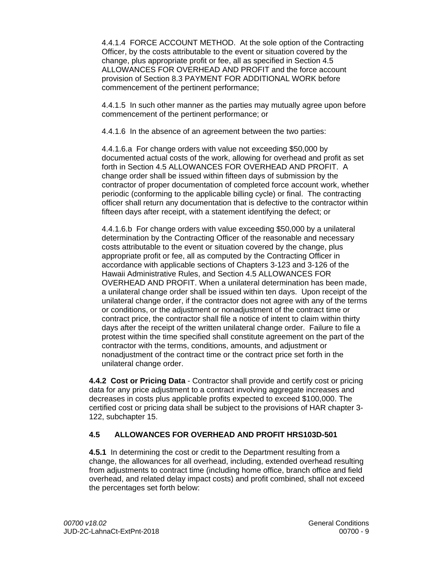4.4.1.4 FORCE ACCOUNT METHOD. At the sole option of the Contracting Officer, by the costs attributable to the event or situation covered by the change, plus appropriate profit or fee, all as specified in Section 4.5 ALLOWANCES FOR OVERHEAD AND PROFIT and the force account provision of Section 8.3 PAYMENT FOR ADDITIONAL WORK before commencement of the pertinent performance;

4.4.1.5 In such other manner as the parties may mutually agree upon before commencement of the pertinent performance; or

4.4.1.6 In the absence of an agreement between the two parties:

4.4.1.6.a For change orders with value not exceeding \$50,000 by documented actual costs of the work, allowing for overhead and profit as set forth in Section 4.5 ALLOWANCES FOR OVERHEAD AND PROFIT. A change order shall be issued within fifteen days of submission by the contractor of proper documentation of completed force account work, whether periodic (conforming to the applicable billing cycle) or final. The contracting officer shall return any documentation that is defective to the contractor within fifteen days after receipt, with a statement identifying the defect; or

4.4.1.6.b For change orders with value exceeding \$50,000 by a unilateral determination by the Contracting Officer of the reasonable and necessary costs attributable to the event or situation covered by the change, plus appropriate profit or fee, all as computed by the Contracting Officer in accordance with applicable sections of Chapters 3-123 and 3-126 of the Hawaii Administrative Rules, and Section 4.5 ALLOWANCES FOR OVERHEAD AND PROFIT. When a unilateral determination has been made, a unilateral change order shall be issued within ten days. Upon receipt of the unilateral change order, if the contractor does not agree with any of the terms or conditions, or the adjustment or nonadjustment of the contract time or contract price, the contractor shall file a notice of intent to claim within thirty days after the receipt of the written unilateral change order. Failure to file a protest within the time specified shall constitute agreement on the part of the contractor with the terms, conditions, amounts, and adjustment or nonadjustment of the contract time or the contract price set forth in the unilateral change order.

**4.4.2 Cost or Pricing Data** - Contractor shall provide and certify cost or pricing data for any price adjustment to a contract involving aggregate increases and decreases in costs plus applicable profits expected to exceed \$100,000. The certified cost or pricing data shall be subject to the provisions of HAR chapter 3- 122, subchapter 15.

## **4.5 ALLOWANCES FOR OVERHEAD AND PROFIT HRS103D-501**

**4.5.1** In determining the cost or credit to the Department resulting from a change, the allowances for all overhead, including, extended overhead resulting from adjustments to contract time (including home office, branch office and field overhead, and related delay impact costs) and profit combined, shall not exceed the percentages set forth below: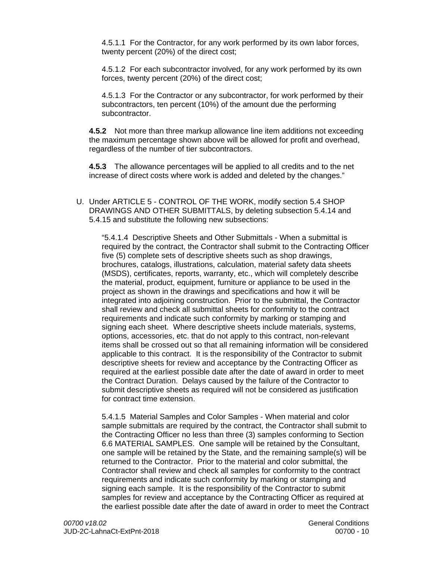4.5.1.1 For the Contractor, for any work performed by its own labor forces, twenty percent (20%) of the direct cost;

4.5.1.2 For each subcontractor involved, for any work performed by its own forces, twenty percent (20%) of the direct cost;

4.5.1.3 For the Contractor or any subcontractor, for work performed by their subcontractors, ten percent (10%) of the amount due the performing subcontractor.

**4.5.2** Not more than three markup allowance line item additions not exceeding the maximum percentage shown above will be allowed for profit and overhead, regardless of the number of tier subcontractors.

**4.5.3** The allowance percentages will be applied to all credits and to the net increase of direct costs where work is added and deleted by the changes."

U. Under ARTICLE 5 - CONTROL OF THE WORK, modify section 5.4 SHOP DRAWINGS AND OTHER SUBMITTALS, by deleting subsection 5.4.14 and 5.4.15 and substitute the following new subsections:

"5.4.1.4 Descriptive Sheets and Other Submittals - When a submittal is required by the contract, the Contractor shall submit to the Contracting Officer five (5) complete sets of descriptive sheets such as shop drawings, brochures, catalogs, illustrations, calculation, material safety data sheets (MSDS), certificates, reports, warranty, etc., which will completely describe the material, product, equipment, furniture or appliance to be used in the project as shown in the drawings and specifications and how it will be integrated into adjoining construction. Prior to the submittal, the Contractor shall review and check all submittal sheets for conformity to the contract requirements and indicate such conformity by marking or stamping and signing each sheet. Where descriptive sheets include materials, systems, options, accessories, etc. that do not apply to this contract, non-relevant items shall be crossed out so that all remaining information will be considered applicable to this contract. It is the responsibility of the Contractor to submit descriptive sheets for review and acceptance by the Contracting Officer as required at the earliest possible date after the date of award in order to meet the Contract Duration. Delays caused by the failure of the Contractor to submit descriptive sheets as required will not be considered as justification for contract time extension.

5.4.1.5 Material Samples and Color Samples - When material and color sample submittals are required by the contract, the Contractor shall submit to the Contracting Officer no less than three (3) samples conforming to Section 6.6 MATERIAL SAMPLES. One sample will be retained by the Consultant, one sample will be retained by the State, and the remaining sample(s) will be returned to the Contractor. Prior to the material and color submittal, the Contractor shall review and check all samples for conformity to the contract requirements and indicate such conformity by marking or stamping and signing each sample. It is the responsibility of the Contractor to submit samples for review and acceptance by the Contracting Officer as required at the earliest possible date after the date of award in order to meet the Contract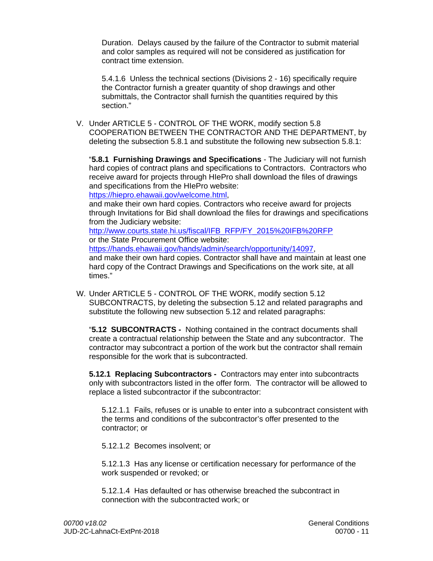Duration. Delays caused by the failure of the Contractor to submit material and color samples as required will not be considered as justification for contract time extension.

5.4.1.6 Unless the technical sections (Divisions 2 - 16) specifically require the Contractor furnish a greater quantity of shop drawings and other submittals, the Contractor shall furnish the quantities required by this section."

V. Under ARTICLE 5 - CONTROL OF THE WORK, modify section 5.8 COOPERATION BETWEEN THE CONTRACTOR AND THE DEPARTMENT, by deleting the subsection 5.8.1 and substitute the following new subsection 5.8.1:

"**5.8.1 Furnishing Drawings and Specifications** - The Judiciary will not furnish hard copies of contract plans and specifications to Contractors. Contractors who receive award for projects through HIePro shall download the files of drawings and specifications from the HIePro website:

https://hiepro.ehawaii.gov/welcome.html,

and make their own hard copies. Contractors who receive award for projects through Invitations for Bid shall download the files for drawings and specifications from the Judiciary website:

<u>http://www.courts.state.hi.us/fiscal/IFB\_RFP/FY\_2015%20IFB%20RFP</u><br>or the State Procurement Office website:

https://hands.ehawaii.gov/hands/admin/search/opportunity/14097,

and make their own hard copies. Contractor shall have and maintain at least one hard copy of the Contract Drawings and Specifications on the work site, at all times."

W. Under ARTICLE 5 - CONTROL OF THE WORK, modify section 5.12 SUBCONTRACTS, by deleting the subsection 5.12 and related paragraphs and substitute the following new subsection 5.12 and related paragraphs:

"**5.12 SUBCONTRACTS -** Nothing contained in the contract documents shall create a contractual relationship between the State and any subcontractor. The contractor may subcontract a portion of the work but the contractor shall remain responsible for the work that is subcontracted.

**5.12.1 Replacing Subcontractors -** Contractors may enter into subcontracts only with subcontractors listed in the offer form. The contractor will be allowed to replace a listed subcontractor if the subcontractor:

contractor: or 5.12.1.1 Fails, refuses or is unable to enter into a subcontract consistent with the terms and conditions of the subcontractor's offer presented to the

5.12.1.2 Becomes insolvent; or

5.12.1.3 Has any license or certification necessary for performance of the work suspended or revoked; or

5.12.1.4 Has defaulted or has otherwise breached the subcontract in connection with the subcontracted work; or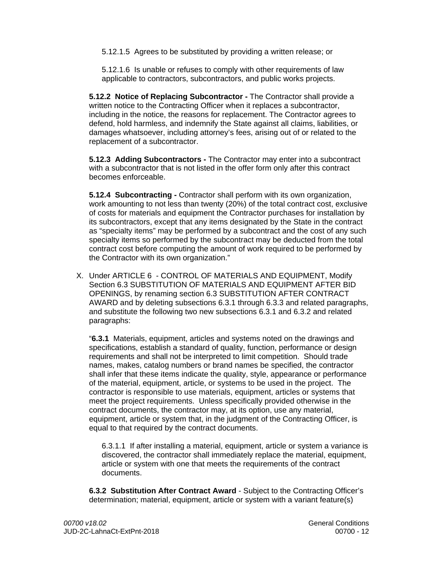5.12.1.5 Agrees to be substituted by providing a written release; or

5.12.1.6 Is unable or refuses to comply with other requirements of law applicable to contractors, subcontractors, and public works projects.

**5.12.2 Notice of Replacing Subcontractor -** The Contractor shall provide a written notice to the Contracting Officer when it replaces a subcontractor, including in the notice, the reasons for replacement. The Contractor agrees to defend, hold harmless, and indemnify the State against all claims, liabilities, or damages whatsoever, including attorney's fees, arising out of or related to the replacement of a subcontractor.

**5.12.3 Adding Subcontractors -** The Contractor may enter into a subcontract with a subcontractor that is not listed in the offer form only after this contract becomes enforceable.

**5.12.4 Subcontracting -** Contractor shall perform with its own organization, work amounting to not less than twenty (20%) of the total contract cost, exclusive of costs for materials and equipment the Contractor purchases for installation by its subcontractors, except that any items designated by the State in the contract as "specialty items" may be performed by a subcontract and the cost of any such specialty items so performed by the subcontract may be deducted from the total contract cost before computing the amount of work required to be performed by the Contractor with its own organization."

X. Under ARTICLE 6 - CONTROL OF MATERIALS AND EQUIPMENT, Modify Section 6.3 SUBSTITUTION OF MATERIALS AND EQUIPMENT AFTER BID OPENINGS, by renaming section 6.3 SUBSTITUTION AFTER CONTRACT AWARD and by deleting subsections 6.3.1 through 6.3.3 and related paragraphs, and substitute the following two new subsections 6.3.1 and 6.3.2 and related paragraphs:

 "**6.3.1** Materials, equipment, articles and systems noted on the drawings and specifications, establish a standard of quality, function, performance or design requirements and shall not be interpreted to limit competition. Should trade names, makes, catalog numbers or brand names be specified, the contractor shall infer that these items indicate the quality, style, appearance or performance of the material, equipment, article, or systems to be used in the project. The contractor is responsible to use materials, equipment, articles or systems that meet the project requirements. Unless specifically provided otherwise in the contract documents, the contractor may, at its option, use any material, equipment, article or system that, in the judgment of the Contracting Officer, is equal to that required by the contract documents.

6.3.1.1 If after installing a material, equipment, article or system a variance is discovered, the contractor shall immediately replace the material, equipment, article or system with one that meets the requirements of the contract documents.

**6.3.2 Substitution After Contract Award** - Subject to the Contracting Officer's determination; material, equipment, article or system with a variant feature(s)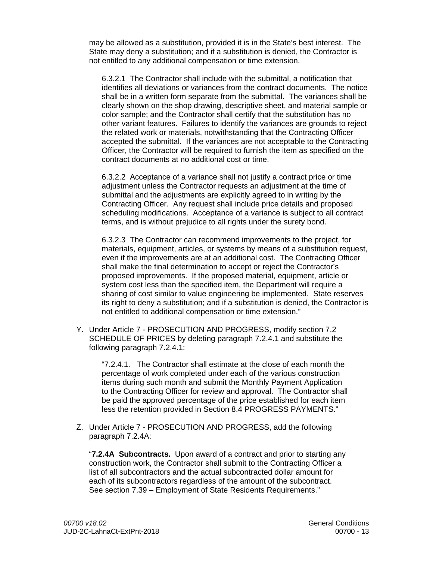may be allowed as a substitution, provided it is in the State's best interest. The State may deny a substitution; and if a substitution is denied, the Contractor is not entitled to any additional compensation or time extension.

6.3.2.1 The Contractor shall include with the submittal, a notification that identifies all deviations or variances from the contract documents. The notice shall be in a written form separate from the submittal. The variances shall be clearly shown on the shop drawing, descriptive sheet, and material sample or color sample; and the Contractor shall certify that the substitution has no other variant features. Failures to identify the variances are grounds to reject the related work or materials, notwithstanding that the Contracting Officer accepted the submittal. If the variances are not acceptable to the Contracting Officer, the Contractor will be required to furnish the item as specified on the contract documents at no additional cost or time.

6.3.2.2 Acceptance of a variance shall not justify a contract price or time adjustment unless the Contractor requests an adjustment at the time of submittal and the adjustments are explicitly agreed to in writing by the Contracting Officer. Any request shall include price details and proposed scheduling modifications. Acceptance of a variance is subject to all contract terms, and is without prejudice to all rights under the surety bond.

6.3.2.3 The Contractor can recommend improvements to the project, for materials, equipment, articles, or systems by means of a substitution request, even if the improvements are at an additional cost. The Contracting Officer shall make the final determination to accept or reject the Contractor's proposed improvements. If the proposed material, equipment, article or system cost less than the specified item, the Department will require a sharing of cost similar to value engineering be implemented. State reserves its right to deny a substitution; and if a substitution is denied, the Contractor is not entitled to additional compensation or time extension."

Y. Under Article 7 - PROSECUTION AND PROGRESS, modify section 7.2 SCHEDULE OF PRICES by deleting paragraph 7.2.4.1 and substitute the following paragraph 7.2.4.1:

"7.2.4.1. The Contractor shall estimate at the close of each month the percentage of work completed under each of the various construction items during such month and submit the Monthly Payment Application to the Contracting Officer for review and approval. The Contractor shall be paid the approved percentage of the price established for each item less the retention provided in Section 8.4 PROGRESS PAYMENTS."

Z. Under Article 7 - PROSECUTION AND PROGRESS, add the following paragraph 7.2.4A:

"**7.2.4A Subcontracts.** Upon award of a contract and prior to starting any construction work, the Contractor shall submit to the Contracting Officer a list of all subcontractors and the actual subcontracted dollar amount for each of its subcontractors regardless of the amount of the subcontract. See section 7.39 – Employment of State Residents Requirements."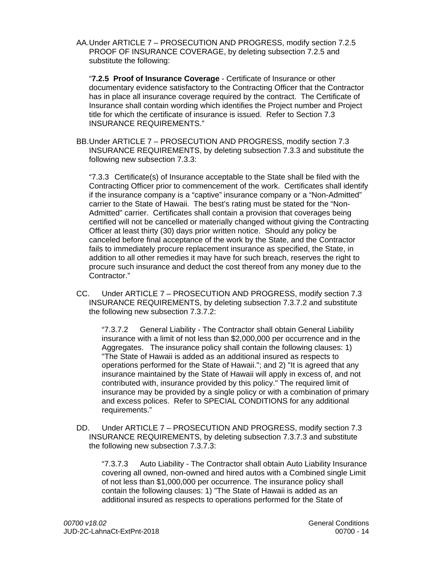AA. Under ARTICLE 7 – PROSECUTION AND PROGRESS, modify section 7.2.5 PROOF OF INSURANCE COVERAGE, by deleting subsection 7.2.5 and substitute the following:

 "**7.2.5 Proof of Insurance Coverage** - Certificate of Insurance or other documentary evidence satisfactory to the Contracting Officer that the Contractor has in place all insurance coverage required by the contract. The Certificate of Insurance shall contain wording which identifies the Project number and Project title for which the certificate of insurance is issued. Refer to Section 7.3 INSURANCE REQUIREMENTS."

 BB. Under ARTICLE 7 – PROSECUTION AND PROGRESS, modify section 7.3 INSURANCE REQUIREMENTS, by deleting subsection 7.3.3 and substitute the following new subsection 7.3.3:

"7.3.3 Certificate(s) of Insurance acceptable to the State shall be filed with the Contracting Officer prior to commencement of the work. Certificates shall identify if the insurance company is a "captive" insurance company or a "Non-Admitted" carrier to the State of Hawaii. The best's rating must be stated for the "Non-Admitted" carrier. Certificates shall contain a provision that coverages being certified will not be cancelled or materially changed without giving the Contracting Officer at least thirty (30) days prior written notice. Should any policy be canceled before final acceptance of the work by the State, and the Contractor fails to immediately procure replacement insurance as specified, the State, in addition to all other remedies it may have for such breach, reserves the right to procure such insurance and deduct the cost thereof from any money due to the Contractor."

CC. Under ARTICLE 7 – PROSECUTION AND PROGRESS, modify section 7.3 INSURANCE REQUIREMENTS, by deleting subsection 7.3.7.2 and substitute the following new subsection 7.3.7.2:

"7.3.7.2 General Liability - The Contractor shall obtain General Liability insurance with a limit of not less than \$2,000,000 per occurrence and in the Aggregates. The insurance policy shall contain the following clauses: 1) "The State of Hawaii is added as an additional insured as respects to operations performed for the State of Hawaii."; and 2) "It is agreed that any insurance maintained by the State of Hawaii will apply in excess of, and not contributed with, insurance provided by this policy." The required limit of insurance may be provided by a single policy or with a combination of primary and excess polices. Refer to SPECIAL CONDITIONS for any additional requirements."

DD. Under ARTICLE 7 – PROSECUTION AND PROGRESS, modify section 7.3 INSURANCE REQUIREMENTS, by deleting subsection 7.3.7.3 and substitute the following new subsection 7.3.7.3:

"7.3.7.3 Auto Liability - The Contractor shall obtain Auto Liability Insurance covering all owned, non-owned and hired autos with a Combined single Limit of not less than \$1,000,000 per occurrence. The insurance policy shall contain the following clauses: 1) "The State of Hawaii is added as an additional insured as respects to operations performed for the State of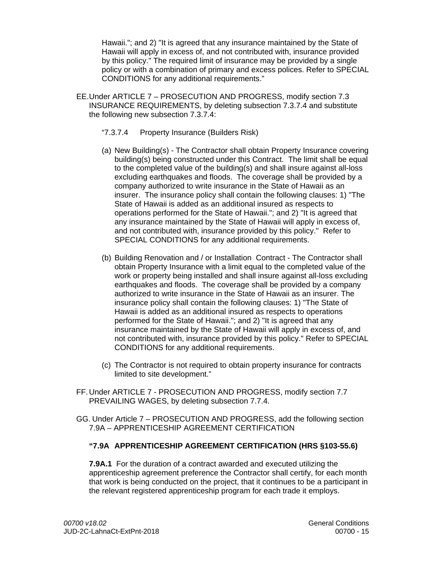Hawaii."; and 2) "It is agreed that any insurance maintained by the State of Hawaii will apply in excess of, and not contributed with, insurance provided by this policy." The required limit of insurance may be provided by a single policy or with a combination of primary and excess polices. Refer to SPECIAL CONDITIONS for any additional requirements."

- EE. Under ARTICLE 7 PROSECUTION AND PROGRESS, modify section 7.3 INSURANCE REQUIREMENTS, by deleting subsection 7.3.7.4 and substitute the following new subsection 7.3.7.4:
	- "7.3.7.4 Property Insurance (Builders Risk)
	- (a) New Building(s) The Contractor shall obtain Property Insurance covering building(s) being constructed under this Contract. The limit shall be equal to the completed value of the building(s) and shall insure against all-loss excluding earthquakes and floods. The coverage shall be provided by a company authorized to write insurance in the State of Hawaii as an insurer. The insurance policy shall contain the following clauses: 1) "The State of Hawaii is added as an additional insured as respects to operations performed for the State of Hawaii."; and 2) "It is agreed that any insurance maintained by the State of Hawaii will apply in excess of, and not contributed with, insurance provided by this policy." Refer to SPECIAL CONDITIONS for any additional requirements.
	- (b) Building Renovation and / or Installation Contract The Contractor shall obtain Property Insurance with a limit equal to the completed value of the work or property being installed and shall insure against all-loss excluding earthquakes and floods. The coverage shall be provided by a company authorized to write insurance in the State of Hawaii as an insurer. The insurance policy shall contain the following clauses: 1) "The State of Hawaii is added as an additional insured as respects to operations performed for the State of Hawaii."; and 2) "It is agreed that any insurance maintained by the State of Hawaii will apply in excess of, and not contributed with, insurance provided by this policy." Refer to SPECIAL CONDITIONS for any additional requirements.
	- (c) The Contractor is not required to obtain property insurance for contracts limited to site development."
- FF. Under ARTICLE 7 PROSECUTION AND PROGRESS, modify section 7.7 PREVAILING WAGES, by deleting subsection 7.7.4.
- GG. Under Article 7 PROSECUTION AND PROGRESS, add the following section 7.9A – APPRENTICESHIP AGREEMENT CERTIFICATION

## **"7.9A APPRENTICESHIP AGREEMENT CERTIFICATION (HRS §103-55.6)**

**7.9A.1** For the duration of a contract awarded and executed utilizing the apprenticeship agreement preference the Contractor shall certify, for each month that work is being conducted on the project, that it continues to be a participant in the relevant registered apprenticeship program for each trade it employs.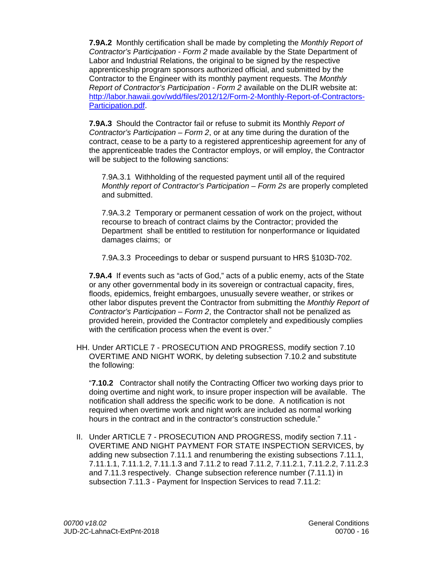**7.9A.2** Monthly certification shall be made by completing the *Monthly Report of Contractor's Participation - Form 2* made available by the State Department of Labor and Industrial Relations, the original to be signed by the respective apprenticeship program sponsors authorized official, and submitted by the Contractor to the Engineer with its monthly payment requests. The *Monthly Report of Contractor's Participation - Form 2* available on the DLIR website at: http://labor.hawaii.gov/wdd/files/2012/12/Form-2-Monthly-Report-of-Contractors-Participation.pdf.

**7.9A.3** Should the Contractor fail or refuse to submit its Monthly *Report of Contractor's Participation – Form 2*, or at any time during the duration of the contract, cease to be a party to a registered apprenticeship agreement for any of the apprenticeable trades the Contractor employs, or will employ, the Contractor will be subject to the following sanctions:

7.9A.3.1 Withholding of the requested payment until all of the required *Monthly report of Contractor's Participation – Form 2s are properly completed* and submitted.

7.9A.3.2 Temporary or permanent cessation of work on the project, without recourse to breach of contract claims by the Contractor; provided the Department shall be entitled to restitution for nonperformance or liquidated damages claims; or

7.9A.3.3 Proceedings to debar or suspend pursuant to HRS §103D-702.

**7.9A.4** If events such as "acts of God," acts of a public enemy, acts of the State or any other governmental body in its sovereign or contractual capacity, fires, floods, epidemics, freight embargoes, unusually severe weather, or strikes or other labor disputes prevent the Contractor from submitting the *Monthly Report of Contractor's Participation – Form 2*, the Contractor shall not be penalized as provided herein, provided the Contractor completely and expeditiously complies with the certification process when the event is over."

HH. Under ARTICLE 7 - PROSECUTION AND PROGRESS, modify section 7.10 OVERTIME AND NIGHT WORK, by deleting subsection 7.10.2 and substitute the following:

"**7.10.2** Contractor shall notify the Contracting Officer two working days prior to doing overtime and night work, to insure proper inspection will be available. The notification shall address the specific work to be done. A notification is not required when overtime work and night work are included as normal working hours in the contract and in the contractor's construction schedule."

II. Under ARTICLE 7 - PROSECUTION AND PROGRESS, modify section 7.11 - OVERTIME AND NIGHT PAYMENT FOR STATE INSPECTION SERVICES, by adding new subsection 7.11.1 and renumbering the existing subsections 7.11.1, 7.11.1.1, 7.11.1.2, 7.11.1.3 and 7.11.2 to read 7.11.2, 7.11.2.1, 7.11.2.2, 7.11.2.3 and 7.11.3 respectively. Change subsection reference number (7.11.1) in subsection 7.11.3 - Payment for Inspection Services to read 7.11.2: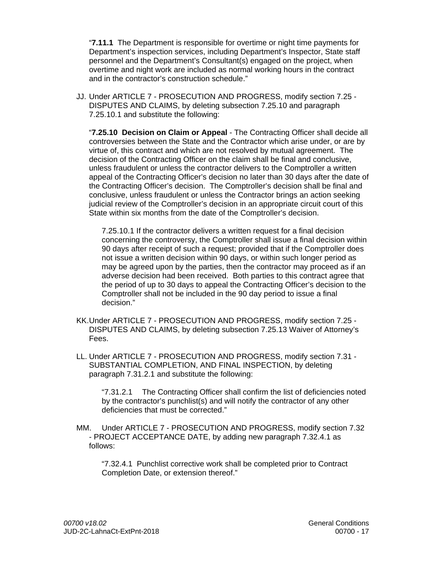"**7.11.1** The Department is responsible for overtime or night time payments for Department's inspection services, including Department's Inspector, State staff personnel and the Department's Consultant(s) engaged on the project, when overtime and night work are included as normal working hours in the contract and in the contractor's construction schedule."

JJ. Under ARTICLE 7 - PROSECUTION AND PROGRESS, modify section 7.25 - DISPUTES AND CLAIMS, by deleting subsection 7.25.10 and paragraph 7.25.10.1 and substitute the following:

"**7.25.10 Decision on Claim or Appeal** - The Contracting Officer shall decide all controversies between the State and the Contractor which arise under, or are by virtue of, this contract and which are not resolved by mutual agreement. The decision of the Contracting Officer on the claim shall be final and conclusive, unless fraudulent or unless the contractor delivers to the Comptroller a written appeal of the Contracting Officer's decision no later than 30 days after the date of the Contracting Officer's decision. The Comptroller's decision shall be final and conclusive, unless fraudulent or unless the Contractor brings an action seeking judicial review of the Comptroller's decision in an appropriate circuit court of this State within six months from the date of the Comptroller's decision.

7.25.10.1 If the contractor delivers a written request for a final decision concerning the controversy, the Comptroller shall issue a final decision within 90 days after receipt of such a request; provided that if the Comptroller does not issue a written decision within 90 days, or within such longer period as may be agreed upon by the parties, then the contractor may proceed as if an adverse decision had been received. Both parties to this contract agree that the period of up to 30 days to appeal the Contracting Officer's decision to the Comptroller shall not be included in the 90 day period to issue a final decision."

- KK. Under ARTICLE 7 PROSECUTION AND PROGRESS, modify section 7.25 DISPUTES AND CLAIMS, by deleting subsection 7.25.13 Waiver of Attorney's Fees.
- LL. Under ARTICLE 7 PROSECUTION AND PROGRESS, modify section 7.31 SUBSTANTIAL COMPLETION, AND FINAL INSPECTION, by deleting paragraph 7.31.2.1 and substitute the following:

"7.31.2.1 The Contracting Officer shall confirm the list of deficiencies noted by the contractor's punchlist(s) and will notify the contractor of any other deficiencies that must be corrected."

MM. Under ARTICLE 7 - PROSECUTION AND PROGRESS, modify section 7.32 - PROJECT ACCEPTANCE DATE, by adding new paragraph 7.32.4.1 as follows:

"7.32.4.1 Punchlist corrective work shall be completed prior to Contract Completion Date, or extension thereof."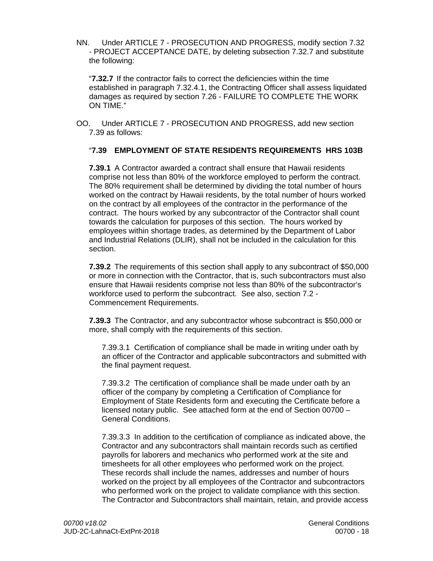NN. Under ARTICLE 7 - PROSECUTION AND PROGRESS, modify section 7.32 - PROJECT ACCEPTANCE DATE, by deleting subsection 7.32.7 and substitute the following:

"**7.32.7** If the contractor fails to correct the deficiencies within the time established in paragraph 7.32.4.1, the Contracting Officer shall assess liquidated damages as required by section 7.26 - FAILURE TO COMPLETE THE WORK ON TIME."

OO. Under ARTICLE 7 - PROSECUTION AND PROGRESS, add new section 7.39 as follows:

## "**7.39 EMPLOYMENT OF STATE RESIDENTS REQUIREMENTS HRS 103B**

**7.39.1** A Contractor awarded a contract shall ensure that Hawaii residents comprise not less than 80% of the workforce employed to perform the contract. The 80% requirement shall be determined by dividing the total number of hours worked on the contract by Hawaii residents, by the total number of hours worked on the contract by all employees of the contractor in the performance of the contract. The hours worked by any subcontractor of the Contractor shall count towards the calculation for purposes of this section. The hours worked by employees within shortage trades, as determined by the Department of Labor and Industrial Relations (DLIR), shall not be included in the calculation for this section.

**7.39.2** The requirements of this section shall apply to any subcontract of \$50,000 or more in connection with the Contractor, that is, such subcontractors must also ensure that Hawaii residents comprise not less than 80% of the subcontractor's workforce used to perform the subcontract. See also, section 7.2 - Commencement Requirements.

**7.39.3** The Contractor, and any subcontractor whose subcontract is \$50,000 or more, shall comply with the requirements of this section.

7.39.3.1 Certification of compliance shall be made in writing under oath by an officer of the Contractor and applicable subcontractors and submitted with the final payment request.

7.39.3.2 The certification of compliance shall be made under oath by an officer of the company by completing a Certification of Compliance for Employment of State Residents form and executing the Certificate before a licensed notary public. See attached form at the end of Section 00700 – General Conditions.

7.39.3.3 In addition to the certification of compliance as indicated above, the Contractor and any subcontractors shall maintain records such as certified payrolls for laborers and mechanics who performed work at the site and timesheets for all other employees who performed work on the project. These records shall include the names, addresses and number of hours worked on the project by all employees of the Contractor and subcontractors who performed work on the project to validate compliance with this section. The Contractor and Subcontractors shall maintain, retain, and provide access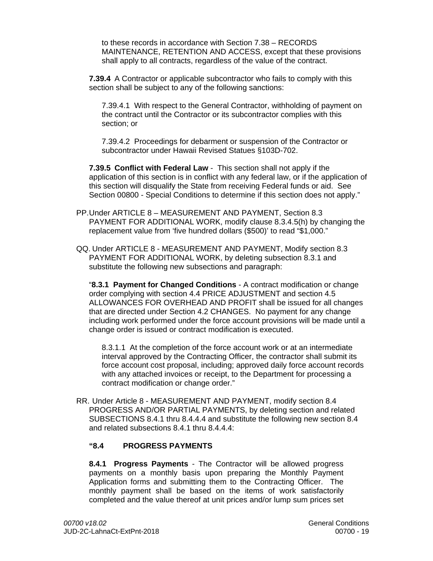to these records in accordance with Section 7.38 – RECORDS MAINTENANCE, RETENTION AND ACCESS, except that these provisions shall apply to all contracts, regardless of the value of the contract.

**7.39.4** A Contractor or applicable subcontractor who fails to comply with this section shall be subject to any of the following sanctions:

7.39.4.1 With respect to the General Contractor, withholding of payment on the contract until the Contractor or its subcontractor complies with this section; or

7.39.4.2 Proceedings for debarment or suspension of the Contractor or subcontractor under Hawaii Revised Statues §103D-702.

**7.39.5 Conflict with Federal Law** - This section shall not apply if the application of this section is in conflict with any federal law, or if the application of this section will disqualify the State from receiving Federal funds or aid. See Section 00800 - Special Conditions to determine if this section does not apply."

- PP. Under ARTICLE 8 MEASUREMENT AND PAYMENT, Section 8.3 PAYMENT FOR ADDITIONAL WORK, modify clause 8.3.4.5(h) by changing the replacement value from 'five hundred dollars (\$500)' to read "\$1,000."
- QQ. Under ARTICLE 8 MEASUREMENT AND PAYMENT, Modify section 8.3 PAYMENT FOR ADDITIONAL WORK, by deleting subsection 8.3.1 and substitute the following new subsections and paragraph:

"**8.3.1 Payment for Changed Conditions** - A contract modification or change order complying with section 4.4 PRICE ADJUSTMENT and section 4.5 ALLOWANCES FOR OVERHEAD AND PROFIT shall be issued for all changes that are directed under Section 4.2 CHANGES. No payment for any change including work performed under the force account provisions will be made until a change order is issued or contract modification is executed.

8.3.1.1 At the completion of the force account work or at an intermediate interval approved by the Contracting Officer, the contractor shall submit its force account cost proposal, including; approved daily force account records with any attached invoices or receipt, to the Department for processing a contract modification or change order."

RR. Under Article 8 - MEASUREMENT AND PAYMENT, modify section 8.4 PROGRESS AND/OR PARTIAL PAYMENTS, by deleting section and related SUBSECTIONS 8.4.1 thru 8.4.4.4 and substitute the following new section 8.4 and related subsections 8.4.1 thru 8.4.4.4:

## **"8.4 PROGRESS PAYMENTS**

**8.4.1 Progress Payments** - The Contractor will be allowed progress payments on a monthly basis upon preparing the Monthly Payment Application forms and submitting them to the Contracting Officer. The monthly payment shall be based on the items of work satisfactorily completed and the value thereof at unit prices and/or lump sum prices set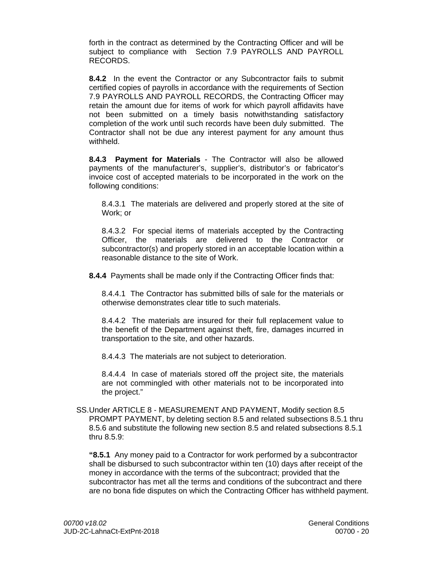forth in the contract as determined by the Contracting Officer and will be subject to compliance with Section 7.9 PAYROLLS AND PAYROLL RECORDS.

**8.4.2** In the event the Contractor or any Subcontractor fails to submit certified copies of payrolls in accordance with the requirements of Section 7.9 PAYROLLS AND PAYROLL RECORDS, the Contracting Officer may retain the amount due for items of work for which payroll affidavits have not been submitted on a timely basis notwithstanding satisfactory completion of the work until such records have been duly submitted. The Contractor shall not be due any interest payment for any amount thus withheld.

**8.4.3 Payment for Materials** - The Contractor will also be allowed payments of the manufacturer's, supplier's, distributor's or fabricator's invoice cost of accepted materials to be incorporated in the work on the following conditions:

8.4.3.1 The materials are delivered and properly stored at the site of Work; or

8.4.3.2 For special items of materials accepted by the Contracting Officer, the materials are delivered to the Contractor or subcontractor(s) and properly stored in an acceptable location within a reasonable distance to the site of Work.

**8.4.4** Payments shall be made only if the Contracting Officer finds that:

8.4.4.1 The Contractor has submitted bills of sale for the materials or otherwise demonstrates clear title to such materials.

8.4.4.2 The materials are insured for their full replacement value to the benefit of the Department against theft, fire, damages incurred in transportation to the site, and other hazards.

8.4.4.3 The materials are not subject to deterioration.

8.4.4.4 In case of materials stored off the project site, the materials are not commingled with other materials not to be incorporated into the project."

 SS. Under ARTICLE 8 - MEASUREMENT AND PAYMENT, Modify section 8.5 PROMPT PAYMENT, by deleting section 8.5 and related subsections 8.5.1 thru 8.5.6 and substitute the following new section 8.5 and related subsections 8.5.1 thru 8.5.9:

**"8.5.1** Any money paid to a Contractor for work performed by a subcontractor shall be disbursed to such subcontractor within ten (10) days after receipt of the money in accordance with the terms of the subcontract; provided that the subcontractor has met all the terms and conditions of the subcontract and there are no bona fide disputes on which the Contracting Officer has withheld payment.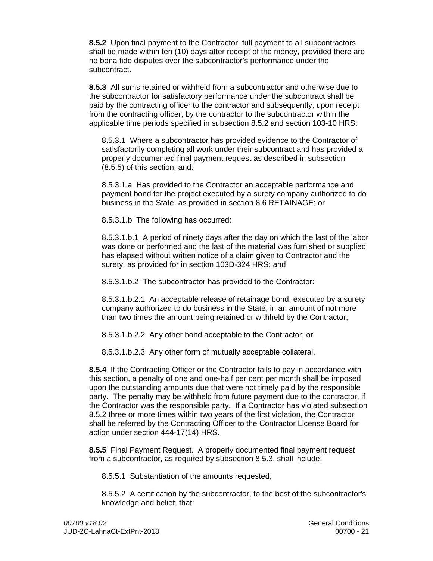**8.5.2** Upon final payment to the Contractor, full payment to all subcontractors shall be made within ten (10) days after receipt of the money, provided there are no bona fide disputes over the subcontractor's performance under the subcontract.

**8.5.3** All sums retained or withheld from a subcontractor and otherwise due to the subcontractor for satisfactory performance under the subcontract shall be paid by the contracting officer to the contractor and subsequently, upon receipt from the contracting officer, by the contractor to the subcontractor within the applicable time periods specified in subsection 8.5.2 and section 103-10 HRS:

8.5.3.1 Where a subcontractor has provided evidence to the Contractor of satisfactorily completing all work under their subcontract and has provided a properly documented final payment request as described in subsection (8.5.5) of this section, and:

8.5.3.1.a Has provided to the Contractor an acceptable performance and payment bond for the project executed by a surety company authorized to do business in the State, as provided in section 8.6 RETAINAGE; or

8.5.3.1.b The following has occurred:

8.5.3.1.b.1 A period of ninety days after the day on which the last of the labor was done or performed and the last of the material was furnished or supplied has elapsed without written notice of a claim given to Contractor and the surety, as provided for in section 103D-324 HRS; and

8.5.3.1.b.2 The subcontractor has provided to the Contractor:

8.5.3.1.b.2.1 An acceptable release of retainage bond, executed by a surety company authorized to do business in the State, in an amount of not more than two times the amount being retained or withheld by the Contractor;

8.5.3.1.b.2.2 Any other bond acceptable to the Contractor; or

8.5.3.1.b.2.3 Any other form of mutually acceptable collateral.

**8.5.4** If the Contracting Officer or the Contractor fails to pay in accordance with this section, a penalty of one and one-half per cent per month shall be imposed upon the outstanding amounts due that were not timely paid by the responsible party. The penalty may be withheld from future payment due to the contractor, if the Contractor was the responsible party. If a Contractor has violated subsection 8.5.2 three or more times within two years of the first violation, the Contractor shall be referred by the Contracting Officer to the Contractor License Board for action under section 444-17(14) HRS.

**8.5.5** Final Payment Request. A properly documented final payment request from a subcontractor, as required by subsection 8.5.3, shall include:

8.5.5.1 Substantiation of the amounts requested;

8.5.5.2 A certification by the subcontractor, to the best of the subcontractor's knowledge and belief, that: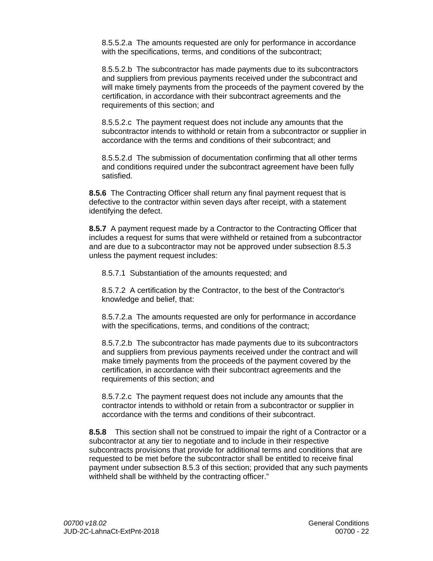8.5.5.2.a The amounts requested are only for performance in accordance with the specifications, terms, and conditions of the subcontract;

8.5.5.2.b The subcontractor has made payments due to its subcontractors and suppliers from previous payments received under the subcontract and will make timely payments from the proceeds of the payment covered by the certification, in accordance with their subcontract agreements and the requirements of this section; and

8.5.5.2.c The payment request does not include any amounts that the subcontractor intends to withhold or retain from a subcontractor or supplier in accordance with the terms and conditions of their subcontract; and

8.5.5.2.d The submission of documentation confirming that all other terms and conditions required under the subcontract agreement have been fully satisfied.

**8.5.6** The Contracting Officer shall return any final payment request that is defective to the contractor within seven days after receipt, with a statement identifying the defect.

**8.5.7** A payment request made by a Contractor to the Contracting Officer that includes a request for sums that were withheld or retained from a subcontractor and are due to a subcontractor may not be approved under subsection 8.5.3 unless the payment request includes:

8.5.7.1 Substantiation of the amounts requested; and

8.5.7.2 A certification by the Contractor, to the best of the Contractor's knowledge and belief, that:

8.5.7.2.a The amounts requested are only for performance in accordance with the specifications, terms, and conditions of the contract;

8.5.7.2.b The subcontractor has made payments due to its subcontractors and suppliers from previous payments received under the contract and will make timely payments from the proceeds of the payment covered by the certification, in accordance with their subcontract agreements and the requirements of this section; and

8.5.7.2.c The payment request does not include any amounts that the contractor intends to withhold or retain from a subcontractor or supplier in accordance with the terms and conditions of their subcontract.

**8.5.8** This section shall not be construed to impair the right of a Contractor or a subcontractor at any tier to negotiate and to include in their respective subcontracts provisions that provide for additional terms and conditions that are requested to be met before the subcontractor shall be entitled to receive final payment under subsection 8.5.3 of this section; provided that any such payments withheld shall be withheld by the contracting officer."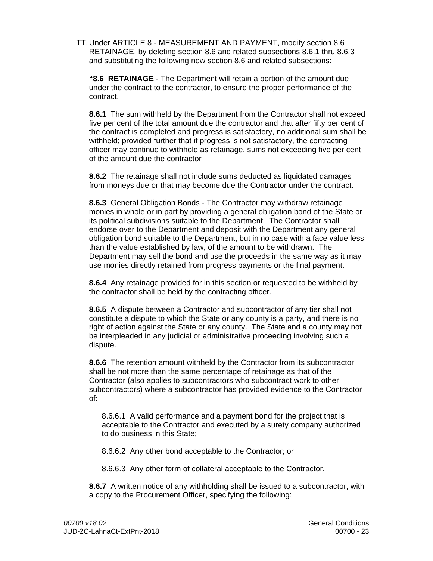TT. Under ARTICLE 8 - MEASUREMENT AND PAYMENT, modify section 8.6 RETAINAGE, by deleting section 8.6 and related subsections 8.6.1 thru 8.6.3 and substituting the following new section 8.6 and related subsections:

**"8.6 RETAINAGE** - The Department will retain a portion of the amount due under the contract to the contractor, to ensure the proper performance of the contract.

**8.6.1** The sum withheld by the Department from the Contractor shall not exceed five per cent of the total amount due the contractor and that after fifty per cent of the contract is completed and progress is satisfactory, no additional sum shall be withheld; provided further that if progress is not satisfactory, the contracting officer may continue to withhold as retainage, sums not exceeding five per cent of the amount due the contractor

**8.6.2** The retainage shall not include sums deducted as liquidated damages from moneys due or that may become due the Contractor under the contract.

**8.6.3** General Obligation Bonds - The Contractor may withdraw retainage monies in whole or in part by providing a general obligation bond of the State or its political subdivisions suitable to the Department. The Contractor shall endorse over to the Department and deposit with the Department any general obligation bond suitable to the Department, but in no case with a face value less than the value established by law, of the amount to be withdrawn. The Department may sell the bond and use the proceeds in the same way as it may use monies directly retained from progress payments or the final payment.

**8.6.4** Any retainage provided for in this section or requested to be withheld by the contractor shall be held by the contracting officer.

**8.6.5** A dispute between a Contractor and subcontractor of any tier shall not constitute a dispute to which the State or any county is a party, and there is no right of action against the State or any county. The State and a county may not be interpleaded in any judicial or administrative proceeding involving such a dispute.

**8.6.6** The retention amount withheld by the Contractor from its subcontractor shall be not more than the same percentage of retainage as that of the Contractor (also applies to subcontractors who subcontract work to other subcontractors) where a subcontractor has provided evidence to the Contractor of:

8.6.6.1 A valid performance and a payment bond for the project that is acceptable to the Contractor and executed by a surety company authorized to do business in this State;

8.6.6.2 Any other bond acceptable to the Contractor; or

8.6.6.3 Any other form of collateral acceptable to the Contractor.

**8.6.7** A written notice of any withholding shall be issued to a subcontractor, with a copy to the Procurement Officer, specifying the following: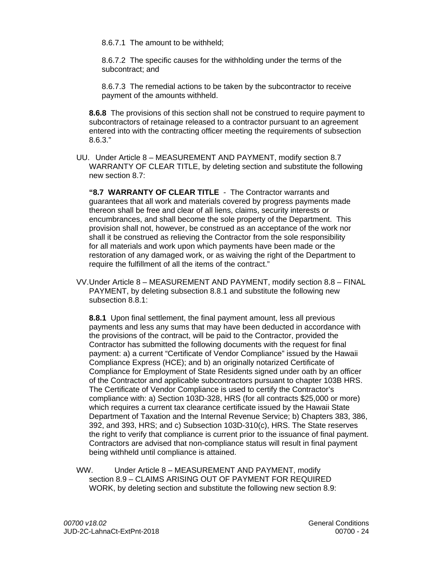8.6.7.1 The amount to be withheld;

8.6.7.2 The specific causes for the withholding under the terms of the subcontract; and

8.6.7.3 The remedial actions to be taken by the subcontractor to receive payment of the amounts withheld.

**8.6.8** The provisions of this section shall not be construed to require payment to subcontractors of retainage released to a contractor pursuant to an agreement entered into with the contracting officer meeting the requirements of subsection 8.6.3."

UU. Under Article 8 – MEASUREMENT AND PAYMENT, modify section 8.7 WARRANTY OF CLEAR TITLE, by deleting section and substitute the following new section 8.7:

**"8.7 WARRANTY OF CLEAR TITLE** - The Contractor warrants and guarantees that all work and materials covered by progress payments made thereon shall be free and clear of all liens, claims, security interests or encumbrances, and shall become the sole property of the Department. This provision shall not, however, be construed as an acceptance of the work nor shall it be construed as relieving the Contractor from the sole responsibility for all materials and work upon which payments have been made or the restoration of any damaged work, or as waiving the right of the Department to require the fulfillment of all the items of the contract."

 VV. Under Article 8 – MEASUREMENT AND PAYMENT, modify section 8.8 – FINAL PAYMENT, by deleting subsection 8.8.1 and substitute the following new subsection 8.8.1:

**8.8.1** Upon final settlement, the final payment amount, less all previous payments and less any sums that may have been deducted in accordance with the provisions of the contract, will be paid to the Contractor, provided the Contractor has submitted the following documents with the request for final payment: a) a current "Certificate of Vendor Compliance" issued by the Hawaii Compliance Express (HCE); and b) an originally notarized Certificate of Compliance for Employment of State Residents signed under oath by an officer of the Contractor and applicable subcontractors pursuant to chapter 103B HRS. The Certificate of Vendor Compliance is used to certify the Contractor's compliance with: a) Section 103D-328, HRS (for all contracts \$25,000 or more) which requires a current tax clearance certificate issued by the Hawaii State Department of Taxation and the Internal Revenue Service; b) Chapters 383, 386, 392, and 393, HRS; and c) Subsection 103D-310(c), HRS. The State reserves the right to verify that compliance is current prior to the issuance of final payment. Contractors are advised that non-compliance status will result in final payment being withheld until compliance is attained.

WW. Under Article 8 – MEASUREMENT AND PAYMENT, modify section 8.9 – CLAIMS ARISING OUT OF PAYMENT FOR REQUIRED WORK, by deleting section and substitute the following new section 8.9: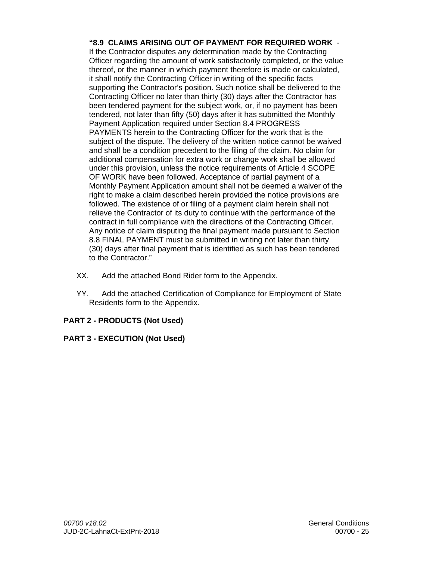**"8.9 CLAIMS ARISING OUT OF PAYMENT FOR REQUIRED WORK** - If the Contractor disputes any determination made by the Contracting Officer regarding the amount of work satisfactorily completed, or the value thereof, or the manner in which payment therefore is made or calculated, it shall notify the Contracting Officer in writing of the specific facts supporting the Contractor's position. Such notice shall be delivered to the Contracting Officer no later than thirty (30) days after the Contractor has been tendered payment for the subject work, or, if no payment has been tendered, not later than fifty (50) days after it has submitted the Monthly Payment Application required under Section 8.4 PROGRESS PAYMENTS herein to the Contracting Officer for the work that is the subject of the dispute. The delivery of the written notice cannot be waived and shall be a condition precedent to the filing of the claim. No claim for additional compensation for extra work or change work shall be allowed under this provision, unless the notice requirements of Article 4 SCOPE OF WORK have been followed. Acceptance of partial payment of a Monthly Payment Application amount shall not be deemed a waiver of the right to make a claim described herein provided the notice provisions are followed. The existence of or filing of a payment claim herein shall not relieve the Contractor of its duty to continue with the performance of the contract in full compliance with the directions of the Contracting Officer. Any notice of claim disputing the final payment made pursuant to Section 8.8 FINAL PAYMENT must be submitted in writing not later than thirty (30) days after final payment that is identified as such has been tendered to the Contractor."

- XX. Add the attached Bond Rider form to the Appendix.
- YY. Add the attached Certification of Compliance for Employment of State Residents form to the Appendix.

## **PART 2 - PRODUCTS (Not Used)**

### **PART 3 - EXECUTION (Not Used)**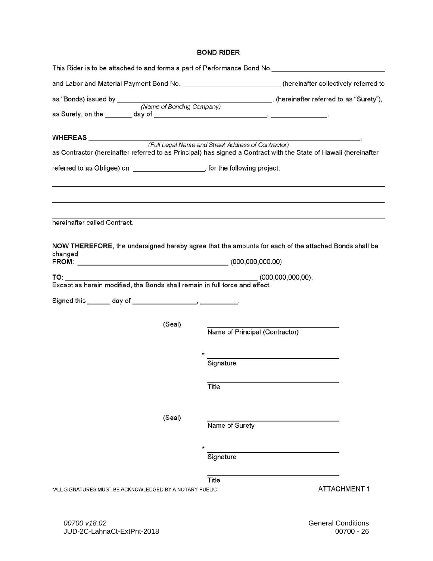#### **BOND RIDER**

|                                                                             | This Rider is to be attached to and forms a part of Performance Bond No.___________________________              |
|-----------------------------------------------------------------------------|------------------------------------------------------------------------------------------------------------------|
|                                                                             | and Labor and Material Payment Bond No. ___________________________(hereinafter collectively referred to         |
|                                                                             |                                                                                                                  |
|                                                                             |                                                                                                                  |
|                                                                             |                                                                                                                  |
|                                                                             | as Contractor (hereinafter referred to as Principal) has signed a Contract with the State of Hawaii (hereinafter |
| referred to as Obligee) on ____________________, for the following project: |                                                                                                                  |
|                                                                             |                                                                                                                  |
| hereinafter called Contract.                                                |                                                                                                                  |
| changed<br>FROM: (000,000,000.00)                                           | NOW THEREFORE, the undersigned hereby agree that the amounts for each of the attached Bonds shall be             |
| TO:                                                                         | $(000,000,000,000)$ .                                                                                            |
| Except as herein modified, the Bonds shall remain in full force and effect. |                                                                                                                  |
|                                                                             |                                                                                                                  |
|                                                                             |                                                                                                                  |
| (Seal)                                                                      | Name of Principal (Contractor)                                                                                   |
|                                                                             | the control of the control of the control of the control of the control of the control of                        |
|                                                                             | Signature                                                                                                        |
|                                                                             | Title                                                                                                            |
| (Seal)                                                                      | Name of Surety                                                                                                   |
|                                                                             |                                                                                                                  |
|                                                                             | Signature                                                                                                        |
|                                                                             | Title                                                                                                            |
| *ALL SIGNATURES MUST BE ACKNOWLEDGED BY A NOTARY PUBLIC                     | <b>ATTACHMENT1</b>                                                                                               |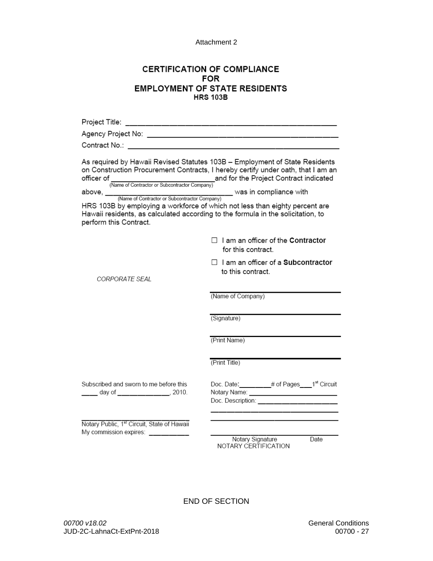Attachment 2

### **CERTIFICATION OF COMPLIANCE FOR EMPLOYMENT OF STATE RESIDENTS HRS 103B**

| perform this Contract.                                                       | As required by Hawaii Revised Statutes 103B - Employment of State Residents<br>on Construction Procurement Contracts, I hereby certify under oath, that I am an<br>officer of (Name of Contractor or Subcontractor Company)<br>(Name of Contractor or Subcontractor Company)<br>HRS 103B by employing a workforce of which not less than eighty percent are<br>Hawaii residents, as calculated according to the formula in the solicitation, to |
|------------------------------------------------------------------------------|-------------------------------------------------------------------------------------------------------------------------------------------------------------------------------------------------------------------------------------------------------------------------------------------------------------------------------------------------------------------------------------------------------------------------------------------------|
|                                                                              | $\Box$ I am an officer of the Contractor<br>for this contract.                                                                                                                                                                                                                                                                                                                                                                                  |
| CORPORATE SEAL                                                               | $\Box$ I am an officer of a Subcontractor<br>to this contract.                                                                                                                                                                                                                                                                                                                                                                                  |
|                                                                              | (Name of Company)                                                                                                                                                                                                                                                                                                                                                                                                                               |
|                                                                              | (Signature)                                                                                                                                                                                                                                                                                                                                                                                                                                     |
|                                                                              | (Print Name)                                                                                                                                                                                                                                                                                                                                                                                                                                    |
|                                                                              | (Print Title)                                                                                                                                                                                                                                                                                                                                                                                                                                   |
| Subscribed and sworn to me before this<br>____ day of _____________, 2010.   | Doc. Date: ________# of Pages___1 <sup>st</sup> Circuit<br>Notary Name: _____________________________<br>Doc. Description: ______                                                                                                                                                                                                                                                                                                               |
| Notary Public, 1st Circuit, State of Hawaii<br>My commission expires: ______ | Notary Signature<br>Date                                                                                                                                                                                                                                                                                                                                                                                                                        |

Notary Signature<br>NOTARY CERTIFICATION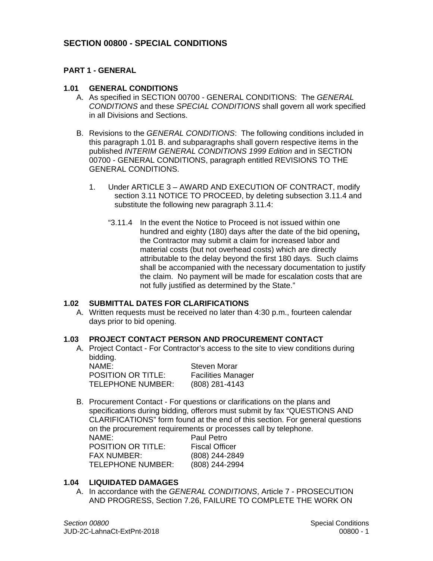## **SECTION 00800 - SPECIAL CONDITIONS**

## **PART 1 - GENERAL**

### **1.01 GENERAL CONDITIONS**

- A. As specified in SECTION 00700 GENERAL CONDITIONS: The *GENERAL CONDITIONS* and these *SPECIAL CONDITIONS* shall govern all work specified in all Divisions and Sections.
- B. Revisions to the *GENERAL CONDITIONS*: The following conditions included in this paragraph 1.01 B. and subparagraphs shall govern respective items in the published *INTERIM GENERAL CONDITIONS 1999 Edition* and in SECTION 00700 - GENERAL CONDITIONS, paragraph entitled REVISIONS TO THE GENERAL CONDITIONS.
	- 1. Under ARTICLE 3 AWARD AND EXECUTION OF CONTRACT, modify section 3.11 NOTICE TO PROCEED, by deleting subsection 3.11.4 and substitute the following new paragraph 3.11.4:
		- "3.11.4 In the event the Notice to Proceed is not issued within one hundred and eighty (180) days after the date of the bid opening**,**  the Contractor may submit a claim for increased labor and material costs (but not overhead costs) which are directly attributable to the delay beyond the first 180 days. Such claims shall be accompanied with the necessary documentation to justify the claim. No payment will be made for escalation costs that are not fully justified as determined by the State."

#### **1.02 SUBMITTAL DATES FOR CLARIFICATIONS**

A. Written requests must be received no later than 4:30 p.m., fourteen calendar days prior to bid opening.

#### **1.03 PROJECT CONTACT PERSON AND PROCUREMENT CONTACT**

A. Project Contact - For Contractor's access to the site to view conditions during bidding.

NAME: TELEPHONE NUMBER: (808) 281-4143 POSITION OR TITLE: Facilities Manager

Steven Morar

B. Procurement Contact - For questions or clarifications on the plans and specifications during bidding, offerors must submit by fax "QUESTIONS AND CLARIFICATIONS" form found at the end of this section. For general questions on the procurement requirements or processes call by telephone.

NAME: **FAX NUMBER:** POSITION OR TITLE: Fiscal Officer TELEPHONE NUMBER: (808) 244-2994

Paul Petro (808) 244-2849

### **1.04 LIQUIDATED DAMAGES**

A. In accordance with the *GENERAL CONDITIONS*, Article 7 - PROSECUTION AND PROGRESS, Section 7.26, FAILURE TO COMPLETE THE WORK ON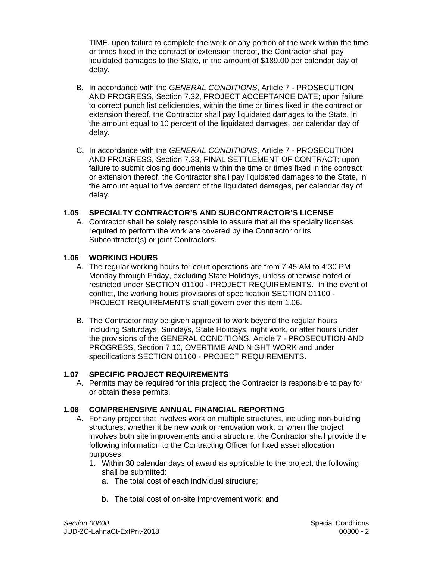or times fixed in the contract or extension thereof, the Contractor shall pay TIME, upon failure to complete the work or any portion of the work within the time liquidated damages to the State, in the amount of \$189.00 per calendar day of delay.

- B. In accordance with the *GENERAL CONDITIONS*, Article 7 PROSECUTION AND PROGRESS, Section 7.32, PROJECT ACCEPTANCE DATE; upon failure to correct punch list deficiencies, within the time or times fixed in the contract or extension thereof, the Contractor shall pay liquidated damages to the State, in the amount equal to 10 percent of the liquidated damages, per calendar day of delay.
- C. In accordance with the *GENERAL CONDITIONS*, Article 7 PROSECUTION AND PROGRESS, Section 7.33, FINAL SETTLEMENT OF CONTRACT; upon failure to submit closing documents within the time or times fixed in the contract or extension thereof, the Contractor shall pay liquidated damages to the State, in the amount equal to five percent of the liquidated damages, per calendar day of delay.

### **1.05 SPECIALTY CONTRACTOR'S AND SUBCONTRACTOR'S LICENSE**

A. Contractor shall be solely responsible to assure that all the specialty licenses required to perform the work are covered by the Contractor or its Subcontractor(s) or joint Contractors.

### **1.06 WORKING HOURS**

- A. The regular working hours for court operations are from 7:45 AM to 4:30 PM Monday through Friday, excluding State Holidays, unless otherwise noted or restricted under SECTION 01100 - PROJECT REQUIREMENTS. In the event of conflict, the working hours provisions of specification SECTION 01100 - PROJECT REQUIREMENTS shall govern over this item 1.06.
- B. The Contractor may be given approval to work beyond the regular hours including Saturdays, Sundays, State Holidays, night work, or after hours under the provisions of the GENERAL CONDITIONS, Article 7 - PROSECUTION AND PROGRESS, Section 7.10, OVERTIME AND NIGHT WORK and under specifications SECTION 01100 - PROJECT REQUIREMENTS.

#### **1.07 SPECIFIC PROJECT REQUIREMENTS**

A. Permits may be required for this project; the Contractor is responsible to pay for or obtain these permits.

## **1.08 COMPREHENSIVE ANNUAL FINANCIAL REPORTING**

- A. For any project that involves work on multiple structures, including non-building structures, whether it be new work or renovation work, or when the project involves both site improvements and a structure, the Contractor shall provide the following information to the Contracting Officer for fixed asset allocation purposes:
	- 1. Within 30 calendar days of award as applicable to the project, the following shall be submitted:
		- a. The total cost of each individual structure;
		- b. The total cost of on-site improvement work; and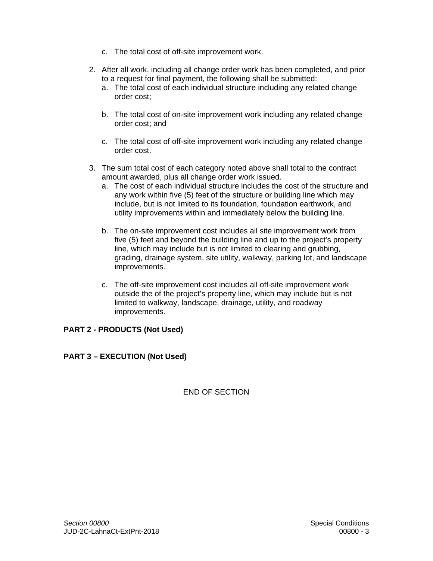- c. The total cost of off-site improvement work.
- 2. After all work, including all change order work has been completed, and prior to a request for final payment, the following shall be submitted:
	- a. The total cost of each individual structure including any related change order cost;
	- b. The total cost of on-site improvement work including any related change order cost; and
	- c. The total cost of off-site improvement work including any related change order cost.
- 3. The sum total cost of each category noted above shall total to the contract amount awarded, plus all change order work issued.
	- a. The cost of each individual structure includes the cost of the structure and any work within five (5) feet of the structure or building line which may include, but is not limited to its foundation, foundation earthwork, and utility improvements within and immediately below the building line.
	- b. The on-site improvement cost includes all site improvement work from five (5) feet and beyond the building line and up to the project's property line, which may include but is not limited to clearing and grubbing, grading, drainage system, site utility, walkway, parking lot, and landscape improvements.
	- c. The off-site improvement cost includes all off-site improvement work outside the of the project's property line, which may include but is not limited to walkway, landscape, drainage, utility, and roadway improvements.

### **PART 2 - PRODUCTS (Not Used)**

## **PART 3 – EXECUTION (Not Used)**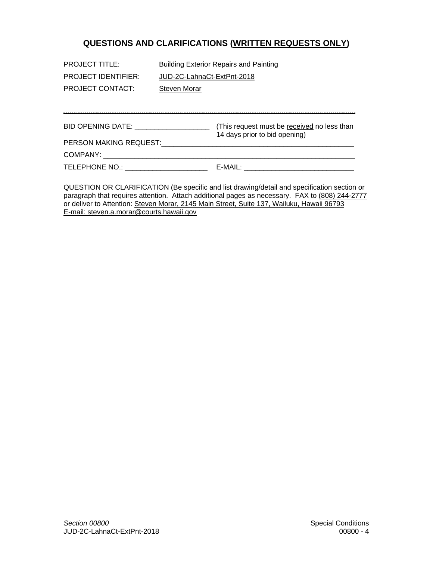# **QUESTIONS AND CLARIFICATIONS (WRITTEN REQUESTS ONLY)**

| <b>PROJECT TITLE:</b>                | <b>Building Exterior Repairs and Painting</b>                                |  |
|--------------------------------------|------------------------------------------------------------------------------|--|
| <b>PROJECT IDENTIFIER:</b>           | JUD-2C-LahnaCt-ExtPnt-2018                                                   |  |
| <b>PROJECT CONTACT:</b>              | <b>Steven Morar</b>                                                          |  |
|                                      |                                                                              |  |
|                                      |                                                                              |  |
|                                      | (This request must be received no less than<br>14 days prior to bid opening) |  |
| PERSON MAKING REQUEST:               |                                                                              |  |
| COMPANY:                             |                                                                              |  |
| TELEPHONE NO.: _____________________ | E-MAIL:                                                                      |  |

QUESTION OR CLARIFICATION (Be specific and list drawing/detail and specification section or paragraph that requires attention. Attach additional pages as necessary. FAX to (808) 244-2777 or deliver to Attention: Steven Morar, 2145 Main Street, Suite 137, Wailuku, Hawaii 96793 E-mail: steven.a.morar@courts.hawaii.gov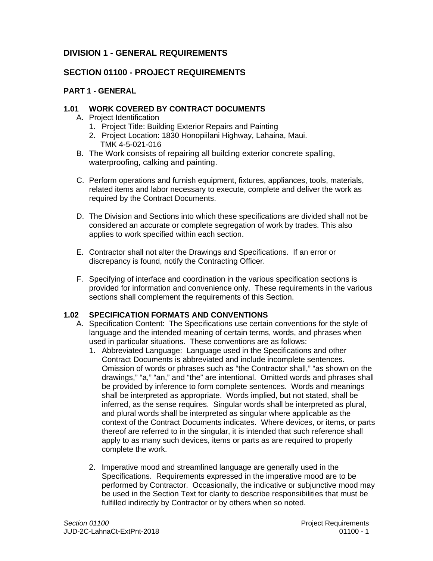# **DIVISION 1 - GENERAL REQUIREMENTS**

# **SECTION 01100 - PROJECT REQUIREMENTS**

## **PART 1 - GENERAL**

## **1.01 WORK COVERED BY CONTRACT DOCUMENTS**

- A. Project Identification
	- 1. Project Title: Building Exterior Repairs and Painting
	- 2. Project Location: 1830 Honopiilani Highway, Lahaina, Maui. TMK 4-5-021-016
- B. The Work consists of repairing all building exterior concrete spalling, waterproofing, calking and painting.
- C. Perform operations and furnish equipment, fixtures, appliances, tools, materials, related items and labor necessary to execute, complete and deliver the work as required by the Contract Documents.
- D. The Division and Sections into which these specifications are divided shall not be considered an accurate or complete segregation of work by trades. This also applies to work specified within each section.
- E. Contractor shall not alter the Drawings and Specifications. If an error or discrepancy is found, notify the Contracting Officer.
- F. Specifying of interface and coordination in the various specification sections is provided for information and convenience only. These requirements in the various sections shall complement the requirements of this Section.

## **1.02 SPECIFICATION FORMATS AND CONVENTIONS**

- A. Specification Content: The Specifications use certain conventions for the style of language and the intended meaning of certain terms, words, and phrases when used in particular situations. These conventions are as follows:
	- 1. Abbreviated Language: Language used in the Specifications and other Contract Documents is abbreviated and include incomplete sentences. Omission of words or phrases such as "the Contractor shall," "as shown on the drawings," "a," "an," and "the" are intentional. Omitted words and phrases shall be provided by inference to form complete sentences. Words and meanings shall be interpreted as appropriate. Words implied, but not stated, shall be inferred, as the sense requires. Singular words shall be interpreted as plural, and plural words shall be interpreted as singular where applicable as the context of the Contract Documents indicates. Where devices, or items, or parts thereof are referred to in the singular, it is intended that such reference shall apply to as many such devices, items or parts as are required to properly complete the work.
	- 2. Imperative mood and streamlined language are generally used in the Specifications. Requirements expressed in the imperative mood are to be performed by Contractor. Occasionally, the indicative or subjunctive mood may be used in the Section Text for clarity to describe responsibilities that must be fulfilled indirectly by Contractor or by others when so noted.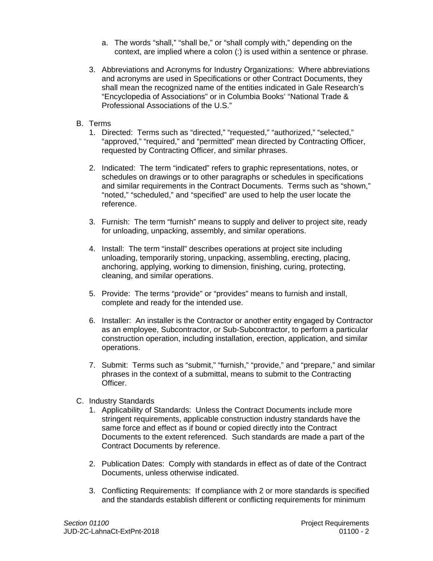- a. The words "shall," "shall be," or "shall comply with," depending on the context, are implied where a colon (:) is used within a sentence or phrase.
- 3. Abbreviations and Acronyms for Industry Organizations: Where abbreviations and acronyms are used in Specifications or other Contract Documents, they shall mean the recognized name of the entities indicated in Gale Research's "Encyclopedia of Associations" or in Columbia Books' "National Trade & Professional Associations of the U.S."
- B. Terms
	- 1. Directed: Terms such as "directed," "requested," "authorized," "selected," "approved," "required," and "permitted" mean directed by Contracting Officer, requested by Contracting Officer, and similar phrases.
	- 2. Indicated: The term "indicated" refers to graphic representations, notes, or schedules on drawings or to other paragraphs or schedules in specifications and similar requirements in the Contract Documents. Terms such as "shown," "noted," "scheduled," and "specified" are used to help the user locate the reference.
	- 3. Furnish: The term "furnish" means to supply and deliver to project site, ready for unloading, unpacking, assembly, and similar operations.
	- 4. Install: The term "install" describes operations at project site including unloading, temporarily storing, unpacking, assembling, erecting, placing, anchoring, applying, working to dimension, finishing, curing, protecting, cleaning, and similar operations.
	- 5. Provide: The terms "provide" or "provides" means to furnish and install, complete and ready for the intended use.
	- 6. Installer: An installer is the Contractor or another entity engaged by Contractor as an employee, Subcontractor, or Sub-Subcontractor, to perform a particular construction operation, including installation, erection, application, and similar operations.
	- 7. Submit: Terms such as "submit," "furnish," "provide," and "prepare," and similar phrases in the context of a submittal, means to submit to the Contracting Officer.
- C. Industry Standards
	- 1. Applicability of Standards: Unless the Contract Documents include more stringent requirements, applicable construction industry standards have the same force and effect as if bound or copied directly into the Contract Documents to the extent referenced. Such standards are made a part of the Contract Documents by reference.
	- 2. Publication Dates: Comply with standards in effect as of date of the Contract Documents, unless otherwise indicated.
	- 3. Conflicting Requirements: If compliance with 2 or more standards is specified and the standards establish different or conflicting requirements for minimum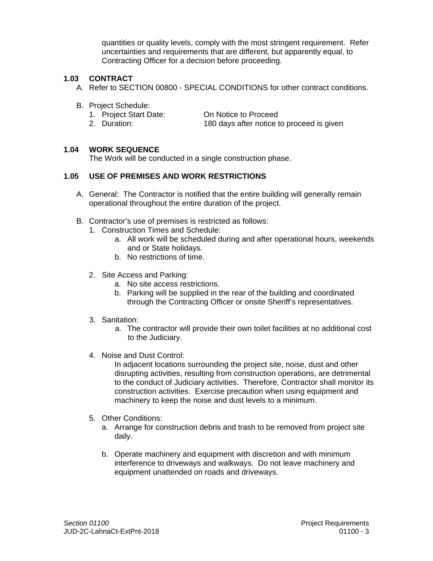quantities or quality levels, comply with the most stringent requirement. Refer uncertainties and requirements that are different, but apparently equal, to Contracting Officer for a decision before proceeding.

## **1.03 CONTRACT**

- A. Refer to SECTION 00800 SPECIAL CONDITIONS for other contract conditions.
- B. Project Schedule:
	- 1. Project Start Date: On Notice to Proceed
	- 2. Duration: 180 days after notice to proceed is given

#### **1.04 WORK SEQUENCE**

The Work will be conducted in a single construction phase.

### **1.05 USE OF PREMISES AND WORK RESTRICTIONS**

- A. General: The Contractor is notified that the entire building will generally remain operational throughout the entire duration of the project.
- B. Contractor's use of premises is restricted as follows:
	- 1. Construction Times and Schedule:
		- a. All work will be scheduled during and after operational hours, weekends and or State holidays.
		- b. No restrictions of time.
	- 2. Site Access and Parking:
		- a. No site access restrictions.
		- b. Parking will be supplied in the rear of the building and coordinated through the Contracting Officer or onsite Sheriff's representatives.
	- 3. Sanitation:
		- a. The contractor will provide their own toilet facilities at no additional cost to the Judiciary.
	- 4. Noise and Dust Control:

In adjacent locations surrounding the project site, noise, dust and other disrupting activities, resulting from construction operations, are detrimental to the conduct of Judiciary activities. Therefore, Contractor shall monitor its construction activities. Exercise precaution when using equipment and machinery to keep the noise and dust levels to a minimum.

- 5. Other Conditions:
	- a. Arrange for construction debris and trash to be removed from project site daily.
	- b. Operate machinery and equipment with discretion and with minimum interference to driveways and walkways. Do not leave machinery and equipment unattended on roads and driveways.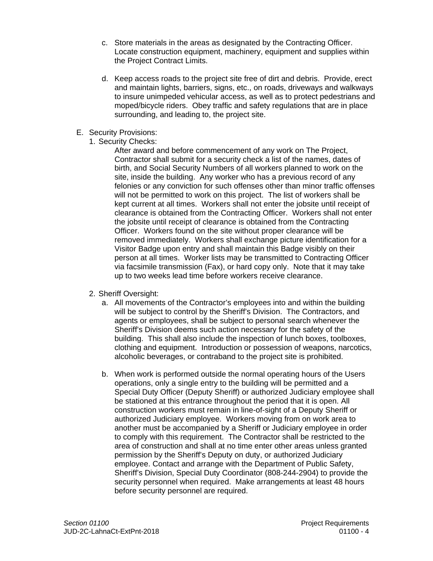- c. Store materials in the areas as designated by the Contracting Officer. Locate construction equipment, machinery, equipment and supplies within the Project Contract Limits.
- d. Keep access roads to the project site free of dirt and debris. Provide, erect and maintain lights, barriers, signs, etc., on roads, driveways and walkways to insure unimpeded vehicular access, as well as to protect pedestrians and moped/bicycle riders. Obey traffic and safety regulations that are in place surrounding, and leading to, the project site.
- E. Security Provisions:
	- 1. Security Checks:

After award and before commencement of any work on The Project, Contractor shall submit for a security check a list of the names, dates of birth, and Social Security Numbers of all workers planned to work on the site, inside the building. Any worker who has a previous record of any felonies or any conviction for such offenses other than minor traffic offenses will not be permitted to work on this project. The list of workers shall be kept current at all times. Workers shall not enter the jobsite until receipt of clearance is obtained from the Contracting Officer. Workers shall not enter the jobsite until receipt of clearance is obtained from the Contracting Officer. Workers found on the site without proper clearance will be removed immediately. Workers shall exchange picture identification for a Visitor Badge upon entry and shall maintain this Badge visibly on their person at all times. Worker lists may be transmitted to Contracting Officer via facsimile transmission (Fax), or hard copy only. Note that it may take up to two weeks lead time before workers receive clearance.

- 2. Sheriff Oversight:
	- a. All movements of the Contractor's employees into and within the building will be subject to control by the Sheriff's Division. The Contractors, and agents or employees, shall be subject to personal search whenever the Sheriff's Division deems such action necessary for the safety of the building. This shall also include the inspection of lunch boxes, toolboxes, clothing and equipment. Introduction or possession of weapons, narcotics, alcoholic beverages, or contraband to the project site is prohibited.
	- b. When work is performed outside the normal operating hours of the Users operations, only a single entry to the building will be permitted and a Special Duty Officer (Deputy Sheriff) or authorized Judiciary employee shall be stationed at this entrance throughout the period that it is open. All construction workers must remain in line-of-sight of a Deputy Sheriff or authorized Judiciary employee. Workers moving from on work area to another must be accompanied by a Sheriff or Judiciary employee in order to comply with this requirement. The Contractor shall be restricted to the area of construction and shall at no time enter other areas unless granted permission by the Sheriff's Deputy on duty, or authorized Judiciary employee. Contact and arrange with the Department of Public Safety, Sheriff's Division, Special Duty Coordinator (808-244-2904) to provide the security personnel when required. Make arrangements at least 48 hours before security personnel are required.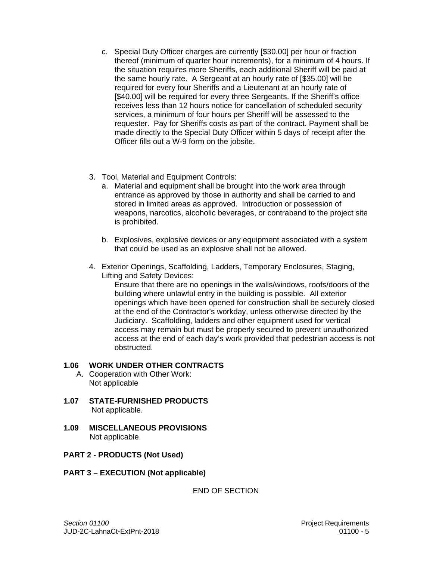- c. Special Duty Officer charges are currently [\$30.00] per hour or fraction thereof (minimum of quarter hour increments), for a minimum of 4 hours. If the situation requires more Sheriffs, each additional Sheriff will be paid at the same hourly rate. A Sergeant at an hourly rate of [\$35.00] will be required for every four Sheriffs and a Lieutenant at an hourly rate of [\$40.00] will be required for every three Sergeants. If the Sheriff's office receives less than 12 hours notice for cancellation of scheduled security services, a minimum of four hours per Sheriff will be assessed to the requester. Pay for Sheriffs costs as part of the contract. Payment shall be made directly to the Special Duty Officer within 5 days of receipt after the Officer fills out a W-9 form on the jobsite.
- 3. Tool, Material and Equipment Controls:
	- a. Material and equipment shall be brought into the work area through entrance as approved by those in authority and shall be carried to and stored in limited areas as approved. Introduction or possession of weapons, narcotics, alcoholic beverages, or contraband to the project site is prohibited.
	- b. Explosives, explosive devices or any equipment associated with a system that could be used as an explosive shall not be allowed.
- 4. Exterior Openings, Scaffolding, Ladders, Temporary Enclosures, Staging, Lifting and Safety Devices:

Ensure that there are no openings in the walls/windows, roofs/doors of the building where unlawful entry in the building is possible. All exterior openings which have been opened for construction shall be securely closed at the end of the Contractor's workday, unless otherwise directed by the Judiciary. Scaffolding, ladders and other equipment used for vertical access may remain but must be properly secured to prevent unauthorized access at the end of each day's work provided that pedestrian access is not obstructed.

### **1.06 WORK UNDER OTHER CONTRACTS**

- A. Cooperation with Other Work: Not applicable
- **1.07 STATE-FURNISHED PRODUCTS**  Not applicable.
- **1.09 MISCELLANEOUS PROVISIONS** Not applicable.
- **PART 2 PRODUCTS (Not Used)**
- **PART 3 EXECUTION (Not applicable)**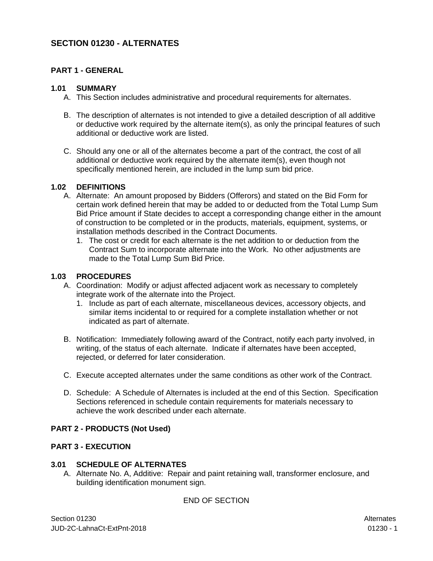## **SECTION 01230 - ALTERNATES**

### **PART 1 - GENERAL**

#### **1.01 SUMMARY**

- A. This Section includes administrative and procedural requirements for alternates.
- B. The description of alternates is not intended to give a detailed description of all additive or deductive work required by the alternate item(s), as only the principal features of such additional or deductive work are listed.
- C. Should any one or all of the alternates become a part of the contract, the cost of all additional or deductive work required by the alternate item(s), even though not specifically mentioned herein, are included in the lump sum bid price.

#### **1.02 DEFINITIONS**

- A. Alternate: An amount proposed by Bidders (Offerors) and stated on the Bid Form for certain work defined herein that may be added to or deducted from the Total Lump Sum Bid Price amount if State decides to accept a corresponding change either in the amount of construction to be completed or in the products, materials, equipment, systems, or installation methods described in the Contract Documents.
	- 1. The cost or credit for each alternate is the net addition to or deduction from the Contract Sum to incorporate alternate into the Work. No other adjustments are made to the Total Lump Sum Bid Price.

#### **1.03 PROCEDURES**

- A. Coordination: Modify or adjust affected adjacent work as necessary to completely integrate work of the alternate into the Project.
	- 1. Include as part of each alternate, miscellaneous devices, accessory objects, and similar items incidental to or required for a complete installation whether or not indicated as part of alternate.
- B. Notification: Immediately following award of the Contract, notify each party involved, in writing, of the status of each alternate. Indicate if alternates have been accepted, rejected, or deferred for later consideration.
- C. Execute accepted alternates under the same conditions as other work of the Contract.
- D. Schedule: A Schedule of Alternates is included at the end of this Section. Specification Sections referenced in schedule contain requirements for materials necessary to achieve the work described under each alternate.

### **PART 2 - PRODUCTS (Not Used)**

#### **PART 3 - EXECUTION**

### **3.01 SCHEDULE OF ALTERNATES**

A. Alternate No. A, Additive: Repair and paint retaining wall, transformer enclosure, and building identification monument sign.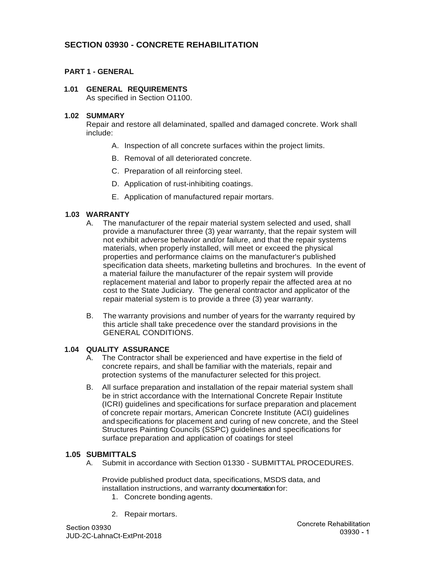# **SECTION 03930 - CONCRETE REHABILITATION**

### **PART 1 - GENERAL**

### **1.01 GENERAL REQUIREMENTS**

As specified in Section O1100.

#### **1.02 SUMMARY**

Repair and restore all delaminated, spalled and damaged concrete. Work shall include:

- A. Inspection of all concrete surfaces within the project limits.
- B. Removal of all deteriorated concrete.
- C. Preparation of all reinforcing steel.
- D. Application of rust-inhibiting coatings.
- E. Application of manufactured repair mortars.

#### **1.03 WARRANTY**

- A. The manufacturer of the repair material system selected and used, shall provide a manufacturer three (3) year warranty, that the repair system will not exhibit adverse behavior and/or failure, and that the repair systems materials, when properly installed, will meet or exceed the physical properties and performance claims on the manufacturer's published specification data sheets, marketing bulletins and brochures. In the event of a material failure the manufacturer of the repair system will provide replacement material and labor to properly repair the affected area at no cost to the State Judiciary. The general contractor and applicator of the repair material system is to provide a three (3) year warranty.
- B. The warranty provisions and number of years for the warranty required by this article shall take precedence over the standard provisions in the GENERAL CONDITIONS.

#### **1.04 QUALITY ASSURANCE**

- A. The Contractor shall be experienced and have expertise in the field of concrete repairs, and shall be familiar with the materials, repair and protection systems of the manufacturer selected for this project.
- B. All surface preparation and installation of the repair material system shall be in strict accordance with the International Concrete Repair Institute (ICRI) guidelines and specifications for surface preparation and placement of concrete repair mortars, American Concrete Institute (ACI) guidelines and specifications for placement and curing of new concrete, and the Steel Structures Painting Councils (SSPC) guidelines and specifications for surface preparation and application of coatings for steel

#### **1.05 SUBMITTALS**

A. Submit in accordance with Section 01330 - SUBMITTAL PROCEDURES.

Provide published product data, specifications, MSDS data, and installation instructions, and warranty documentation for:

- 1. Concrete bonding agents.
- 2. Repair mortars.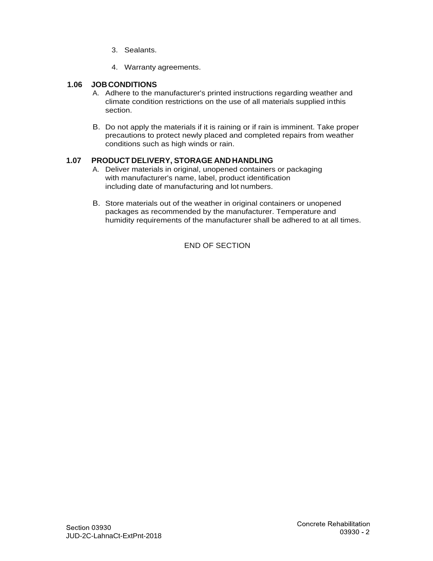- 3. Sealants.
- 4. Warranty agreements.

### **1.06 JOB CONDITIONS**

- A. Adhere to the manufacturer's printed instructions regarding weather and climate condition restrictions on the use of all materials supplied in this section.
- B. Do not apply the materials if it is raining or if rain is imminent. Take proper precautions to protect newly placed and completed repairs from weather conditions such as high winds or rain.

## **1.07 PRODUCT DELIVERY, STORAGE AND HANDLING**

- A. Deliver materials in original, unopened containers or packaging with manufacturer's name, label, product identification including date of manufacturing and lot numbers.
- B. Store materials out of the weather in original containers or unopened packages as recommended by the manufacturer. Temperature and humidity requirements of the manufacturer shall be adhered to at all times.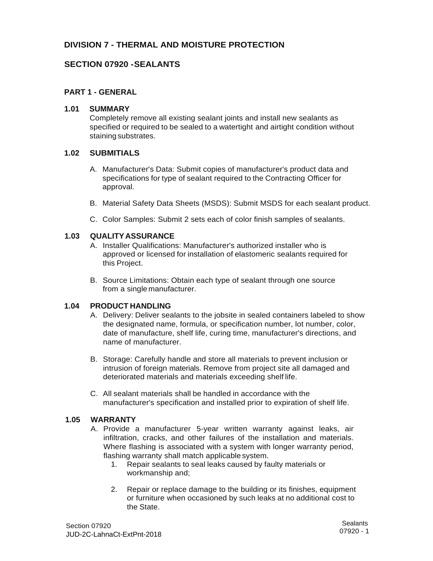# **DIVISION 7 - THERMAL AND MOISTURE PROTECTION**

## **SECTION 07920 - SEALANTS**

### **PART 1 - GENERAL**

#### **1.01 SUMMARY**

 specified or required to be sealed to a watertight and airtight condition without Completely remove all existing sealant joints and install new sealants as staining substrates.

### **1.02 SUBMITIALS**

- A. Manufacturer's Data: Submit copies of manufacturer's product data and specifications for type of sealant required to the Contracting Officer for approval.
- B. Material Safety Data Sheets (MSDS): Submit MSDS for each sealant product.
- C. Color Samples: Submit 2 sets each of color finish samples of sealants.

#### **1.03 QUALITY ASSURANCE**

- A. Installer Qualifications: Manufacturer's authorized installer who is approved or licensed for installation of elastomeric sealants required for this Project.
- B. Source Limitations: Obtain each type of sealant through one source from a single manufacturer.

### **1.04 PRODUCT HANDLING**

- A. Delivery: Deliver sealants to the jobsite in sealed containers labeled to show the designated name, formula, or specification number, lot number, color, date of manufacture, shelf life, curing time, manufacturer's directions, and name of manufacturer.
- B. Storage: Carefully handle and store all materials to prevent inclusion or intrusion of foreign materials. Remove from project site all damaged and deteriorated materials and materials exceeding shelf life.
- C. All sealant materials shall be handled in accordance with the manufacturer's specification and installed prior to expiration of shelf life.

#### **1.05 WARRANTY**

- A. Provide a manufacturer 5-year written warranty against leaks, air infiltration, cracks, and other failures of the installation and materials. Where flashing is associated with a system with longer warranty period, flashing warranty shall match applicable system.
	- 1. Repair sealants to seal leaks caused by faulty materials or workmanship and;
	- 2. Repair or replace damage to the building or its finishes, equipment or furniture when occasioned by such leaks at no additional cost to the State.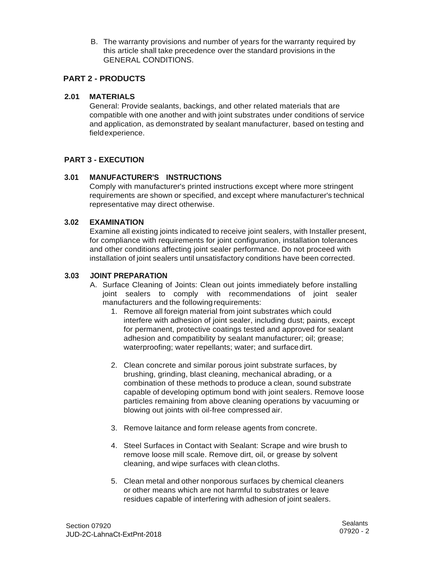B. The warranty provisions and number of years for the warranty required by this article shall take precedence over the standard provisions in the GENERAL CONDITIONS.

## **PART 2 - PRODUCTS**

### **2.01 MATERIALS**

General: Provide sealants, backings, and other related materials that are compatible with one another and with joint substrates under conditions of service and application, as demonstrated by sealant manufacturer, based on testing and field experience.

## **PART 3 - EXECUTION**

### **3.01 MANUFACTURER'S INSTRUCTIONS**

Comply with manufacturer's printed instructions except where more stringent requirements are shown or specified, and except where manufacturer's technical representative may direct otherwise.

### **3.02 EXAMINATION**

Examine all existing joints indicated to receive joint sealers, with Installer present, for compliance with requirements for joint configuration, installation tolerances and other conditions affecting joint sealer performance. Do not proceed with installation of joint sealers until unsatisfactory conditions have been corrected.

#### **3.03 JOINT PREPARATION**

- joint sealers to comply with recommendations of joint sealer A. Surface Cleaning of Joints: Clean out joints immediately before installing manufacturers and the following requirements:
	- 1. Remove all foreign material from joint substrates which could interfere with adhesion of joint sealer, including dust; paints, except for permanent, protective coatings tested and approved for sealant adhesion and compatibility by sealant manufacturer; oil; grease; waterproofing; water repellants; water; and surface dirt.
	- 2. Clean concrete and similar porous joint substrate surfaces, by brushing, grinding, blast cleaning, mechanical abrading, or a combination of these methods to produce a clean, sound substrate capable of developing optimum bond with joint sealers. Remove loose particles remaining from above cleaning operations by vacuuming or blowing out joints with oil-free compressed air.
	- 3. Remove laitance and form release agents from concrete.
	- 4. Steel Surfaces in Contact with Sealant: Scrape and wire brush to remove loose mill scale. Remove dirt, oil, or grease by solvent cleaning, and wipe surfaces with clean cloths.
	- 5. Clean metal and other nonporous surfaces by chemical cleaners or other means which are not harmful to substrates or leave residues capable of interfering with adhesion of joint sealers.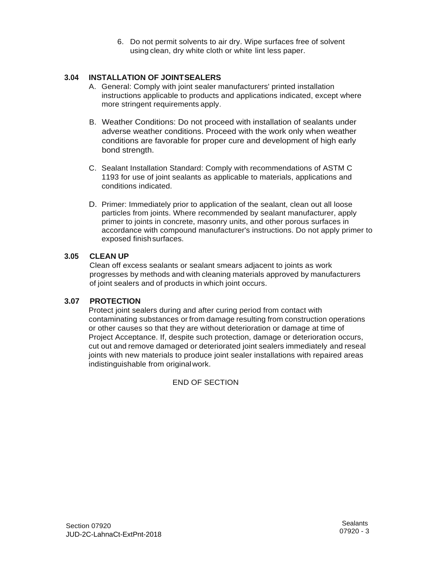6. Do not permit solvents to air dry. Wipe surfaces free of solvent using clean, dry white cloth or white lint less paper.

## **3.04 INSTALLATION OF JOINT SEALERS**

- A. General: Comply with joint sealer manufacturers' printed installation instructions applicable to products and applications indicated, except where more stringent requirements apply.
- B. Weather Conditions: Do not proceed with installation of sealants under adverse weather conditions. Proceed with the work only when weather conditions are favorable for proper cure and development of high early bond strength.
- C. Sealant Installation Standard: Comply with recommendations of ASTM C 1193 for use of joint sealants as applicable to materials, applications and conditions indicated.
- D. Primer: Immediately prior to application of the sealant, clean out all loose particles from joints. Where recommended by sealant manufacturer, apply primer to joints in concrete, masonry units, and other porous surfaces in accordance with compound manufacturer's instructions. Do not apply primer to exposed finish surfaces.

#### **3.05 CLEAN UP**

Clean off excess sealants or sealant smears adjacent to joints as work progresses by methods and with cleaning materials approved by manufacturers of joint sealers and of products in which joint occurs.

### **3.07 PROTECTION**

Protect joint sealers during and after curing period from contact with contaminating substances or from damage resulting from construction operations or other causes so that they are without deterioration or damage at time of Project Acceptance. If, despite such protection, damage or deterioration occurs, cut out and remove damaged or deteriorated joint sealers immediately and reseal joints with new materials to produce joint sealer installations with repaired areas indistinguishable from original work.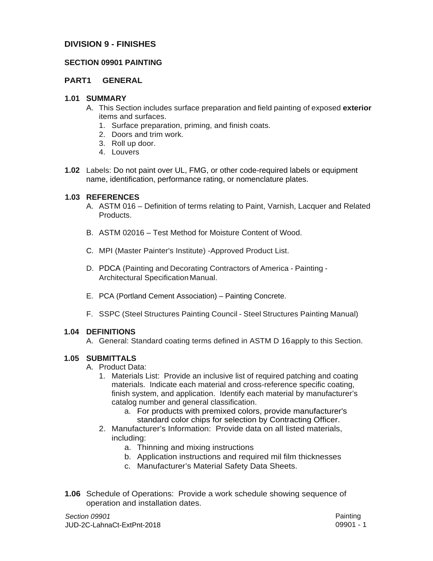## **DIVISION 9 - FINISHES**

### **SECTION 09901 PAINTING**

### **PART1 GENERAL**

#### **1.01 SUMMARY**

- A. This Section includes surface preparation and field painting of exposed **exterior**  items and surfaces.
	- 1. Surface preparation, priming, and finish coats.
	- 2. Doors and trim work.
	- 3. Roll up door.
	- 4. Louvers
- **1.02** Labels: Do not paint over UL, FMG, or other code-required labels or equipment name, identification, performance rating, or nomenclature plates.

#### **1.03 REFERENCES**

- A. ASTM 016 Definition of terms relating to Paint, Varnish, Lacquer and Related Products.
- B. ASTM 02016 Test Method for Moisture Content of Wood.
- C. MPI (Master Painter's Institute) -Approved Product List.
- D. PDCA (Painting and Decorating Contractors of America Painting Architectural Specification Manual.
- E. PCA (Portland Cement Association) Painting Concrete.
- F. SSPC (Steel Structures Painting Council Steel Structures Painting Manual)

### **1.04 DEFINITIONS**

A. General: Standard coating terms defined in ASTM D 16apply to this Section.

### **1.05 SUBMITTALS**

- A. Product Data:
	- 1. Materials List: Provide an inclusive list of required patching and coating materials. Indicate each material and cross-reference specific coating, finish system, and application. Identify each material by manufacturer's catalog number and general classification.
		- a. For products with premixed colors, provide manufacturer's standard color chips for selection by Contracting Officer.
	- 2. Manufacturer's Information: Provide data on all listed materials, including:
		- a. Thinning and mixing instructions
		- b. Application instructions and required mil film thicknesses
		- c. Manufacturer's Material Safety Data Sheets.
- **1.06** Schedule of Operations: Provide a work schedule showing sequence of operation and installation dates.

*Section 09901* Painting JUD-2C-LahnaCt-ExtPnt-2018 09901 - 1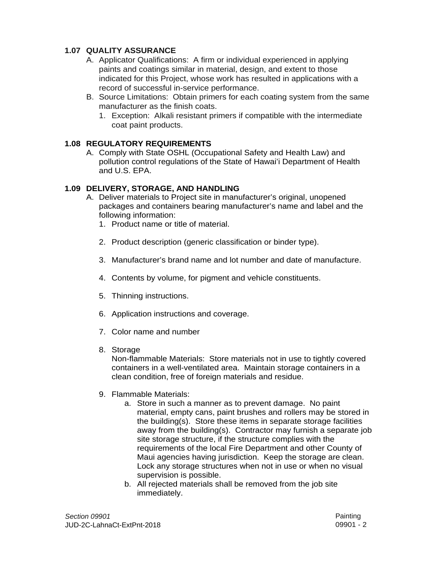## **1.07 QUALITY ASSURANCE**

- A. Applicator Qualifications: A firm or individual experienced in applying paints and coatings similar in material, design, and extent to those indicated for this Project, whose work has resulted in applications with a record of successful in-service performance.
- B. Source Limitations: Obtain primers for each coating system from the same manufacturer as the finish coats.
	- 1. Exception: Alkali resistant primers if compatible with the intermediate coat paint products.

## **1.08 REGULATORY REQUIREMENTS**

A. Comply with State OSHL (Occupational Safety and Health Law) and pollution control regulations of the State of Hawai'i Department of Health and U.S. EPA.

## **1.09 DELIVERY, STORAGE, AND HANDLING**

- A. Deliver materials to Project site in manufacturer's original, unopened packages and containers bearing manufacturer's name and label and the following information:
	- 1. Product name or title of material.
	- 2. Product description (generic classification or binder type).
	- 3. Manufacturer's brand name and lot number and date of manufacture.
	- 4. Contents by volume, for pigment and vehicle constituents.
	- 5. Thinning instructions.
	- 6. Application instructions and coverage.
	- 7. Color name and number
	- 8. Storage

Non-flammable Materials: Store materials not in use to tightly covered containers in a well-ventilated area. Maintain storage containers in a clean condition, free of foreign materials and residue.

- 9. Flammable Materials:
	- a. Store in such a manner as to prevent damage. No paint material, empty cans, paint brushes and rollers may be stored in the building(s). Store these items in separate storage facilities away from the building(s). Contractor may furnish a separate job site storage structure, if the structure complies with the requirements of the local Fire Department and other County of Maui agencies having jurisdiction. Keep the storage are clean. Lock any storage structures when not in use or when no visual supervision is possible.
	- b. All rejected materials shall be removed from the job site immediately.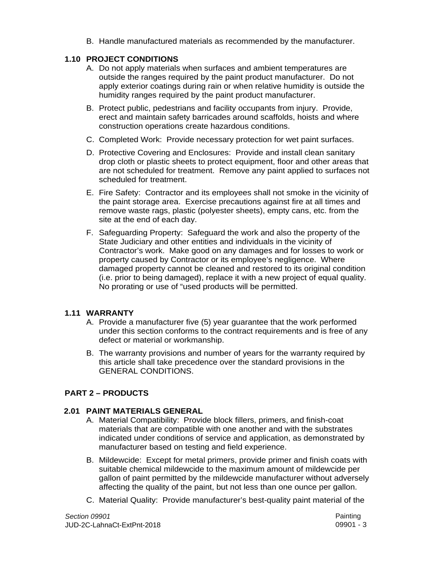B. Handle manufactured materials as recommended by the manufacturer.

## **1.10 PROJECT CONDITIONS**

- A. Do not apply materials when surfaces and ambient temperatures are outside the ranges required by the paint product manufacturer. Do not apply exterior coatings during rain or when relative humidity is outside the humidity ranges required by the paint product manufacturer.
- B. Protect public, pedestrians and facility occupants from injury. Provide, erect and maintain safety barricades around scaffolds, hoists and where construction operations create hazardous conditions.
- C. Completed Work: Provide necessary protection for wet paint surfaces.
- D. Protective Covering and Enclosures: Provide and install clean sanitary drop cloth or plastic sheets to protect equipment, floor and other areas that are not scheduled for treatment. Remove any paint applied to surfaces not scheduled for treatment.
- E. Fire Safety: Contractor and its employees shall not smoke in the vicinity of the paint storage area. Exercise precautions against fire at all times and remove waste rags, plastic (polyester sheets), empty cans, etc. from the site at the end of each day.
- F. Safeguarding Property: Safeguard the work and also the property of the State Judiciary and other entities and individuals in the vicinity of Contractor's work. Make good on any damages and for losses to work or property caused by Contractor or its employee's negligence. Where damaged property cannot be cleaned and restored to its original condition (i.e. prior to being damaged), replace it with a new project of equal quality. No prorating or use of "used products will be permitted.

## **1.11 WARRANTY**

- defect or material or workmanship. A. Provide a manufacturer five (5) year guarantee that the work performed under this section conforms to the contract requirements and is free of any
- B. The warranty provisions and number of years for the warranty required by this article shall take precedence over the standard provisions in the GENERAL CONDITIONS.

# **PART 2 – PRODUCTS**

## **2.01 PAINT MATERIALS GENERAL**

- A. Material Compatibility: Provide block fillers, primers, and finish-coat materials that are compatible with one another and with the substrates indicated under conditions of service and application, as demonstrated by manufacturer based on testing and field experience.
- B. Mildewcide: Except for metal primers, provide primer and finish coats with suitable chemical mildewcide to the maximum amount of mildewcide per gallon of paint permitted by the mildewcide manufacturer without adversely affecting the quality of the paint, but not less than one ounce per gallon.
- C. Material Quality: Provide manufacturer's best-quality paint material of the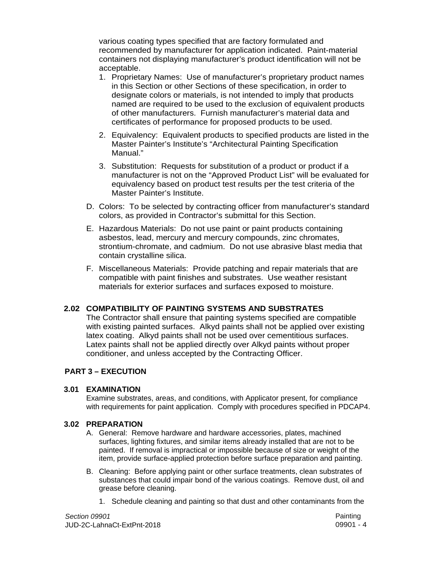various coating types specified that are factory formulated and recommended by manufacturer for application indicated. Paint-material containers not displaying manufacturer's product identification will not be acceptable.

- 1. Proprietary Names: Use of manufacturer's proprietary product names in this Section or other Sections of these specification, in order to designate colors or materials, is not intended to imply that products named are required to be used to the exclusion of equivalent products of other manufacturers. Furnish manufacturer's material data and certificates of performance for proposed products to be used.
- 2. Equivalency: Equivalent products to specified products are listed in the Master Painter's Institute's "Architectural Painting Specification Manual."
- 3. Substitution: Requests for substitution of a product or product if a manufacturer is not on the "Approved Product List" will be evaluated for equivalency based on product test results per the test criteria of the Master Painter's Institute.
- D. Colors: To be selected by contracting officer from manufacturer's standard colors, as provided in Contractor's submittal for this Section.
- E. Hazardous Materials: Do not use paint or paint products containing asbestos, lead, mercury and mercury compounds, zinc chromates, strontium-chromate, and cadmium. Do not use abrasive blast media that contain crystalline silica.
- F. Miscellaneous Materials: Provide patching and repair materials that are compatible with paint finishes and substrates. Use weather resistant materials for exterior surfaces and surfaces exposed to moisture.

## **2.02 COMPATIBILITY OF PAINTING SYSTEMS AND SUBSTRATES**

The Contractor shall ensure that painting systems specified are compatible with existing painted surfaces. Alkyd paints shall not be applied over existing latex coating. Alkyd paints shall not be used over cementitious surfaces. Latex paints shall not be applied directly over Alkyd paints without proper conditioner, and unless accepted by the Contracting Officer.

### **PART 3 – EXECUTION**

### **3.01 EXAMINATION**

Examine substrates, areas, and conditions, with Applicator present, for compliance with requirements for paint application. Comply with procedures specified in PDCAP4.

#### **3.02 PREPARATION**

- A. General: Remove hardware and hardware accessories, plates, machined surfaces, lighting fixtures, and similar items already installed that are not to be painted. If removal is impractical or impossible because of size or weight of the item, provide surface-applied protection before surface preparation and painting.
- B. Cleaning: Before applying paint or other surface treatments, clean substrates of substances that could impair bond of the various coatings. Remove dust, oil and grease before cleaning.
	- 1. Schedule cleaning and painting so that dust and other contaminants from the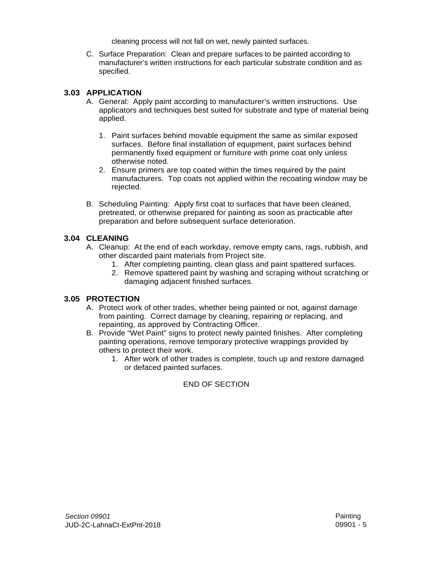cleaning process will not fall on wet, newly painted surfaces.

C. Surface Preparation: Clean and prepare surfaces to be painted according to manufacturer's written instructions for each particular substrate condition and as specified.

#### **3.03 APPLICATION**

- A. General: Apply paint according to manufacturer's written instructions. Use applicators and techniques best suited for substrate and type of material being applied.
	- 1. Paint surfaces behind movable equipment the same as similar exposed surfaces. Before final installation of equipment, paint surfaces behind permanently fixed equipment or furniture with prime coat only unless otherwise noted.
	- 2. Ensure primers are top coated within the times required by the paint manufacturers. Top coats not applied within the recoating window may be rejected.
- B. Scheduling Painting: Apply first coat to surfaces that have been cleaned, pretreated, or otherwise prepared for painting as soon as practicable after preparation and before subsequent surface deterioration.

#### **3.04 CLEANING**

- A. Cleanup: At the end of each workday, remove empty cans, rags, rubbish, and other discarded paint materials from Project site.
	- 1. After completing painting, clean glass and paint spattered surfaces.
	- 2. Remove spattered paint by washing and scraping without scratching or damaging adjacent finished surfaces.

### **3.05 PROTECTION**

- A. Protect work of other trades, whether being painted or not, against damage from painting. Correct damage by cleaning, repairing or replacing, and repainting, as approved by Contracting Officer.
- B. Provide "Wet Paint" signs to protect newly painted finishes. After completing painting operations, remove temporary protective wrappings provided by others to protect their work.
	- 1. After work of other trades is complete, touch up and restore damaged or defaced painted surfaces.